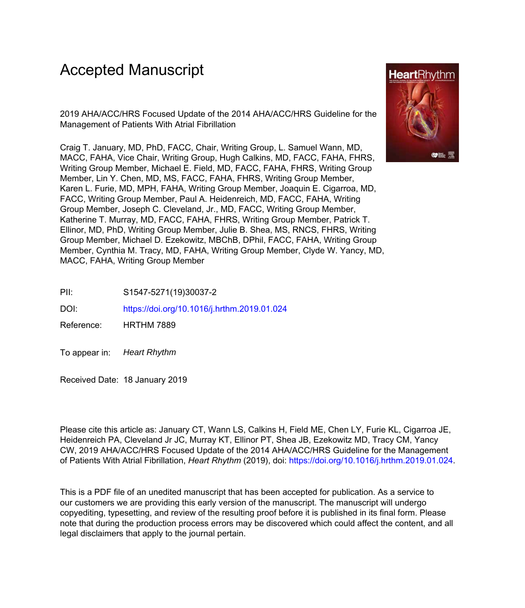# Accepted Manuscript

2019 AHA/ACC/HRS Focused Update of the 2014 AHA/ACC/HRS Guideline for the Management of Patients With Atrial Fibrillation

Craig T. January, MD, PhD, FACC, Chair, Writing Group, L. Samuel Wann, MD, MACC, FAHA, Vice Chair, Writing Group, Hugh Calkins, MD, FACC, FAHA, FHRS, Writing Group Member, Michael E. Field, MD, FACC, FAHA, FHRS, Writing Group Member, Lin Y. Chen, MD, MS, FACC, FAHA, FHRS, Writing Group Member, Karen L. Furie, MD, MPH, FAHA, Writing Group Member, Joaquin E. Cigarroa, MD, FACC, Writing Group Member, Paul A. Heidenreich, MD, FACC, FAHA, Writing Group Member, Joseph C. Cleveland, Jr., MD, FACC, Writing Group Member, Katherine T. Murray, MD, FACC, FAHA, FHRS, Writing Group Member, Patrick T. Ellinor, MD, PhD, Writing Group Member, Julie B. Shea, MS, RNCS, FHRS, Writing Group Member, Michael D. Ezekowitz, MBChB, DPhil, FACC, FAHA, Writing Group Member, Cynthia M. Tracy, MD, FAHA, Writing Group Member, Clyde W. Yancy, MD, MACC, FAHA, Writing Group Member



DOI: <https://doi.org/10.1016/j.hrthm.2019.01.024>

Reference: HRTHM 7889

To appear in: Heart Rhythm

Received Date: 18 January 2019

Please cite this article as: January CT, Wann LS, Calkins H, Field ME, Chen LY, Furie KL, Cigarroa JE, Heidenreich PA, Cleveland Jr JC, Murray KT, Ellinor PT, Shea JB, Ezekowitz MD, Tracy CM, Yancy CW, 2019 AHA/ACC/HRS Focused Update of the 2014 AHA/ACC/HRS Guideline for the Management of Patients With Atrial Fibrillation, *Heart Rhythm* (2019), doi:<https://doi.org/10.1016/j.hrthm.2019.01.024>.

This is a PDF file of an unedited manuscript that has been accepted for publication. As a service to our customers we are providing this early version of the manuscript. The manuscript will undergo copyediting, typesetting, and review of the resulting proof before it is published in its final form. Please note that during the production process errors may be discovered which could affect the content, and all legal disclaimers that apply to the journal pertain.

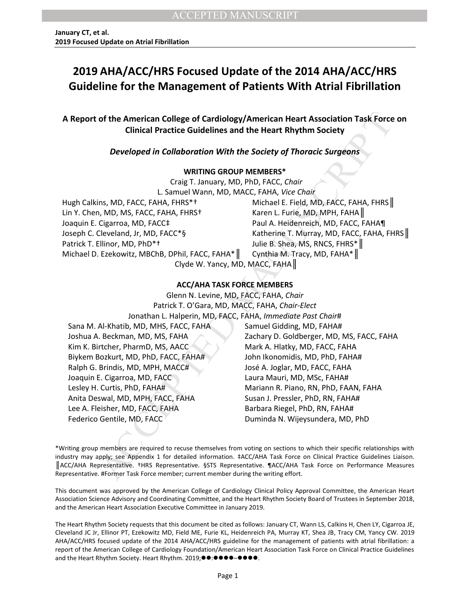# **2019 AHA/ACC/HRS Focused Update of the 2014 AHA/ACC/HRS Guideline for the Management of Patients With Atrial Fibrillation**

**A Report of the American College of Cardiology/American Heart Association Task Force on Clinical Practice Guidelines and the Heart Rhythm Society** 

### *Developed in Collaboration With the Society of Thoracic Surgeons*

### **WRITING GROUP MEMBERS\***

Craig T. January, MD, PhD, FACC, *Chair* L. Samuel Wann, MD, MACC, FAHA, *Vice Chair* Hugh Calkins, MD, FACC, FAHA, FHRS\*† Michael E. Field, MD, FACC, FAHA, FHRS Lin Y. Chen, MD, MS, FACC, FAHA, FHRS† Karen L. Furie, MD, MPH, FAHA Joaquin E. Cigarroa, MD, FACC‡ Paul A. Heidenreich, MD, FACC, FAHA¶ Joseph C. Cleveland, Jr, MD, FACC\*§ Katherine T. Murray, MD, FACC, FAHA, FHRS Patrick T. Ellinor, MD, PhD\*† Julie B. Shea, MS, RNCS, FHRS\* Michael D. Ezekowitz, MBChB, DPhil, FACC, FAHA\* || Cynthia M. Tracy, MD, FAHA\* || Clyde W. Yancy, MD, MACC, FAHA║

### **ACC/AHA TASK FORCE MEMBERS**

of the American College of Cardiology/American Heart Association Task Force<br>
Clinical Practice Guidelines and the Heart Rhythm Society<br>
Developed in Collaboration With the Society of Thoracic Surgeons<br>
warmus GROUP MEMBERS Glenn N. Levine, MD, FACC, FAHA, *Chair* Patrick T. O'Gara, MD, MACC, FAHA, *Chair-Elect* Jonathan L. Halperin, MD, FACC, FAHA, *Immediate Past Chair*# Sana M. Al-Khatib, MD, MHS, FACC, FAHA Samuel Gidding, MD, FAHA# Joshua A. Beckman, MD, MS, FAHA Zachary D. Goldberger, MD, MS, FACC, FAHA Kim K. Birtcher, PharmD, MS, AACC Mark A. Hlatky, MD, FACC, FAHA Biykem Bozkurt, MD, PhD, FACC, FAHA# John Ikonomidis, MD, PhD, FAHA# Ralph G. Brindis, MD, MPH, MACC# José A. Joglar, MD, FACC, FAHA Joaquin E. Cigarroa, MD, FACC Laura Mauri, MD, MSc, FAHA# Lesley H. Curtis, PhD, FAHA# Mariann R. Piano, RN, PhD, FAAN, FAHA Anita Deswal, MD, MPH, FACC, FAHA Susan J. Pressler, PhD, RN, FAHA# Lee A. Fleisher, MD, FACC, FAHA Barbara Riegel, PhD, RN, FAHA# Federico Gentile, MD, FACC **Canadia II control control de la Control** Duminda N. Wijeysundera, MD, PhD

\*Writing group members are required to recuse themselves from voting on sections to which their specific relationships with industry may apply; see Appendix 1 for detailed information. ‡ACC/AHA Task Force on Clinical Practice Guidelines Liaison. ║ACC/AHA Representative. †HRS Representative. §STS Representative. ¶ACC/AHA Task Force on Performance Measures Representative. #Former Task Force member; current member during the writing effort.

This document was approved by the American College of Cardiology Clinical Policy Approval Committee, the American Heart Association Science Advisory and Coordinating Committee, and the Heart Rhythm Society Board of Trustees in September 2018, and the American Heart Association Executive Committee in January 2019.

The Heart Rhythm Society requests that this document be cited as follows: January CT, Wann LS, Calkins H, Chen LY, Cigarroa JE, Cleveland JC Jr, Ellinor PT, Ezekowitz MD, Field ME, Furie KL, Heidenreich PA, Murray KT, Shea JB, Tracy CM, Yancy CW. 2019 AHA/ACC/HRS focused update of the 2014 AHA/ACC/HRS guideline for the management of patients with atrial fibrillation: a report of the American College of Cardiology Foundation/American Heart Association Task Force on Clinical Practice Guidelines and the Heart Rhythm Society. Heart Rhythm. 2019; ...............................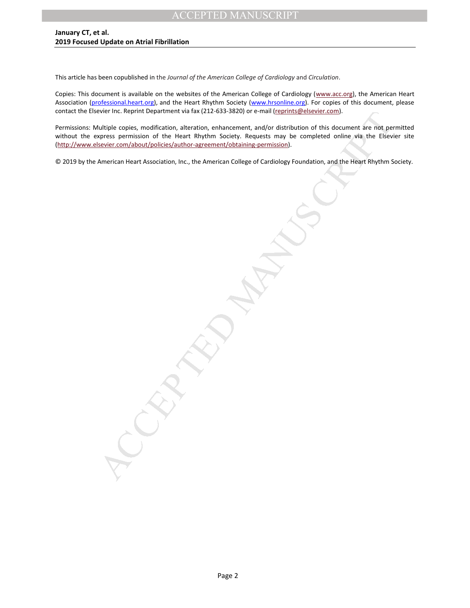This article has been copublished in the *Journal of the American College of Cardiology* and *Circulation*.

Copies: This document is available on the websites of the American College of Cardiology [\(www.acc.org\)](http://www.cardiosource.org/), the American Heart Association [\(professional.heart.org\)](http://professional.heart.org/), and the Heart Rhythm Society [\(www.hrsonline.org\)](http://www.hrsonline.org/). For copies of this document, please contact the Elsevier Inc. Reprint Department via fax (212-633-3820) or e-mail [\(reprints@elsevier.com\)](mailto:reprints@elsevier.com).

ever inc. keptint Liepartment via fax (212-633-3820) or e-mail <u>reprints generate comp.</u><br>Little copies, modification, after the internet and condition of this document are not performed permission of the Heart Whythin Soci Permissions: Multiple copies, modification, alteration, enhancement, and/or distribution of this document are not permitted without the express permission of the Heart Rhythm Society. Requests may be completed online via the Elsevier site [\(http://www.elsevier.com/about/policies/author-agreement/obtaining-permission\)](http://www.elsevier.com/about/policies/author-agreement/obtaining-permission).

© 2019 by the American Heart Association, Inc., the American College of Cardiology Foundation, and the Heart Rhythm Society.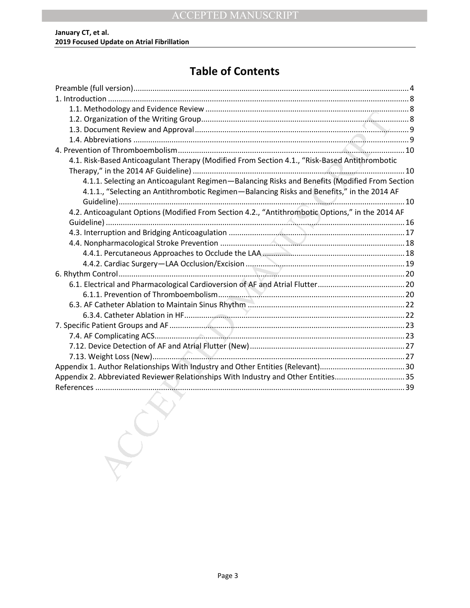# **Table of Contents**

| 4.1. Risk-Based Anticoagulant Therapy (Modified From Section 4.1., "Risk-Based Antithrombotic    |  |
|--------------------------------------------------------------------------------------------------|--|
|                                                                                                  |  |
| 4.1.1. Selecting an Anticoagulant Regimen-Balancing Risks and Benefits (Modified From Section    |  |
| 4.1.1., "Selecting an Antithrombotic Regimen-Balancing Risks and Benefits," in the 2014 AF       |  |
|                                                                                                  |  |
| 4.2. Anticoagulant Options (Modified From Section 4.2., "Antithrombotic Options," in the 2014 AF |  |
|                                                                                                  |  |
|                                                                                                  |  |
|                                                                                                  |  |
|                                                                                                  |  |
|                                                                                                  |  |
|                                                                                                  |  |
|                                                                                                  |  |
|                                                                                                  |  |
|                                                                                                  |  |
|                                                                                                  |  |
|                                                                                                  |  |
|                                                                                                  |  |
|                                                                                                  |  |
|                                                                                                  |  |
|                                                                                                  |  |
| Appendix 2. Abbreviated Reviewer Relationships With Industry and Other Entities35                |  |
|                                                                                                  |  |
|                                                                                                  |  |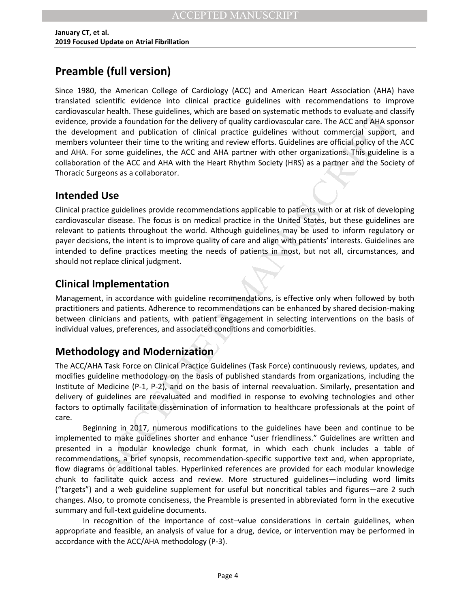# <span id="page-4-0"></span>**Preamble (full version)**

ar neature. Interes guidelines, which are based on systematic methods to evaluate and the moment and publication of chirds profer and publication of chirds profer and publication of chirds profer and publication of chirds Since 1980, the American College of Cardiology (ACC) and American Heart Association (AHA) have translated scientific evidence into clinical practice guidelines with recommendations to improve cardiovascular health. These guidelines, which are based on systematic methods to evaluate and classify evidence, provide a foundation for the delivery of quality cardiovascular care. The ACC and AHA sponsor the development and publication of clinical practice guidelines without commercial support, and members volunteer their time to the writing and review efforts. Guidelines are official policy of the ACC and AHA. For some guidelines, the ACC and AHA partner with other organizations. This guideline is a collaboration of the ACC and AHA with the Heart Rhythm Society (HRS) as a partner and the Society of Thoracic Surgeons as a collaborator.

## **Intended Use**

Clinical practice guidelines provide recommendations applicable to patients with or at risk of developing cardiovascular disease. The focus is on medical practice in the United States, but these guidelines are relevant to patients throughout the world. Although guidelines may be used to inform regulatory or payer decisions, the intent is to improve quality of care and align with patients' interests. Guidelines are intended to define practices meeting the needs of patients in most, but not all, circumstances, and should not replace clinical judgment.

## **Clinical Implementation**

Management, in accordance with guideline recommendations, is effective only when followed by both practitioners and patients. Adherence to recommendations can be enhanced by shared decision-making between clinicians and patients, with patient engagement in selecting interventions on the basis of individual values, preferences, and associated conditions and comorbidities.

## **Methodology and Modernization**

The ACC/AHA Task Force on Clinical Practice Guidelines (Task Force) continuously reviews, updates, and modifies guideline methodology on the basis of published standards from organizations, including the Institute of Medicine (P-1, P-2), and on the basis of internal reevaluation. Similarly, presentation and delivery of guidelines are reevaluated and modified in response to evolving technologies and other factors to optimally facilitate dissemination of information to healthcare professionals at the point of care.

Beginning in 2017, numerous modifications to the guidelines have been and continue to be implemented to make guidelines shorter and enhance "user friendliness." Guidelines are written and presented in a modular knowledge chunk format, in which each chunk includes a table of recommendations, a brief synopsis, recommendation-specific supportive text and, when appropriate, flow diagrams or additional tables. Hyperlinked references are provided for each modular knowledge chunk to facilitate quick access and review. More structured guidelines—including word limits ("targets") and a web guideline supplement for useful but noncritical tables and figures—are 2 such changes. Also, to promote conciseness, the Preamble is presented in abbreviated form in the executive summary and full-text guideline documents.

In recognition of the importance of cost–value considerations in certain guidelines, when appropriate and feasible, an analysis of value for a drug, device, or intervention may be performed in accordance with the ACC/AHA methodology (P-3).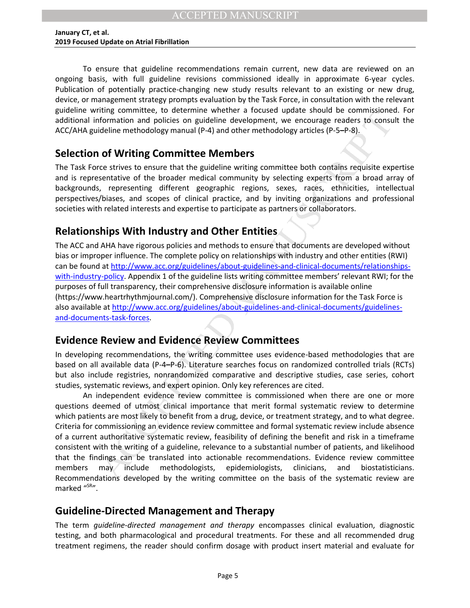To ensure that guideline recommendations remain current, new data are reviewed on an ongoing basis, with full guideline revisions commissioned ideally in approximate 6-year cycles. Publication of potentially practice-changing new study results relevant to an existing or new drug, device, or management strategy prompts evaluation by the Task Force, in consultation with the relevant guideline writing committee, to determine whether a focused update should be commissioned. For additional information and policies on guideline development, we encourage readers to consult the ACC/AHA guideline methodology manual (P-4) and other methodology articles (P-5**–**P-8).

## **Selection of Writing Committee Members**

The Task Force strives to ensure that the guideline writing committee both contains requisite expertise and is representative of the broader medical community by selecting experts from a broad array of backgrounds, representing different geographic regions, sexes, races, ethnicities, intellectual perspectives/biases, and scopes of clinical practice, and by inviting organizations and professional societies with related interests and expertise to participate as partners or collaborators.

## **Relationships With Industry and Other Entities**

The ACC and AHA have rigorous policies and methods to ensure that documents are developed without bias or improper influence. The complete policy on relationships with industry and other entities (RWI) can be found at [http://www.acc.org/guidelines/about-guidelines-and-clinical-documents/relationships](http://www.acc.org/guidelines/about-guidelines-and-clinical-documents/relationships-with-industry-policy)[with-industry-policy.](http://www.acc.org/guidelines/about-guidelines-and-clinical-documents/relationships-with-industry-policy) Appendix 1 of the guideline lists writing committee members' relevant RWI; for the purposes of full transparency, their comprehensive disclosure information is available online (https://www.heartrhythmjournal.com/). Comprehensive disclosure information for the Task Force is also available at [http://www.acc.org/guidelines/about-guidelines-and-clinical-documents/guidelines](http://www.acc.org/guidelines/about-guidelines-and-clinical-documents/guidelines-and-documents-task-forces)[and-documents-task-forces.](http://www.acc.org/guidelines/about-guidelines-and-clinical-documents/guidelines-and-documents-task-forces)

## **Evidence Review and Evidence Review Committees**

In developing recommendations, the writing committee uses evidence-based methodologies that are based on all available data (P-4**–**P-6). Literature searches focus on randomized controlled trials (RCTs) but also include registries, nonrandomized comparative and descriptive studies, case series, cohort studies, systematic reviews, and expert opinion. Only key references are cited.

ming commute is to determine when a a otocally update should be consisted in the contrast of consisted in the contrast of the publishes on guideline methodology manual (P-4) and other methodology articles (P-5–P-8).<br> **Of W** An independent evidence review committee is commissioned when there are one or more questions deemed of utmost clinical importance that merit formal systematic review to determine which patients are most likely to benefit from a drug, device, or treatment strategy, and to what degree. Criteria for commissioning an evidence review committee and formal systematic review include absence of a current authoritative systematic review, feasibility of defining the benefit and risk in a timeframe consistent with the writing of a guideline, relevance to a substantial number of patients, and likelihood that the findings can be translated into actionable recommendations. Evidence review committee members may include methodologists, epidemiologists, clinicians, and biostatisticians. Recommendations developed by the writing committee on the basis of the systematic review are marked "SR".

## **Guideline-Directed Management and Therapy**

The term *guideline-directed management and therapy* encompasses clinical evaluation, diagnostic testing, and both pharmacological and procedural treatments. For these and all recommended drug treatment regimens, the reader should confirm dosage with product insert material and evaluate for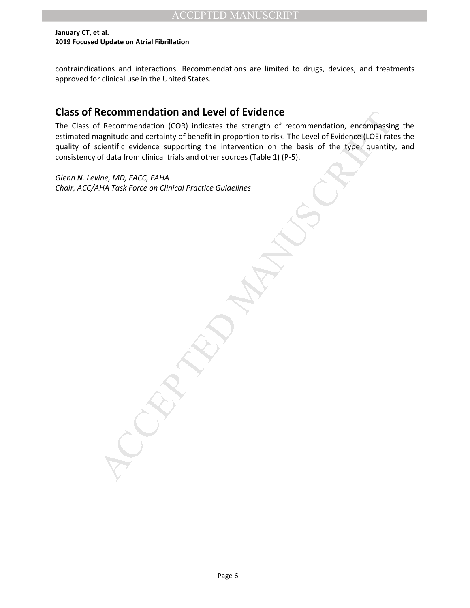contraindications and interactions. Recommendations are limited to drugs, devices, and treatments approved for clinical use in the United States.

## **Class of Recommendation and Level of Evidence**

**Recommendation and Level of Evidence**<br>
Recommendation (COR) indicates the strength of recommendation, encompassine<br>
Republicant Corollar (CoR) indicates the strength of the level of Evidence (LOE) rate<br>
cientific evidence The Class of Recommendation (COR) indicates the strength of recommendation, encompassing the estimated magnitude and certainty of benefit in proportion to risk. The Level of Evidence (LOE) rates the quality of scientific evidence supporting the intervention on the basis of the type, quantity, and consistency of data from clinical trials and other sources (Table 1) (P-5).

*Glenn N. Levine, MD, FACC, FAHA Chair, ACC/AHA Task Force on Clinical Practice Guidelines*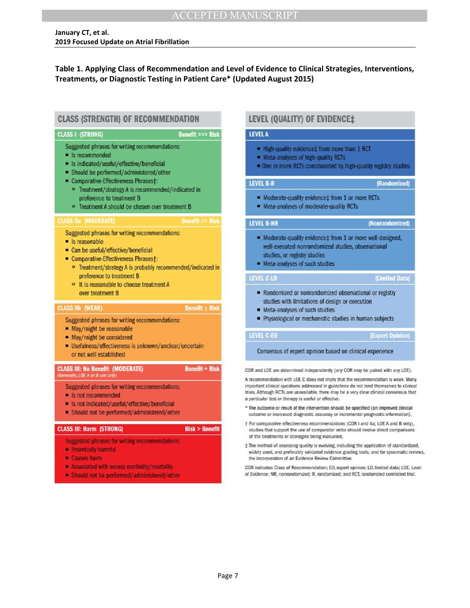### **Table 1. Applying Class of Recommendation and Level of Evidence to Clinical Strategies, Interventions, Treatments, or Diagnostic Testing in Patient Care\* (Updated August 2015)**



- 
- 
- 

- 
- 

- 
- 

- 
- 
- 

- 
- 
-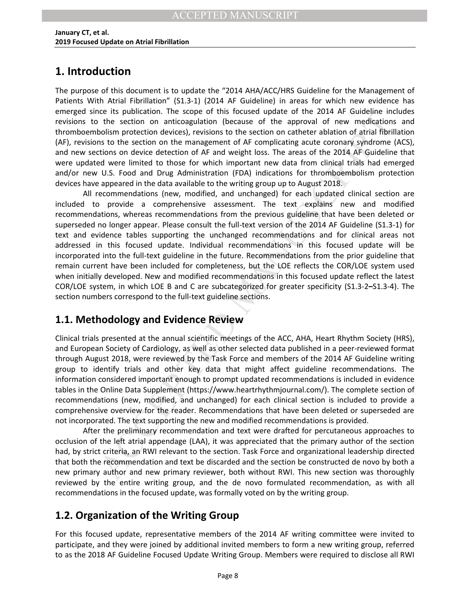## <span id="page-8-0"></span>**1. Introduction**

The purpose of this document is to update the "2014 AHA/ACC/HRS Guideline for the Management of Patients With Atrial Fibrillation" (S1.3-1) (2014 AF Guideline) in areas for which new evidence has emerged since its publication. The scope of this focused update of the 2014 AF Guideline includes revisions to the section on anticoagulation (because of the approval of new medications and thromboembolism protection devices), revisions to the section on catheter ablation of atrial fibrillation (AF), revisions to the section on the management of AF complicating acute coronary syndrome (ACS), and new sections on device detection of AF and weight loss. The areas of the 2014 AF Guideline that were updated were limited to those for which important new data from clinical trials had emerged and/or new U.S. Food and Drug Administration (FDA) indications for thromboembolism protection devices have appeared in the data available to the writing group up to August 2018.

ice Israeliation. Ine scope of this focused update of the 2014 AF buildeline in<br>the section on anticoagulation (because of the approval of every medication<br>on the section on anticoagulation (because of the approval of ever All recommendations (new, modified, and unchanged) for each updated clinical section are included to provide a comprehensive assessment. The text explains new and modified recommendations, whereas recommendations from the previous guideline that have been deleted or superseded no longer appear. Please consult the full-text version of the 2014 AF Guideline (S1.3-1) for text and evidence tables supporting the unchanged recommendations and for clinical areas not addressed in this focused update. Individual recommendations in this focused update will be incorporated into the full-text guideline in the future. Recommendations from the prior guideline that remain current have been included for completeness, but the LOE reflects the COR/LOE system used when initially developed. New and modified recommendations in this focused update reflect the latest COR/LOE system, in which LOE B and C are subcategorized for greater specificity (S1.3-2**–**S1.3-4). The section numbers correspond to the full-text guideline sections.

## <span id="page-8-1"></span>**1.1. Methodology and Evidence Review**

Clinical trials presented at the annual scientific meetings of the ACC, AHA, Heart Rhythm Society (HRS), and European Society of Cardiology, as well as other selected data published in a peer-reviewed format through August 2018, were reviewed by the Task Force and members of the 2014 AF Guideline writing group to identify trials and other key data that might affect guideline recommendations. The information considered important enough to prompt updated recommendations is included in evidence tables in the Online Data Supplement (https://www.heartrhythmjournal.com/). The complete section of recommendations (new, modified, and unchanged) for each clinical section is included to provide a comprehensive overview for the reader. Recommendations that have been deleted or superseded are not incorporated. The text supporting the new and modified recommendations is provided.

After the preliminary recommendation and text were drafted for percutaneous approaches to occlusion of the left atrial appendage (LAA), it was appreciated that the primary author of the section had, by strict criteria, an RWI relevant to the section. Task Force and organizational leadership directed that both the recommendation and text be discarded and the section be constructed de novo by both a new primary author and new primary reviewer, both without RWI. This new section was thoroughly reviewed by the entire writing group, and the de novo formulated recommendation, as with all recommendations in the focused update, was formally voted on by the writing group.

## <span id="page-8-2"></span>**1.2. Organization of the Writing Group**

For this focused update, representative members of the 2014 AF writing committee were invited to participate, and they were joined by additional invited members to form a new writing group, referred to as the 2018 AF Guideline Focused Update Writing Group. Members were required to disclose all RWI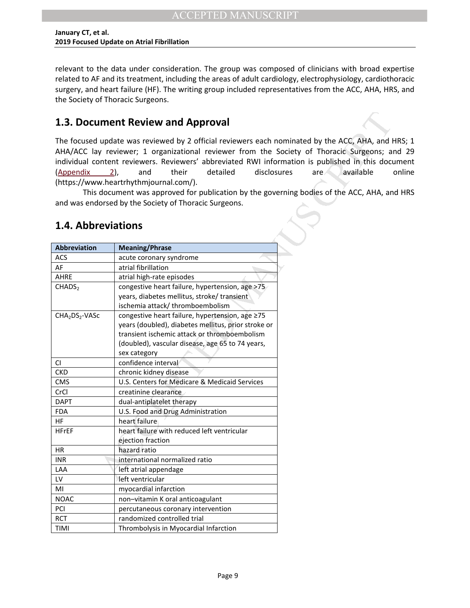relevant to the data under consideration. The group was composed of clinicians with broad expertise related to AF and its treatment, including the areas of adult cardiology, electrophysiology, cardiothoracic surgery, and heart failure (HF). The writing group included representatives from the ACC, AHA, HRS, and the Society of Thoracic Surgeons.

## <span id="page-9-0"></span>**1.3. Document Review and Approval**

The focused update was reviewed by 2 official reviewers each nominated by the ACC, AHA, and HRS; 1 AHA/ACC lay reviewer; 1 organizational reviewer from the Society of Thoracic Surgeons; and 29 individual content reviewers. Reviewers' abbreviated RWI information is published in this document  $(\text{Appendix}$  2), and their detailed disclosures are available online (https://www.heartrhythmjournal.com/).

This document was approved for publication by the governing bodies of the ACC, AHA, and HRS and was endorsed by the Society of Thoracic Surgeons.

## <span id="page-9-1"></span>**1.4. Abbreviations**

| 1.3. Document Review and Approval      |                                                                                                                                                                                                                                                                                                                                                                                                                                                                                                                                               |                  |
|----------------------------------------|-----------------------------------------------------------------------------------------------------------------------------------------------------------------------------------------------------------------------------------------------------------------------------------------------------------------------------------------------------------------------------------------------------------------------------------------------------------------------------------------------------------------------------------------------|------------------|
| (Appendix<br>1.4. Abbreviations        | The focused update was reviewed by 2 official reviewers each nominated by the ACC, AHA, and I<br>AHA/ACC lay reviewer; 1 organizational reviewer from the Society of Thoracic Surgeons; a<br>individual content reviewers. Reviewers' abbreviated RWI information is published in this docu<br>disclosures<br>their<br>detailed<br>$2)$ ,<br>and<br>(https://www.heartrhythmjournal.com/).<br>This document was approved for publication by the governing bodies of the ACC, AHA, an<br>and was endorsed by the Society of Thoracic Surgeons. | are<br>available |
| Abbreviation                           | <b>Meaning/Phrase</b>                                                                                                                                                                                                                                                                                                                                                                                                                                                                                                                         |                  |
| ACS                                    | acute coronary syndrome                                                                                                                                                                                                                                                                                                                                                                                                                                                                                                                       |                  |
| AF                                     | atrial fibrillation                                                                                                                                                                                                                                                                                                                                                                                                                                                                                                                           |                  |
| AHRE                                   | atrial high-rate episodes                                                                                                                                                                                                                                                                                                                                                                                                                                                                                                                     |                  |
| CHADS <sub>2</sub>                     | congestive heart failure, hypertension, age >75<br>years, diabetes mellitus, stroke/transient<br>ischemia attack/thromboembolism                                                                                                                                                                                                                                                                                                                                                                                                              |                  |
| CHA <sub>2</sub> DS <sub>2</sub> -VASc | congestive heart failure, hypertension, age ≥75<br>years (doubled), diabetes mellitus, prior stroke or<br>transient ischemic attack or thromboembolism<br>(doubled), vascular disease, age 65 to 74 years,<br>sex category                                                                                                                                                                                                                                                                                                                    |                  |
| CI                                     | confidence interval                                                                                                                                                                                                                                                                                                                                                                                                                                                                                                                           |                  |
| <b>CKD</b>                             | chronic kidney disease                                                                                                                                                                                                                                                                                                                                                                                                                                                                                                                        |                  |
| <b>CMS</b>                             | U.S. Centers for Medicare & Medicaid Services                                                                                                                                                                                                                                                                                                                                                                                                                                                                                                 |                  |
| CrCl                                   | creatinine clearance                                                                                                                                                                                                                                                                                                                                                                                                                                                                                                                          |                  |
| <b>DAPT</b>                            | dual-antiplatelet therapy                                                                                                                                                                                                                                                                                                                                                                                                                                                                                                                     |                  |
| <b>FDA</b>                             | U.S. Food and Drug Administration                                                                                                                                                                                                                                                                                                                                                                                                                                                                                                             |                  |
| HF                                     | heart failure                                                                                                                                                                                                                                                                                                                                                                                                                                                                                                                                 |                  |
| <b>HFrEF</b>                           | heart failure with reduced left ventricular<br>ejection fraction                                                                                                                                                                                                                                                                                                                                                                                                                                                                              |                  |
| HR                                     | hazard ratio                                                                                                                                                                                                                                                                                                                                                                                                                                                                                                                                  |                  |
| <b>INR</b>                             | international normalized ratio                                                                                                                                                                                                                                                                                                                                                                                                                                                                                                                |                  |
| LAA                                    | left atrial appendage                                                                                                                                                                                                                                                                                                                                                                                                                                                                                                                         |                  |
| LV                                     | left ventricular                                                                                                                                                                                                                                                                                                                                                                                                                                                                                                                              |                  |
| MI                                     | myocardial infarction                                                                                                                                                                                                                                                                                                                                                                                                                                                                                                                         |                  |
| <b>NOAC</b>                            | non-vitamin K oral anticoagulant                                                                                                                                                                                                                                                                                                                                                                                                                                                                                                              |                  |
| PCI                                    | percutaneous coronary intervention                                                                                                                                                                                                                                                                                                                                                                                                                                                                                                            |                  |
| <b>RCT</b>                             | randomized controlled trial                                                                                                                                                                                                                                                                                                                                                                                                                                                                                                                   |                  |
| TIMI                                   | Thrombolysis in Myocardial Infarction                                                                                                                                                                                                                                                                                                                                                                                                                                                                                                         |                  |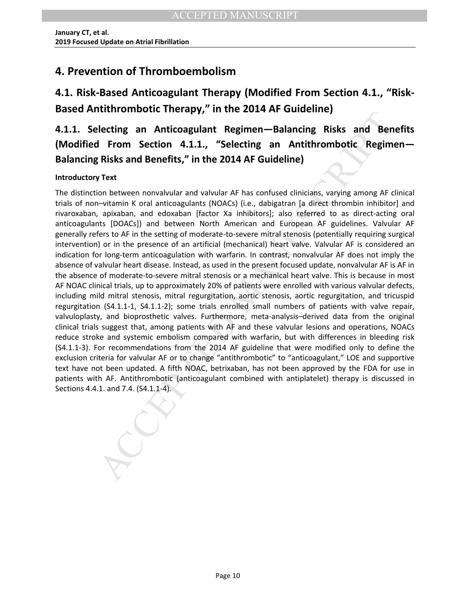## <span id="page-10-0"></span>**4. Prevention of Thromboembolism**

# <span id="page-10-1"></span>**4.1. Risk-Based Anticoagulant Therapy (Modified From Section 4.1., "Risk-Based Antithrombotic Therapy," in the 2014 AF Guideline)**

<span id="page-10-2"></span>**4.1.1. Selecting an Anticoagulant Regimen—Balancing Risks and Benefits (Modified From Section 4.1.1., "Selecting an Antithrombotic Regimen— Balancing Risks and Benefits," in the 2014 AF Guideline)** 

### **Introductory Text**

International Regimen—Balancing Risks and Bendemine (lectring an Anticoagulant Regimen—Balancing Risks and Bendemine (Regimen Manuscription 4.1.1., "Selectring an Antithrombotic Regimen Risks and Bendefits," in the 2014 AF The distinction between nonvalvular and valvular AF has confused clinicians, varying among AF clinical trials of non–vitamin K oral anticoagulants (NOACs) (i.e., dabigatran [a direct thrombin inhibitor] and rivaroxaban, apixaban, and edoxaban [factor Xa inhibitors]; also referred to as direct-acting oral anticoagulants [DOACs]) and between North American and European AF guidelines. Valvular AF generally refers to AF in the setting of moderate-to-severe mitral stenosis (potentially requiring surgical intervention) or in the presence of an artificial (mechanical) heart valve. Valvular AF is considered an indication for long-term anticoagulation with warfarin. In contrast, nonvalvular AF does not imply the absence of valvular heart disease. Instead, as used in the present focused update, nonvalvular AF is AF in the absence of moderate-to-severe mitral stenosis or a mechanical heart valve. This is because in most AF NOAC clinical trials, up to approximately 20% of patients were enrolled with various valvular defects, including mild mitral stenosis, mitral regurgitation, aortic stenosis, aortic regurgitation, and tricuspid regurgitation (S4.1.1-1, S4.1.1-2); some trials enrolled small numbers of patients with valve repair, valvuloplasty, and bioprosthetic valves. Furthermore, meta-analysis–derived data from the original clinical trials suggest that, among patients with AF and these valvular lesions and operations, NOACs reduce stroke and systemic embolism compared with warfarin, but with differences in bleeding risk (S4.1.1-3). For recommendations from the 2014 AF guideline that were modified only to define the exclusion criteria for valvular AF or to change "antithrombotic" to "anticoagulant," LOE and supportive text have not been updated. A fifth NOAC, betrixaban, has not been approved by the FDA for use in patients with AF. Antithrombotic (anticoagulant combined with antiplatelet) therapy is discussed in Sections 4.4.1. and 7.4. (S4.1.1-4).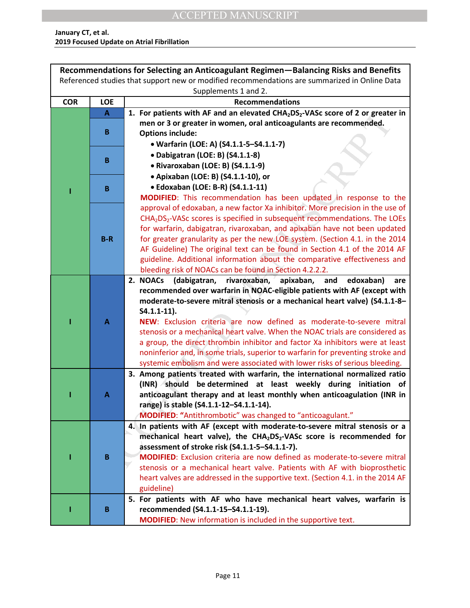| Recommendations for Selecting an Anticoagulant Regimen-Balancing Risks and Benefits           |              |                                                                                                         |
|-----------------------------------------------------------------------------------------------|--------------|---------------------------------------------------------------------------------------------------------|
| Referenced studies that support new or modified recommendations are summarized in Online Data |              |                                                                                                         |
| Supplements 1 and 2.                                                                          |              |                                                                                                         |
| <b>COR</b>                                                                                    | <b>LOE</b>   | <b>Recommendations</b>                                                                                  |
|                                                                                               | $\mathbf{A}$ | 1. For patients with AF and an elevated CHA <sub>2</sub> DS <sub>2</sub> -VASc score of 2 or greater in |
|                                                                                               |              | men or 3 or greater in women, oral anticoagulants are recommended.                                      |
|                                                                                               | B            | <b>Options include:</b>                                                                                 |
|                                                                                               |              | • Warfarin (LOE: A) (S4.1.1-5-S4.1.1-7)                                                                 |
|                                                                                               | B            | • Dabigatran (LOE: B) (S4.1.1-8)                                                                        |
|                                                                                               |              | · Rivaroxaban (LOE: B) (S4.1.1-9)                                                                       |
|                                                                                               |              | • Apixaban (LOE: B) (S4.1.1-10), or                                                                     |
|                                                                                               | B            | • Edoxaban (LOE: B-R) (S4.1.1-11)                                                                       |
|                                                                                               |              | MODIFIED: This recommendation has been updated in response to the                                       |
|                                                                                               |              | approval of edoxaban, a new factor Xa inhibitor. More precision in the use of                           |
|                                                                                               |              | CHA <sub>2</sub> DS <sub>2</sub> -VASc scores is specified in subsequent recommendations. The LOEs      |
|                                                                                               |              | for warfarin, dabigatran, rivaroxaban, and apixaban have not been updated                               |
|                                                                                               | $B-R$        | for greater granularity as per the new LOE system. (Section 4.1. in the 2014                            |
|                                                                                               |              | AF Guideline) The original text can be found in Section 4.1 of the 2014 AF                              |
|                                                                                               |              | guideline. Additional information about the comparative effectiveness and                               |
|                                                                                               |              | bleeding risk of NOACs can be found in Section 4.2.2.2.                                                 |
|                                                                                               |              | 2. NOACs (dabigatran, rivaroxaban,<br>apixaban,<br>and<br>edoxaban)<br>are                              |
|                                                                                               |              | recommended over warfarin in NOAC-eligible patients with AF (except with                                |
|                                                                                               |              | moderate-to-severe mitral stenosis or a mechanical heart valve) (S4.1.1-8-<br>$S4.1.1-11$ ).            |
|                                                                                               | $\mathbf{A}$ | NEW: Exclusion criteria are now defined as moderate-to-severe mitral                                    |
|                                                                                               |              | stenosis or a mechanical heart valve. When the NOAC trials are considered as                            |
|                                                                                               |              | a group, the direct thrombin inhibitor and factor Xa inhibitors were at least                           |
|                                                                                               |              | noninferior and, in some trials, superior to warfarin for preventing stroke and                         |
|                                                                                               |              | systemic embolism and were associated with lower risks of serious bleeding.                             |
|                                                                                               |              | 3. Among patients treated with warfarin, the international normalized ratio                             |
|                                                                                               |              | (INR) should be determined at least weekly during initiation of                                         |
|                                                                                               | A            | anticoagulant therapy and at least monthly when anticoagulation (INR in                                 |
|                                                                                               |              | range) is stable (S4.1.1-12-S4.1.1-14).                                                                 |
|                                                                                               |              | MODIFIED: "Antithrombotic" was changed to "anticoagulant."                                              |
|                                                                                               |              | 4. In patients with AF (except with moderate-to-severe mitral stenosis or a                             |
|                                                                                               |              | mechanical heart valve), the CHA <sub>2</sub> DS <sub>2</sub> -VASc score is recommended for            |
|                                                                                               |              | assessment of stroke risk (S4.1.1-5-S4.1.1-7).                                                          |
|                                                                                               | B            | <b>MODIFIED:</b> Exclusion criteria are now defined as moderate-to-severe mitral                        |
|                                                                                               |              | stenosis or a mechanical heart valve. Patients with AF with bioprosthetic                               |
|                                                                                               |              | heart valves are addressed in the supportive text. (Section 4.1. in the 2014 AF                         |
|                                                                                               |              | guideline)                                                                                              |
|                                                                                               |              | 5. For patients with AF who have mechanical heart valves, warfarin is                                   |
|                                                                                               | B            | recommended (S4.1.1-15-S4.1.1-19).                                                                      |
|                                                                                               |              | MODIFIED: New information is included in the supportive text.                                           |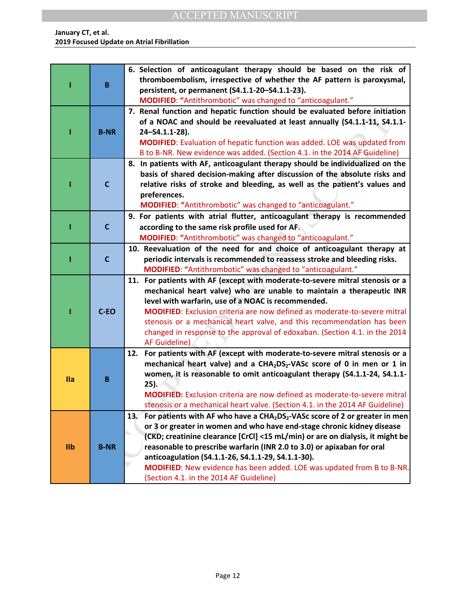## ACCEPTED MANUSCRIPT

#### **January CT, et al. 2019 Focused Update on Atrial Fibrillation**

|                |              | 6. Selection of anticoagulant therapy should be based on the risk of                                                                                                               |
|----------------|--------------|------------------------------------------------------------------------------------------------------------------------------------------------------------------------------------|
|                |              | thromboembolism, irrespective of whether the AF pattern is paroxysmal,                                                                                                             |
|                | B            | persistent, or permanent (S4.1.1-20-S4.1.1-23).                                                                                                                                    |
|                |              | MODIFIED: "Antithrombotic" was changed to "anticoagulant."                                                                                                                         |
|                |              | 7. Renal function and hepatic function should be evaluated before initiation                                                                                                       |
|                |              | of a NOAC and should be reevaluated at least annually (S4.1.1-11, S4.1.1-                                                                                                          |
|                | <b>B-NR</b>  | 24-S4.1.1-28).                                                                                                                                                                     |
|                |              | <b>MODIFIED:</b> Evaluation of hepatic function was added. LOE was updated from                                                                                                    |
|                |              | B to B-NR. New evidence was added. (Section 4.1. in the 2014 AF Guideline)                                                                                                         |
|                |              | 8. In patients with AF, anticoagulant therapy should be individualized on the                                                                                                      |
|                |              | basis of shared decision-making after discussion of the absolute risks and                                                                                                         |
|                | $\mathbf{C}$ | relative risks of stroke and bleeding, as well as the patient's values and                                                                                                         |
|                |              | preferences.                                                                                                                                                                       |
|                |              | MODIFIED: "Antithrombotic" was changed to "anticoagulant."                                                                                                                         |
|                |              | 9. For patients with atrial flutter, anticoagulant therapy is recommended                                                                                                          |
|                | $\mathbf{C}$ | according to the same risk profile used for AF.                                                                                                                                    |
|                |              | MODIFIED: "Antithrombotic" was changed to "anticoagulant."                                                                                                                         |
|                |              | 10. Reevaluation of the need for and choice of anticoagulant therapy at                                                                                                            |
|                | $\mathbf{C}$ | periodic intervals is recommended to reassess stroke and bleeding risks.                                                                                                           |
|                |              | MODIFIED: "Antithrombotic" was changed to "anticoagulant."                                                                                                                         |
|                |              | 11. For patients with AF (except with moderate-to-severe mitral stenosis or a                                                                                                      |
|                |              | mechanical heart valve) who are unable to maintain a therapeutic INR                                                                                                               |
|                |              | level with warfarin, use of a NOAC is recommended.                                                                                                                                 |
|                | C-EO         | <b>MODIFIED:</b> Exclusion criteria are now defined as moderate-to-severe mitral                                                                                                   |
|                |              | stenosis or a mechanical heart valve, and this recommendation has been                                                                                                             |
|                |              | changed in response to the approval of edoxaban. (Section 4.1. in the 2014                                                                                                         |
|                |              | AF Guideline)                                                                                                                                                                      |
|                |              | For patients with AF (except with moderate-to-severe mitral stenosis or a<br>12.<br>mechanical heart valve) and a CHA <sub>2</sub> DS <sub>2</sub> -VASc score of 0 in men or 1 in |
|                |              | women, it is reasonable to omit anticoagulant therapy (S4.1.1-24, S4.1.1-                                                                                                          |
| <b>Ila</b>     | B            | 25).                                                                                                                                                                               |
|                |              | <b>MODIFIED:</b> Exclusion criteria are now defined as moderate-to-severe mitral                                                                                                   |
|                |              | stenosis or a mechanical heart valve. (Section 4.1. in the 2014 AF Guideline)                                                                                                      |
|                |              | 13. For patients with AF who have a CHA <sub>2</sub> DS <sub>2</sub> -VASc score of 2 or greater in men                                                                            |
|                |              | or 3 or greater in women and who have end-stage chronic kidney disease                                                                                                             |
|                |              | (CKD; creatinine clearance [CrCl] <15 mL/min) or are on dialysis, it might be                                                                                                      |
| I <sub>1</sub> | <b>B-NR</b>  | reasonable to prescribe warfarin (INR 2.0 to 3.0) or apixaban for oral                                                                                                             |
|                |              | anticoagulation (S4.1.1-26, S4.1.1-29, S4.1.1-30).                                                                                                                                 |
|                |              | <b>MODIFIED:</b> New evidence has been added. LOE was updated from B to B-NR.                                                                                                      |
|                |              | (Section 4.1. in the 2014 AF Guideline)                                                                                                                                            |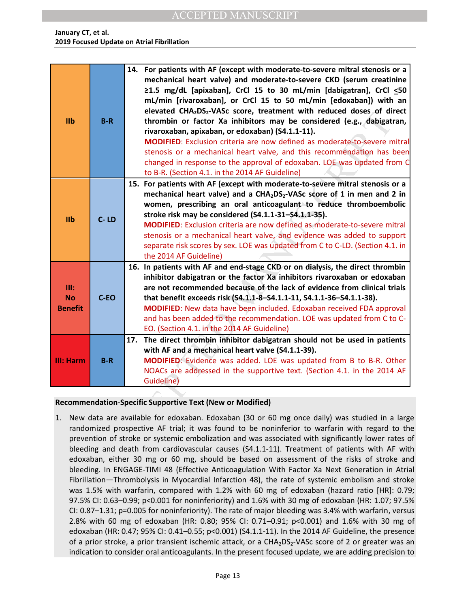| I <sub>1</sub>                      | $B-R$    | 14. For patients with AF (except with moderate-to-severe mitral stenosis or a<br>mechanical heart valve) and moderate-to-severe CKD (serum creatinine<br>≥1.5 mg/dL [apixaban], CrCl 15 to 30 mL/min [dabigatran], CrCl <50<br>mL/min [rivaroxaban], or CrCl 15 to 50 mL/min [edoxaban]) with an<br>elevated CHA <sub>2</sub> DS <sub>2</sub> -VASc score, treatment with reduced doses of direct<br>thrombin or factor Xa inhibitors may be considered (e.g., dabigatran,<br>rivaroxaban, apixaban, or edoxaban) (S4.1.1-11).<br><b>MODIFIED:</b> Exclusion criteria are now defined as moderate-to-severe mitral<br>stenosis or a mechanical heart valve, and this recommendation has been<br>changed in response to the approval of edoxaban. LOE was updated from C<br>to B-R. (Section 4.1. in the 2014 AF Guideline) |
|-------------------------------------|----------|----------------------------------------------------------------------------------------------------------------------------------------------------------------------------------------------------------------------------------------------------------------------------------------------------------------------------------------------------------------------------------------------------------------------------------------------------------------------------------------------------------------------------------------------------------------------------------------------------------------------------------------------------------------------------------------------------------------------------------------------------------------------------------------------------------------------------|
| IIb                                 | $C - LD$ | 15. For patients with AF (except with moderate-to-severe mitral stenosis or a<br>mechanical heart valve) and a CHA <sub>2</sub> DS <sub>2</sub> -VASc score of 1 in men and 2 in<br>women, prescribing an oral anticoagulant to reduce thromboembolic<br>stroke risk may be considered (S4.1.1-31-S4.1.1-35).<br><b>MODIFIED:</b> Exclusion criteria are now defined as moderate-to-severe mitral<br>stenosis or a mechanical heart valve, and evidence was added to support<br>separate risk scores by sex. LOE was updated from C to C-LD. (Section 4.1. in<br>the 2014 AF Guideline)                                                                                                                                                                                                                                    |
| III:<br><b>No</b><br><b>Benefit</b> | $C-EO$   | 16. In patients with AF and end-stage CKD or on dialysis, the direct thrombin<br>inhibitor dabigatran or the factor Xa inhibitors rivaroxaban or edoxaban<br>are not recommended because of the lack of evidence from clinical trials<br>that benefit exceeds risk (S4.1.1-8-S4.1.1-11, S4.1.1-36-S4.1.1-38).<br>MODIFIED: New data have been included. Edoxaban received FDA approval<br>and has been added to the recommendation. LOE was updated from C to C-<br>EO. (Section 4.1. in the 2014 AF Guideline)                                                                                                                                                                                                                                                                                                            |
| <b>III: Harm</b>                    | $B-R$    | The direct thrombin inhibitor dabigatran should not be used in patients<br>17.<br>with AF and a mechanical heart valve (S4.1.1-39).<br>MODIFIED: Evidence was added. LOE was updated from B to B-R. Other<br>NOACs are addressed in the supportive text. (Section 4.1. in the 2014 AF<br>Guideline)                                                                                                                                                                                                                                                                                                                                                                                                                                                                                                                        |
| 1.                                  |          | Recommendation-Specific Supportive Text (New or Modified)<br>New data are available for edoxaban. Edoxaban (30 or 60 mg once daily) was studied in a large<br>randomized prospective AF trial; it was found to be noninferior to warfarin with regard to the<br>prevention of stroke or systemic embolization and was associated with significantly lower rates o<br>bleeding and death from cardiovascular causes (S4.1.1-11). Treatment of patients with AF wit<br>edoxaban, either 30 mg or 60 mg, should be based on assessment of the risks of stroke and<br>bleeding. In ENGAGE-TIMI 48 (Effective Anticoagulation With Factor Xa Next Generation in Atria<br>Fibrillation—Thrombolysis in Myocardial Infarction 48), the rate of systemic embolism and strok                                                        |

### **Recommendation-Specific Supportive Text (New or Modified)**

1. New data are available for edoxaban. Edoxaban (30 or 60 mg once daily) was studied in a large randomized prospective AF trial; it was found to be noninferior to warfarin with regard to the prevention of stroke or systemic embolization and was associated with significantly lower rates of bleeding and death from cardiovascular causes (S4.1.1-11). Treatment of patients with AF with edoxaban, either 30 mg or 60 mg, should be based on assessment of the risks of stroke and bleeding. In ENGAGE-TIMI 48 (Effective Anticoagulation With Factor Xa Next Generation in Atrial Fibrillation—Thrombolysis in Myocardial Infarction 48), the rate of systemic embolism and stroke was 1.5% with warfarin, compared with 1.2% with 60 mg of edoxaban (hazard ratio [HR]: 0.79; 97.5% CI: 0.63–0.99; p<0.001 for noninferiority) and 1.6% with 30 mg of edoxaban (HR: 1.07; 97.5% CI: 0.87–1.31; p=0.005 for noninferiority). The rate of major bleeding was 3.4% with warfarin, versus 2.8% with 60 mg of edoxaban (HR: 0.80; 95% CI: 0.71–0.91; p<0.001) and 1.6% with 30 mg of edoxaban (HR: 0.47; 95% CI: 0.41–0.55; p<0.001) (S4.1.1-11). In the 2014 AF Guideline, the presence of a prior stroke, a prior transient ischemic attack, or a  $CHA<sub>2</sub>DS<sub>2</sub>-VASC$  score of 2 or greater was an indication to consider oral anticoagulants. In the present focused update, we are adding precision to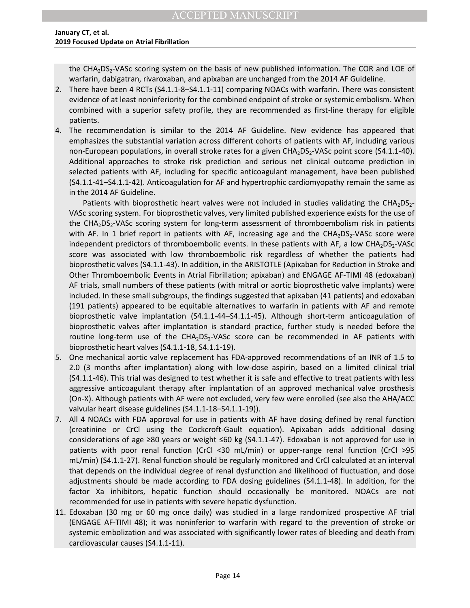the CHA<sub>2</sub>DS<sub>2</sub>-VASc scoring system on the basis of new published information. The COR and LOE of warfarin, dabigatran, rivaroxaban, and apixaban are unchanged from the 2014 AF Guideline.

- 2. There have been 4 RCTs (S4.1.1-8–S4.1.1-11) comparing NOACs with warfarin. There was consistent evidence of at least noninferiority for the combined endpoint of stroke or systemic embolism. When combined with a superior safety profile, they are recommended as first-line therapy for eligible patients.
- 4. The recommendation is similar to the 2014 AF Guideline. New evidence has appeared that emphasizes the substantial variation across different cohorts of patients with AF, including various non-European populations, in overall stroke rates for a given CHA<sub>2</sub>DS<sub>2</sub>-VASc point score (S4.1.1-40). Additional approaches to stroke risk prediction and serious net clinical outcome prediction in selected patients with AF, including for specific anticoagulant management, have been published (S4.1.1-41–S4.1.1-42). Anticoagulation for AF and hypertrophic cardiomyopathy remain the same as in the 2014 AF Guideline.

of with a superior sarety prome, they are recommended as inst-inter therapy for example to the control as instanted that similar to the 2014 AF Guideline. New evidence has appeared by considerate to streat for a given CHA<sub></sub> Patients with bioprosthetic heart valves were not included in studies validating the  $CHA<sub>2</sub>DS<sub>2</sub>$ -VASc scoring system. For bioprosthetic valves, very limited published experience exists for the use of the CHA<sub>2</sub>DS<sub>2</sub>-VASc scoring system for long-term assessment of thromboembolism risk in patients with AF. In 1 brief report in patients with AF, increasing age and the  $CHA<sub>2</sub>DS<sub>2</sub>-VASc$  score were independent predictors of thromboembolic events. In these patients with AF, a low  $CHA<sub>2</sub>DS<sub>2</sub>-VASC$ score was associated with low thromboembolic risk regardless of whether the patients had bioprosthetic valves (S4.1.1-43). In addition, in the ARISTOTLE (Apixaban for Reduction in Stroke and Other Thromboembolic Events in Atrial Fibrillation; apixaban) and ENGAGE AF-TIMI 48 (edoxaban) AF trials, small numbers of these patients (with mitral or aortic bioprosthetic valve implants) were included. In these small subgroups, the findings suggested that apixaban (41 patients) and edoxaban (191 patients) appeared to be equitable alternatives to warfarin in patients with AF and remote bioprosthetic valve implantation (S4.1.1-44–S4.1.1-45). Although short-term anticoagulation of bioprosthetic valves after implantation is standard practice, further study is needed before the routine long-term use of the  $CHA<sub>2</sub>DS<sub>2</sub>-VASC$  score can be recommended in AF patients with bioprosthetic heart valves (S4.1.1-18, S4.1.1-19).

- 5. One mechanical aortic valve replacement has FDA-approved recommendations of an INR of 1.5 to 2.0 (3 months after implantation) along with low-dose aspirin, based on a limited clinical trial (S4.1.1-46). This trial was designed to test whether it is safe and effective to treat patients with less aggressive anticoagulant therapy after implantation of an approved mechanical valve prosthesis (On-X). Although patients with AF were not excluded, very few were enrolled (see also the AHA/ACC valvular heart disease guidelines (S4.1.1-18–S4.1.1-19)).
- 7. All 4 NOACs with FDA approval for use in patients with AF have dosing defined by renal function (creatinine or CrCl using the Cockcroft-Gault equation). Apixaban adds additional dosing considerations of age ≥80 years or weight ≤60 kg (S4.1.1-47). Edoxaban is not approved for use in patients with poor renal function (CrCl <30 mL/min) or upper-range renal function (CrCl >95 mL/min) (S4.1.1-27). Renal function should be regularly monitored and CrCl calculated at an interval that depends on the individual degree of renal dysfunction and likelihood of fluctuation, and dose adjustments should be made according to FDA dosing guidelines (S4.1.1-48). In addition, for the factor Xa inhibitors, hepatic function should occasionally be monitored. NOACs are not recommended for use in patients with severe hepatic dysfunction.
- 11. Edoxaban (30 mg or 60 mg once daily) was studied in a large randomized prospective AF trial (ENGAGE AF-TIMI 48); it was noninferior to warfarin with regard to the prevention of stroke or systemic embolization and was associated with significantly lower rates of bleeding and death from cardiovascular causes (S4.1.1-11).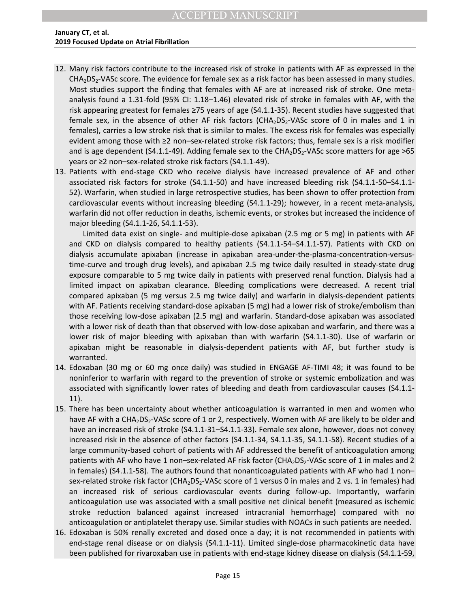- 12. Many risk factors contribute to the increased risk of stroke in patients with AF as expressed in the  $CHA<sub>2</sub>DS<sub>2</sub>-VASC score. The evidence for female sex as a risk factor has been assessed in many studies.$ Most studies support the finding that females with AF are at increased risk of stroke. One metaanalysis found a 1.31-fold (95% CI: 1.18–1.46) elevated risk of stroke in females with AF, with the risk appearing greatest for females ≥75 years of age (S4.1.1-35). Recent studies have suggested that female sex, in the absence of other AF risk factors ( $CHA<sub>2</sub>DS<sub>2</sub>-VASC$  score of 0 in males and 1 in females), carries a low stroke risk that is similar to males. The excess risk for females was especially evident among those with ≥2 non–sex-related stroke risk factors; thus, female sex is a risk modifier and is age dependent (S4.1.1-49). Adding female sex to the  $CHA<sub>2</sub>DS<sub>2</sub>$ -VASc score matters for age >65 years or ≥2 non–sex-related stroke risk factors (S4.1.1-49).
- 13. Patients with end-stage CKD who receive dialysis have increased prevalence of AF and other associated risk factors for stroke (S4.1.1-50) and have increased bleeding risk (S4.1.1-50–S4.1.1- 52). Warfarin, when studied in large retrospective studies, has been shown to offer protection from cardiovascular events without increasing bleeding (S4.1.1-29); however, in a recent meta-analysis, warfarin did not offer reduction in deaths, ischemic events, or strokes but increased the incidence of major bleeding (S4.1.1-26, S4.1.1-53).

Earling leadest to relations 2.75 years of alge (so-41.1-35). heteen taxe is a comparison and a generation and a generation and a generation and a generation and a generation and a generation and a generation and a generat Limited data exist on single- and multiple-dose apixaban (2.5 mg or 5 mg) in patients with AF and CKD on dialysis compared to healthy patients (S4.1.1-54–S4.1.1-57). Patients with CKD on dialysis accumulate apixaban (increase in apixaban area-under-the-plasma-concentration-versustime-curve and trough drug levels), and apixaban 2.5 mg twice daily resulted in steady-state drug exposure comparable to 5 mg twice daily in patients with preserved renal function. Dialysis had a limited impact on apixaban clearance. Bleeding complications were decreased. A recent trial compared apixaban (5 mg versus 2.5 mg twice daily) and warfarin in dialysis-dependent patients with AF. Patients receiving standard-dose apixaban (5 mg) had a lower risk of stroke/embolism than those receiving low-dose apixaban (2.5 mg) and warfarin. Standard-dose apixaban was associated with a lower risk of death than that observed with low-dose apixaban and warfarin, and there was a lower risk of major bleeding with apixaban than with warfarin (S4.1.1-30). Use of warfarin or apixaban might be reasonable in dialysis-dependent patients with AF, but further study is warranted.

- 14. Edoxaban (30 mg or 60 mg once daily) was studied in ENGAGE AF-TIMI 48; it was found to be noninferior to warfarin with regard to the prevention of stroke or systemic embolization and was associated with significantly lower rates of bleeding and death from cardiovascular causes (S4.1.1- 11).
- 15. There has been uncertainty about whether anticoagulation is warranted in men and women who have AF with a CHA<sub>2</sub>DS<sub>2</sub>-VASc score of 1 or 2, respectively. Women with AF are likely to be older and have an increased risk of stroke (S4.1.1-31–S4.1.1-33). Female sex alone, however, does not convey increased risk in the absence of other factors (S4.1.1-34, S4.1.1-35, S4.1.1-58). Recent studies of a large community-based cohort of patients with AF addressed the benefit of anticoagulation among patients with AF who have 1 non–sex-related AF risk factor (CHA<sub>2</sub>DS<sub>2</sub>-VASc score of 1 in males and 2 in females) (S4.1.1-58). The authors found that nonanticoagulated patients with AF who had 1 non– sex-related stroke risk factor (CHA<sub>2</sub>DS<sub>2</sub>-VASc score of 1 versus 0 in males and 2 vs. 1 in females) had an increased risk of serious cardiovascular events during follow-up. Importantly, warfarin anticoagulation use was associated with a small positive net clinical benefit (measured as ischemic stroke reduction balanced against increased intracranial hemorrhage) compared with no anticoagulation or antiplatelet therapy use. Similar studies with NOACs in such patients are needed.
- 16. Edoxaban is 50% renally excreted and dosed once a day; it is not recommended in patients with end-stage renal disease or on dialysis (S4.1.1-11). Limited single-dose pharmacokinetic data have been published for rivaroxaban use in patients with end-stage kidney disease on dialysis (S4.1.1-59,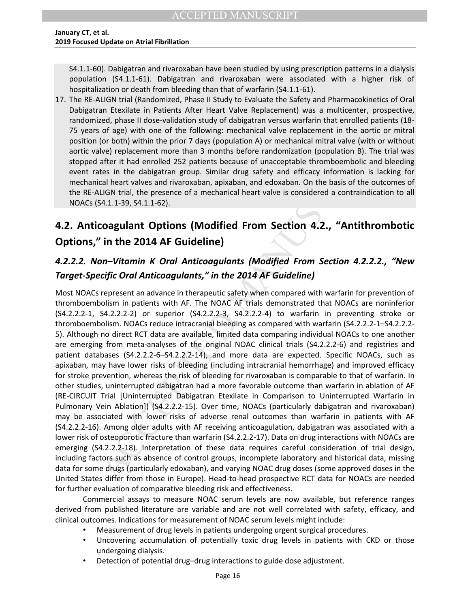S4.1.1-60). Dabigatran and rivaroxaban have been studied by using prescription patterns in a dialysis population (S4.1.1-61). Dabigatran and rivaroxaban were associated with a higher risk of hospitalization or death from bleeding than that of warfarin (S4.1.1-61).

17. The RE-ALIGN trial (Randomized, Phase II Study to Evaluate the Safety and Pharmacokinetics of Oral Dabigatran Etexilate in Patients After Heart Valve Replacement) was a multicenter, prospective, randomized, phase II dose-validation study of dabigatran versus warfarin that enrolled patients (18- 75 years of age) with one of the following: mechanical valve replacement in the aortic or mitral position (or both) within the prior 7 days (population A) or mechanical mitral valve (with or without aortic valve) replacement more than 3 months before randomization (population B). The trial was stopped after it had enrolled 252 patients because of unacceptable thromboembolic and bleeding event rates in the dabigatran group. Similar drug safety and efficacy information is lacking for mechanical heart valves and rivaroxaban, apixaban, and edoxaban. On the basis of the outcomes of the RE-ALIGN trial, the presence of a mechanical heart valve is considered a contraindication to all NOACs (S4.1.1-39, S4.1.1-62).

# <span id="page-16-0"></span>**4.2. Anticoagulant Options (Modified From Section 4.2., "Antithrombotic Options," in the 2014 AF Guideline)**

## *4.2.2.2. Non–Vitamin K Oral Anticoagulants (Modified From Section 4.2.2.2., "New Target-Specific Oral Anticoagulants," in the 2014 AF Guideline)*

an textuale in tractemics Auto-<br>The relation study of dabigatterine the star and teached pattern and teached pattern of the following: mechanical valve replacement in the aortic or<br>to for age) with one of the following: me Most NOACs represent an advance in therapeutic safety when compared with warfarin for prevention of thromboembolism in patients with AF. The NOAC AF trials demonstrated that NOACs are noninferior (S4.2.2.2-1, S4.2.2.2-2) or superior (S4.2.2.2-3, S4.2.2.2-4) to warfarin in preventing stroke or thromboembolism. NOACs reduce intracranial bleeding as compared with warfarin (S4.2.2.2-1–S4.2.2.2- 5). Although no direct RCT data are available, limited data comparing individual NOACs to one another are emerging from meta-analyses of the original NOAC clinical trials (S4.2.2.2-6) and registries and patient databases (S4.2.2.2-6–S4.2.2.2-14), and more data are expected. Specific NOACs, such as apixaban, may have lower risks of bleeding (including intracranial hemorrhage) and improved efficacy for stroke prevention, whereas the risk of bleeding for rivaroxaban is comparable to that of warfarin. In other studies, uninterrupted dabigatran had a more favorable outcome than warfarin in ablation of AF (RE-CIRCUIT Trial [Uninterrupted Dabigatran Etexilate in Comparison to Uninterrupted Warfarin in Pulmonary Vein Ablation]) (S4.2.2.2-15). Over time, NOACs (particularly dabigatran and rivaroxaban) may be associated with lower risks of adverse renal outcomes than warfarin in patients with AF (S4.2.2.2-16). Among older adults with AF receiving anticoagulation, dabigatran was associated with a lower risk of osteoporotic fracture than warfarin (S4.2.2.2-17). Data on drug interactions with NOACs are emerging (S4.2.2.2-18). Interpretation of these data requires careful consideration of trial design, including factors such as absence of control groups, incomplete laboratory and historical data, missing data for some drugs (particularly edoxaban), and varying NOAC drug doses (some approved doses in the United States differ from those in Europe). Head-to-head prospective RCT data for NOACs are needed for further evaluation of comparative bleeding risk and effectiveness.

Commercial assays to measure NOAC serum levels are now available, but reference ranges derived from published literature are variable and are not well correlated with safety, efficacy, and clinical outcomes. Indications for measurement of NOAC serum levels might include:

- Measurement of drug levels in patients undergoing urgent surgical procedures.
- Uncovering accumulation of potentially toxic drug levels in patients with CKD or those undergoing dialysis.
- Detection of potential drug–drug interactions to guide dose adjustment.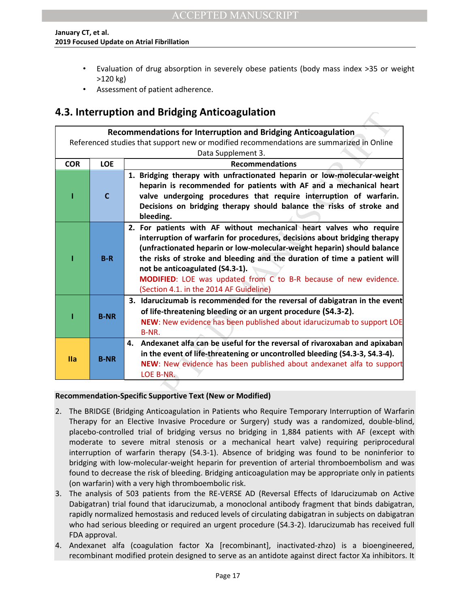- Evaluation of drug absorption in severely obese patients (body mass index >35 or weight >120 kg)
- Assessment of patient adherence.

## <span id="page-17-0"></span>**4.3. Interruption and Bridging Anticoagulation**

|            |             | 4.3. Interruption and Bridging Anticoagulation                                                                                                                                                                                                                                                                                                                                                                                                                                                                                                                                                                                                                                        |
|------------|-------------|---------------------------------------------------------------------------------------------------------------------------------------------------------------------------------------------------------------------------------------------------------------------------------------------------------------------------------------------------------------------------------------------------------------------------------------------------------------------------------------------------------------------------------------------------------------------------------------------------------------------------------------------------------------------------------------|
|            |             | <b>Recommendations for Interruption and Bridging Anticoagulation</b>                                                                                                                                                                                                                                                                                                                                                                                                                                                                                                                                                                                                                  |
|            |             | Referenced studies that support new or modified recommendations are summarized in Online                                                                                                                                                                                                                                                                                                                                                                                                                                                                                                                                                                                              |
|            |             | Data Supplement 3.                                                                                                                                                                                                                                                                                                                                                                                                                                                                                                                                                                                                                                                                    |
| <b>COR</b> | <b>LOE</b>  | <b>Recommendations</b>                                                                                                                                                                                                                                                                                                                                                                                                                                                                                                                                                                                                                                                                |
|            | $\mathbf c$ | 1. Bridging therapy with unfractionated heparin or low-molecular-weight<br>heparin is recommended for patients with AF and a mechanical heart<br>valve undergoing procedures that require interruption of warfarin.<br>Decisions on bridging therapy should balance the risks of stroke and<br>bleeding.                                                                                                                                                                                                                                                                                                                                                                              |
|            | $B-R$       | 2. For patients with AF without mechanical heart valves who require<br>interruption of warfarin for procedures, decisions about bridging therapy<br>(unfractionated heparin or low-molecular-weight heparin) should balance<br>the risks of stroke and bleeding and the duration of time a patient will<br>not be anticoagulated (S4.3-1).<br>MODIFIED: LOE was updated from C to B-R because of new evidence.<br>(Section 4.1. in the 2014 AF Guideline)                                                                                                                                                                                                                             |
|            | <b>B-NR</b> | 3. Idarucizumab is recommended for the reversal of dabigatran in the event<br>of life-threatening bleeding or an urgent procedure (S4.3-2).<br>NEW: New evidence has been published about idarucizumab to support LOE<br>B-NR.                                                                                                                                                                                                                                                                                                                                                                                                                                                        |
| <b>Ila</b> | <b>B-NR</b> | Andexanet alfa can be useful for the reversal of rivaroxaban and apixaban<br>4.<br>in the event of life-threatening or uncontrolled bleeding (S4.3-3, S4.3-4).<br>NEW: New evidence has been published about andexanet alfa to support<br>LOE B-NR.                                                                                                                                                                                                                                                                                                                                                                                                                                   |
|            |             |                                                                                                                                                                                                                                                                                                                                                                                                                                                                                                                                                                                                                                                                                       |
|            |             | Recommendation-Specific Supportive Text (New or Modified)                                                                                                                                                                                                                                                                                                                                                                                                                                                                                                                                                                                                                             |
| 2.         |             | The BRIDGE (Bridging Anticoagulation in Patients who Require Temporary Interruption of Warfa<br>Therapy for an Elective Invasive Procedure or Surgery) study was a randomized, double-blii<br>placebo-controlled trial of bridging versus no bridging in 1,884 patients with AF (except w<br>moderate to severe mitral stenosis or a mechanical heart valve) requiring periprocedu<br>interruption of warfarin therapy (S4.3-1). Absence of bridging was found to be noninferior<br>bridging with low-molecular-weight heparin for prevention of arterial thromboembolism and w<br>found to decrease the risk of bleeding. Bridging anticoagulation may be appropriate only in patier |

#### **Recommendation-Specific Supportive Text (New or Modified)**

- 2. The BRIDGE (Bridging Anticoagulation in Patients who Require Temporary Interruption of Warfarin Therapy for an Elective Invasive Procedure or Surgery) study was a randomized, double-blind, placebo-controlled trial of bridging versus no bridging in 1,884 patients with AF (except with moderate to severe mitral stenosis or a mechanical heart valve) requiring periprocedural interruption of warfarin therapy (S4.3-1). Absence of bridging was found to be noninferior to bridging with low-molecular-weight heparin for prevention of arterial thromboembolism and was found to decrease the risk of bleeding. Bridging anticoagulation may be appropriate only in patients (on warfarin) with a very high thromboembolic risk.
- 3. The analysis of 503 patients from the RE-VERSE AD (Reversal Effects of Idarucizumab on Active Dabigatran) trial found that idarucizumab, a monoclonal antibody fragment that binds dabigatran, rapidly normalized hemostasis and reduced levels of circulating dabigatran in subjects on dabigatran who had serious bleeding or required an urgent procedure (S4.3-2). Idarucizumab has received full FDA approval.
- 4. Andexanet alfa (coagulation factor Xa [recombinant], inactivated-zhzo) is a bioengineered, recombinant modified protein designed to serve as an antidote against direct factor Xa inhibitors. It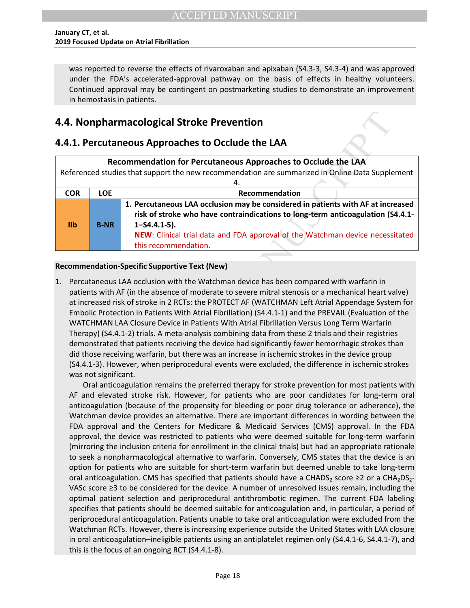was reported to reverse the effects of rivaroxaban and apixaban (S4.3-3, S4.3-4) and was approved under the FDA's accelerated-approval pathway on the basis of effects in healthy volunteers. Continued approval may be contingent on postmarketing studies to demonstrate an improvement in hemostasis in patients.

## <span id="page-18-0"></span>**4.4. Nonpharmacological Stroke Prevention**

## <span id="page-18-1"></span>**4.4.1. Percutaneous Approaches to Occlude the LAA**

| Recommendation for Percutaneous Approaches to Occlude the LAA<br>Referenced studies that support the new recommendation are summarized in Online Data Supplement |             |                                                                                                                                                                                                                                                                                                     |
|------------------------------------------------------------------------------------------------------------------------------------------------------------------|-------------|-----------------------------------------------------------------------------------------------------------------------------------------------------------------------------------------------------------------------------------------------------------------------------------------------------|
|                                                                                                                                                                  |             |                                                                                                                                                                                                                                                                                                     |
| <b>COR</b>                                                                                                                                                       | <b>LOE</b>  | Recommendation                                                                                                                                                                                                                                                                                      |
| I <sub>1</sub>                                                                                                                                                   | <b>B-NR</b> | 1. Percutaneous LAA occlusion may be considered in patients with AF at increased<br>risk of stroke who have contraindications to long-term anticoagulation (S4.4.1-<br>$1 - S4.4.1 - 5$ ).<br>NEW: Clinical trial data and FDA approval of the Watchman device necessitated<br>this recommendation. |

### **Recommendation-Specific Supportive Text (New)**

**CONTINUON CONTINUON CONTINUO CONTINUO CONTINUO CONTINUO CONTINUO CONTINUO CONTINUO A RECOMMEND SURFACT AND SURFACT AND SURFACT AND SURFACT AND SURFACT AND SURFACT AND SURFACT AND SURFACT AND AN ACCEPTED AREA (THE THE THE** 1. Percutaneous LAA occlusion with the Watchman device has been compared with warfarin in patients with AF (in the absence of moderate to severe mitral stenosis or a mechanical heart valve) at increased risk of stroke in 2 RCTs: the PROTECT AF (WATCHMAN Left Atrial Appendage System for Embolic Protection in Patients With Atrial Fibrillation) (S4.4.1-1) and the PREVAIL (Evaluation of the WATCHMAN LAA Closure Device in Patients With Atrial Fibrillation Versus Long Term Warfarin Therapy) (S4.4.1-2) trials. A meta-analysis combining data from these 2 trials and their registries demonstrated that patients receiving the device had significantly fewer hemorrhagic strokes than did those receiving warfarin, but there was an increase in ischemic strokes in the device group (S4.4.1-3). However, when periprocedural events were excluded, the difference in ischemic strokes was not significant.

 Oral anticoagulation remains the preferred therapy for stroke prevention for most patients with AF and elevated stroke risk. However, for patients who are poor candidates for long-term oral anticoagulation (because of the propensity for bleeding or poor drug tolerance or adherence), the Watchman device provides an alternative. There are important differences in wording between the FDA approval and the Centers for Medicare & Medicaid Services (CMS) approval. In the FDA approval, the device was restricted to patients who were deemed suitable for long-term warfarin (mirroring the inclusion criteria for enrollment in the clinical trials) but had an appropriate rationale to seek a nonpharmacological alternative to warfarin. Conversely, CMS states that the device is an option for patients who are suitable for short-term warfarin but deemed unable to take long-term oral anticoagulation. CMS has specified that patients should have a CHADS<sub>2</sub> score  $\geq 2$  or a CHA<sub>2</sub>DS<sub>2</sub>-VASc score ≥3 to be considered for the device. A number of unresolved issues remain, including the optimal patient selection and periprocedural antithrombotic regimen. The current FDA labeling specifies that patients should be deemed suitable for anticoagulation and, in particular, a period of periprocedural anticoagulation. Patients unable to take oral anticoagulation were excluded from the Watchman RCTs. However, there is increasing experience outside the United States with LAA closure in oral anticoagulation–ineligible patients using an antiplatelet regimen only (S4.4.1-6, S4.4.1-7), and this is the focus of an ongoing RCT (S4.4.1-8).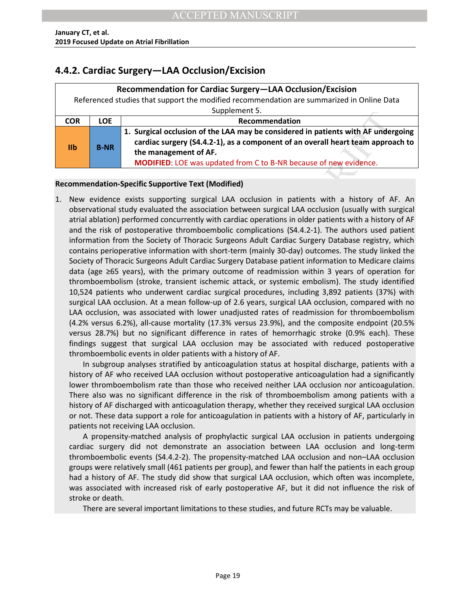## <span id="page-19-0"></span>**4.4.2. Cardiac Surgery—LAA Occlusion/Excision**

| Recommendation for Cardiac Surgery-LAA Occlusion/Excision                                 |             |                                                                                   |  |
|-------------------------------------------------------------------------------------------|-------------|-----------------------------------------------------------------------------------|--|
| Referenced studies that support the modified recommendation are summarized in Online Data |             |                                                                                   |  |
| Supplement 5.                                                                             |             |                                                                                   |  |
| <b>COR</b>                                                                                | <b>LOE</b>  | Recommendation                                                                    |  |
| I <sub>1</sub>                                                                            | <b>B-NR</b> | 1. Surgical occlusion of the LAA may be considered in patients with AF undergoing |  |
|                                                                                           |             | cardiac surgery (S4.4.2-1), as a component of an overall heart team approach to   |  |
|                                                                                           |             | the management of AF.                                                             |  |
|                                                                                           |             | MODIFIED: LOE was updated from C to B-NR because of new evidence.                 |  |

### **Recommendation-Specific Supportive Text (Modified)**

Supprementation<br>
1. Surgical occlusion of the LAA may be considered in patients with AF under<br>
are diac surgery (54.4.2.1), as a component of an overall heart team approx<br>
the management of AF.<br>
MODIFIED: LOE was updated f 1. New evidence exists supporting surgical LAA occlusion in patients with a history of AF. An observational study evaluated the association between surgical LAA occlusion (usually with surgical atrial ablation) performed concurrently with cardiac operations in older patients with a history of AF and the risk of postoperative thromboembolic complications (S4.4.2-1). The authors used patient information from the Society of Thoracic Surgeons Adult Cardiac Surgery Database registry, which contains perioperative information with short-term (mainly 30-day) outcomes. The study linked the Society of Thoracic Surgeons Adult Cardiac Surgery Database patient information to Medicare claims data (age ≥65 years), with the primary outcome of readmission within 3 years of operation for thromboembolism (stroke, transient ischemic attack, or systemic embolism). The study identified 10,524 patients who underwent cardiac surgical procedures, including 3,892 patients (37%) with surgical LAA occlusion. At a mean follow-up of 2.6 years, surgical LAA occlusion, compared with no LAA occlusion, was associated with lower unadjusted rates of readmission for thromboembolism (4.2% versus 6.2%), all-cause mortality (17.3% versus 23.9%), and the composite endpoint (20.5% versus 28.7%) but no significant difference in rates of hemorrhagic stroke (0.9% each). These findings suggest that surgical LAA occlusion may be associated with reduced postoperative thromboembolic events in older patients with a history of AF.

 In subgroup analyses stratified by anticoagulation status at hospital discharge, patients with a history of AF who received LAA occlusion without postoperative anticoagulation had a significantly lower thromboembolism rate than those who received neither LAA occlusion nor anticoagulation. There also was no significant difference in the risk of thromboembolism among patients with a history of AF discharged with anticoagulation therapy, whether they received surgical LAA occlusion or not. These data support a role for anticoagulation in patients with a history of AF, particularly in patients not receiving LAA occlusion.

 A propensity-matched analysis of prophylactic surgical LAA occlusion in patients undergoing cardiac surgery did not demonstrate an association between LAA occlusion and long-term thromboembolic events (S4.4.2-2). The propensity-matched LAA occlusion and non–LAA occlusion groups were relatively small (461 patients per group), and fewer than half the patients in each group had a history of AF. The study did show that surgical LAA occlusion, which often was incomplete, was associated with increased risk of early postoperative AF, but it did not influence the risk of stroke or death.

There are several important limitations to these studies, and future RCTs may be valuable.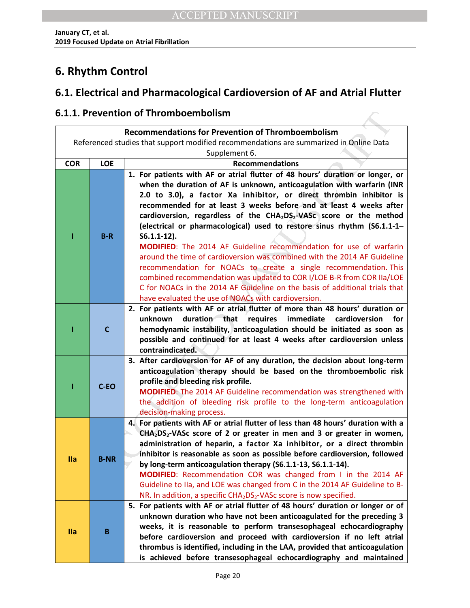# <span id="page-20-0"></span>**6. Rhythm Control**

## <span id="page-20-1"></span>**6.1. Electrical and Pharmacological Cardioversion of AF and Atrial Flutter**

## <span id="page-20-2"></span>**6.1.1. Prevention of Thromboembolism**

| 6.1.1. Prevention of Thromboembolism                     |              |                                                                                                                                                                                                                                                                                                                                                                                                                                                                                                                                                                                                                                                                                                                                                                                                                                                                                                                                              |  |
|----------------------------------------------------------|--------------|----------------------------------------------------------------------------------------------------------------------------------------------------------------------------------------------------------------------------------------------------------------------------------------------------------------------------------------------------------------------------------------------------------------------------------------------------------------------------------------------------------------------------------------------------------------------------------------------------------------------------------------------------------------------------------------------------------------------------------------------------------------------------------------------------------------------------------------------------------------------------------------------------------------------------------------------|--|
| <b>Recommendations for Prevention of Thromboembolism</b> |              |                                                                                                                                                                                                                                                                                                                                                                                                                                                                                                                                                                                                                                                                                                                                                                                                                                                                                                                                              |  |
|                                                          |              | Referenced studies that support modified recommendations are summarized in Online Data                                                                                                                                                                                                                                                                                                                                                                                                                                                                                                                                                                                                                                                                                                                                                                                                                                                       |  |
|                                                          |              | Supplement 6.                                                                                                                                                                                                                                                                                                                                                                                                                                                                                                                                                                                                                                                                                                                                                                                                                                                                                                                                |  |
| <b>COR</b>                                               | <b>LOE</b>   | <b>Recommendations</b>                                                                                                                                                                                                                                                                                                                                                                                                                                                                                                                                                                                                                                                                                                                                                                                                                                                                                                                       |  |
|                                                          | $B-R$        | 1. For patients with AF or atrial flutter of 48 hours' duration or longer, or<br>when the duration of AF is unknown, anticoagulation with warfarin (INR<br>2.0 to 3.0), a factor Xa inhibitor, or direct thrombin inhibitor is<br>recommended for at least 3 weeks before and at least 4 weeks after<br>cardioversion, regardless of the CHA <sub>2</sub> DS <sub>2</sub> -VASc score or the method<br>(electrical or pharmacological) used to restore sinus rhythm (S6.1.1-1-<br>$S6.1.1-12$ ).<br><b>MODIFIED:</b> The 2014 AF Guideline recommendation for use of warfarin<br>around the time of cardioversion was combined with the 2014 AF Guideline<br>recommendation for NOACs to create a single recommendation. This<br>combined recommendation was updated to COR I/LOE B-R from COR IIa/LOE<br>C for NOACs in the 2014 AF Guideline on the basis of additional trials that<br>have evaluated the use of NOACs with cardioversion. |  |
|                                                          | $\mathsf{C}$ | 2. For patients with AF or atrial flutter of more than 48 hours' duration or<br>unknown<br>duration that<br>requires<br>immediate<br>cardioversion<br>for<br>hemodynamic instability, anticoagulation should be initiated as soon as<br>possible and continued for at least 4 weeks after cardioversion unless<br>contraindicated.                                                                                                                                                                                                                                                                                                                                                                                                                                                                                                                                                                                                           |  |
|                                                          | C-EO         | 3. After cardioversion for AF of any duration, the decision about long-term<br>anticoagulation therapy should be based on the thromboembolic risk<br>profile and bleeding risk profile.<br>MODIFIED: The 2014 AF Guideline recommendation was strengthened with<br>the addition of bleeding risk profile to the long-term anticoagulation<br>decision-making process.                                                                                                                                                                                                                                                                                                                                                                                                                                                                                                                                                                        |  |
| <b>Ila</b>                                               | <b>B-NR</b>  | 4. For patients with AF or atrial flutter of less than 48 hours' duration with a<br>$CHA2DS2-VASC score of 2 or greater in men and 3 or greater in women,$<br>administration of heparin, a factor Xa inhibitor, or a direct thrombin<br>inhibitor is reasonable as soon as possible before cardioversion, followed<br>by long-term anticoagulation therapy (S6.1.1-13, S6.1.1-14).<br>MODIFIED: Recommendation COR was changed from I in the 2014 AF<br>Guideline to IIa, and LOE was changed from C in the 2014 AF Guideline to B-<br>NR. In addition, a specific CHA <sub>2</sub> DS <sub>2</sub> -VASc score is now specified.                                                                                                                                                                                                                                                                                                            |  |
| <b>Ila</b>                                               | B            | 5. For patients with AF or atrial flutter of 48 hours' duration or longer or of<br>unknown duration who have not been anticoagulated for the preceding 3<br>weeks, it is reasonable to perform transesophageal echocardiography<br>before cardioversion and proceed with cardioversion if no left atrial<br>thrombus is identified, including in the LAA, provided that anticoagulation<br>is achieved before transesophageal echocardiography and maintained                                                                                                                                                                                                                                                                                                                                                                                                                                                                                |  |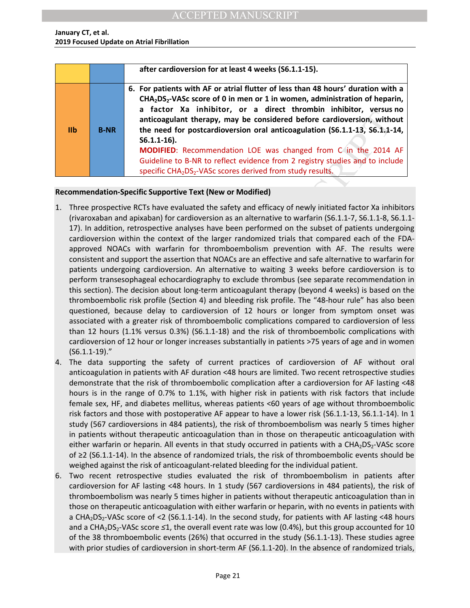|                |             | after cardioversion for at least 4 weeks (S6.1.1-15).                                                                                                                                                                                                                                                                                                                                                                                                                                                                                                                                                                                                        |
|----------------|-------------|--------------------------------------------------------------------------------------------------------------------------------------------------------------------------------------------------------------------------------------------------------------------------------------------------------------------------------------------------------------------------------------------------------------------------------------------------------------------------------------------------------------------------------------------------------------------------------------------------------------------------------------------------------------|
| I <sub>1</sub> | <b>B-NR</b> | 6. For patients with AF or atrial flutter of less than 48 hours' duration with a<br>$CHA2DS2$ -VASc score of 0 in men or 1 in women, administration of heparin,<br>a factor Xa inhibitor, or a direct thrombin inhibitor, versus no<br>anticoagulant therapy, may be considered before cardioversion, without<br>the need for postcardioversion oral anticoagulation (S6.1.1-13, S6.1.1-14,<br>$S6.1.1-16$ ).<br><b>MODIFIED:</b> Recommendation LOE was changed from C in the 2014 AF<br>Guideline to B-NR to reflect evidence from 2 registry studies and to include<br>specific CHA <sub>2</sub> DS <sub>2</sub> -VASc scores derived from study results. |

### **Recommendation-Specific Supportive Text (New or Modified)**

- **EXERCT AS THURCH CONSIDERATION** of a curver infundiont, whis the need of prostcardioversion, with the need of prostcardioversion oral anticoagulation (56.1.1-15).<br> **S6.1.1-16).**<br>
MODIFIED: Recommendation LOE was changed f 1. Three prospective RCTs have evaluated the safety and efficacy of newly initiated factor Xa inhibitors (rivaroxaban and apixaban) for cardioversion as an alternative to warfarin (S6.1.1-7, S6.1.1-8, S6.1.1- 17). In addition, retrospective analyses have been performed on the subset of patients undergoing cardioversion within the context of the larger randomized trials that compared each of the FDAapproved NOACs with warfarin for thromboembolism prevention with AF. The results were consistent and support the assertion that NOACs are an effective and safe alternative to warfarin for patients undergoing cardioversion. An alternative to waiting 3 weeks before cardioversion is to perform transesophageal echocardiography to exclude thrombus (see separate recommendation in this section). The decision about long-term anticoagulant therapy (beyond 4 weeks) is based on the thromboembolic risk profile (Section 4) and bleeding risk profile. The "48-hour rule" has also been questioned, because delay to cardioversion of 12 hours or longer from symptom onset was associated with a greater risk of thromboembolic complications compared to cardioversion of less than 12 hours (1.1% versus 0.3%) (S6.1.1-18) and the risk of thromboembolic complications with cardioversion of 12 hour or longer increases substantially in patients >75 years of age and in women (S6.1.1-19)."
- 4. The data supporting the safety of current practices of cardioversion of AF without oral anticoagulation in patients with AF duration <48 hours are limited. Two recent retrospective studies demonstrate that the risk of thromboembolic complication after a cardioversion for AF lasting <48 hours is in the range of 0.7% to 1.1%, with higher risk in patients with risk factors that include female sex, HF, and diabetes mellitus, whereas patients <60 years of age without thromboembolic risk factors and those with postoperative AF appear to have a lower risk (S6.1.1-13, S6.1.1-14). In 1 study (567 cardioversions in 484 patients), the risk of thromboembolism was nearly 5 times higher in patients without therapeutic anticoagulation than in those on therapeutic anticoagulation with either warfarin or heparin. All events in that study occurred in patients with a CHA<sub>2</sub>DS<sub>2</sub>-VASc score of ≥2 (S6.1.1-14). In the absence of randomized trials, the risk of thromboembolic events should be weighed against the risk of anticoagulant-related bleeding for the individual patient.
- 6. Two recent retrospective studies evaluated the risk of thromboembolism in patients after cardioversion for AF lasting <48 hours. In 1 study (567 cardioversions in 484 patients), the risk of thromboembolism was nearly 5 times higher in patients without therapeutic anticoagulation than in those on therapeutic anticoagulation with either warfarin or heparin, with no events in patients with a CHA<sub>2</sub>DS<sub>2</sub>-VASc score of <2 (S6.1.1-14). In the second study, for patients with AF lasting <48 hours and a CHA<sub>2</sub>DS<sub>2</sub>-VASc score ≤1, the overall event rate was low (0.4%), but this group accounted for 10 of the 38 thromboembolic events (26%) that occurred in the study (S6.1.1-13). These studies agree with prior studies of cardioversion in short-term AF (S6.1.1-20). In the absence of randomized trials,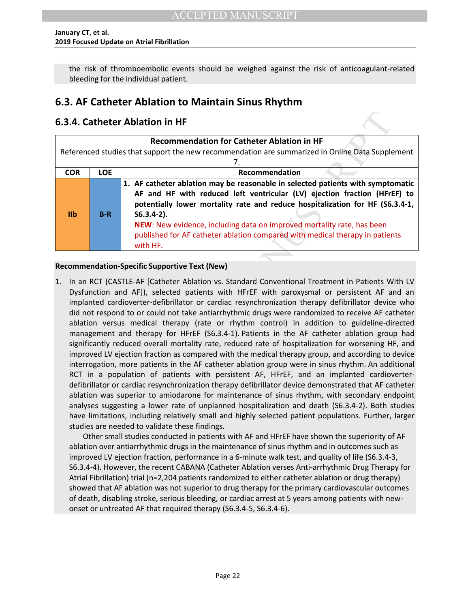the risk of thromboembolic events should be weighed against the risk of anticoagulant-related bleeding for the individual patient.

## <span id="page-22-0"></span>**6.3. AF Catheter Ablation to Maintain Sinus Rhythm**

## <span id="page-22-1"></span>**6.3.4. Catheter Ablation in HF**

| <b>Recommendation for Catheter Ablation in HF</b> |                                     |                                                                                                                                                                                                                                                                                                                                                                                                                                      |  |
|---------------------------------------------------|-------------------------------------|--------------------------------------------------------------------------------------------------------------------------------------------------------------------------------------------------------------------------------------------------------------------------------------------------------------------------------------------------------------------------------------------------------------------------------------|--|
|                                                   |                                     | Referenced studies that support the new recommendation are summarized in Online Data Supplement                                                                                                                                                                                                                                                                                                                                      |  |
|                                                   |                                     |                                                                                                                                                                                                                                                                                                                                                                                                                                      |  |
| <b>COR</b>                                        | <b>LOE</b><br><b>Recommendation</b> |                                                                                                                                                                                                                                                                                                                                                                                                                                      |  |
| I <sub>1</sub>                                    | $B-R$                               | 1. AF catheter ablation may be reasonable in selected patients with symptomatic<br>AF and HF with reduced left ventricular (LV) ejection fraction (HFrEF) to<br>potentially lower mortality rate and reduce hospitalization for HF (S6.3.4-1,<br>$S6.3.4-2$ ).<br>NEW: New evidence, including data on improved mortality rate, has been<br>published for AF catheter ablation compared with medical therapy in patients<br>with HF. |  |

#### **Recommendation-Specific Supportive Text (New)**

**heter Ablation in HF**<br> **Recommendation for Catheter Ablation in HF**<br> **Recommendation for Catheter Ablation in HF**<br> **Recommendation**<br> **ACCEPTED ACCEPTED ACCEPTED ACCEPTED ACCEPTED ACCEPTED ACCEPTED ACCEPTED ACCEPTED ACCEPT** 1. In an RCT (CASTLE-AF [Catheter Ablation vs. Standard Conventional Treatment in Patients With LV Dysfunction and AF]), selected patients with HFrEF with paroxysmal or persistent AF and an implanted cardioverter-defibrillator or cardiac resynchronization therapy defibrillator device who did not respond to or could not take antiarrhythmic drugs were randomized to receive AF catheter ablation versus medical therapy (rate or rhythm control) in addition to guideline-directed management and therapy for HFrEF (S6.3.4-1). Patients in the AF catheter ablation group had significantly reduced overall mortality rate, reduced rate of hospitalization for worsening HF, and improved LV ejection fraction as compared with the medical therapy group, and according to device interrogation, more patients in the AF catheter ablation group were in sinus rhythm. An additional RCT in a population of patients with persistent AF, HFrEF, and an implanted cardioverterdefibrillator or cardiac resynchronization therapy defibrillator device demonstrated that AF catheter ablation was superior to amiodarone for maintenance of sinus rhythm, with secondary endpoint analyses suggesting a lower rate of unplanned hospitalization and death (S6.3.4-2). Both studies have limitations, including relatively small and highly selected patient populations. Further, larger studies are needed to validate these findings.

<span id="page-22-2"></span> Other small studies conducted in patients with AF and HFrEF have shown the superiority of AF ablation over antiarrhythmic drugs in the maintenance of sinus rhythm and in outcomes such as improved LV ejection fraction, performance in a 6-minute walk test, and quality of life (S6.3.4-3, S6.3.4-4). However, the recent CABANA (Catheter Ablation verses Anti-arrhythmic Drug Therapy for Atrial Fibrillation) trial (n=2,204 patients randomized to either catheter ablation or drug therapy) showed that AF ablation was not superior to drug therapy for the primary cardiovascular outcomes of death, disabling stroke, serious bleeding, or cardiac arrest at 5 years among patients with newonset or untreated AF that required therapy (S6.3.4-5, S6.3.4-6).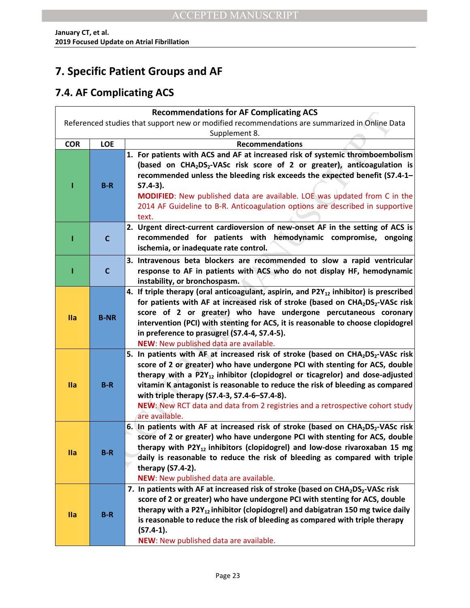# **7. Specific Patient Groups and AF**

# <span id="page-23-0"></span>**7.4. AF Complicating ACS**

| <b>Recommendations for AF Complicating ACS</b>                                                |             |                                                                                                                                                                                                                                                                                                                                                                                                                                                                                                                  |
|-----------------------------------------------------------------------------------------------|-------------|------------------------------------------------------------------------------------------------------------------------------------------------------------------------------------------------------------------------------------------------------------------------------------------------------------------------------------------------------------------------------------------------------------------------------------------------------------------------------------------------------------------|
| Referenced studies that support new or modified recommendations are summarized in Online Data |             |                                                                                                                                                                                                                                                                                                                                                                                                                                                                                                                  |
| Supplement 8.                                                                                 |             |                                                                                                                                                                                                                                                                                                                                                                                                                                                                                                                  |
| <b>COR</b>                                                                                    | <b>LOE</b>  | <b>Recommendations</b>                                                                                                                                                                                                                                                                                                                                                                                                                                                                                           |
|                                                                                               |             | 1. For patients with ACS and AF at increased risk of systemic thromboembolism                                                                                                                                                                                                                                                                                                                                                                                                                                    |
|                                                                                               | $B-R$       | (based on CHA <sub>2</sub> DS <sub>2</sub> -VASc risk score of 2 or greater), anticoagulation is<br>recommended unless the bleeding risk exceeds the expected benefit (S7.4-1-<br>$S7.4-3$ ).<br><b>MODIFIED:</b> New published data are available. LOE was updated from C in the<br>2014 AF Guideline to B-R. Anticoagulation options are described in supportive<br>text.                                                                                                                                      |
|                                                                                               |             | 2. Urgent direct-current cardioversion of new-onset AF in the setting of ACS is                                                                                                                                                                                                                                                                                                                                                                                                                                  |
|                                                                                               | C           | recommended for patients with hemodynamic compromise, ongoing<br>ischemia, or inadequate rate control.                                                                                                                                                                                                                                                                                                                                                                                                           |
|                                                                                               |             | 3. Intravenous beta blockers are recommended to slow a rapid ventricular                                                                                                                                                                                                                                                                                                                                                                                                                                         |
|                                                                                               | $\mathbf c$ | response to AF in patients with ACS who do not display HF, hemodynamic                                                                                                                                                                                                                                                                                                                                                                                                                                           |
|                                                                                               |             | instability, or bronchospasm.                                                                                                                                                                                                                                                                                                                                                                                                                                                                                    |
| <b>Ila</b>                                                                                    | <b>B-NR</b> | 4. If triple therapy (oral anticoagulant, aspirin, and $P2Y_{12}$ inhibitor) is prescribed<br>for patients with AF at increased risk of stroke (based on CHA2DS2-VASc risk<br>score of 2 or greater) who have undergone percutaneous coronary<br>intervention (PCI) with stenting for ACS, it is reasonable to choose clopidogrel<br>in preference to prasugrel (S7.4-4, S7.4-5).<br>NEW: New published data are available.                                                                                      |
| <b>Ila</b>                                                                                    | $B-R$       | 5. In patients with AF at increased risk of stroke (based on CHA <sub>2</sub> DS <sub>2</sub> -VASc risk<br>score of 2 or greater) who have undergone PCI with stenting for ACS, double<br>therapy with a $P2Y_{12}$ inhibitor (clopidogrel or ticagrelor) and dose-adjusted<br>vitamin K antagonist is reasonable to reduce the risk of bleeding as compared<br>with triple therapy (S7.4-3, S7.4-6-S7.4-8).<br>NEW: New RCT data and data from 2 registries and a retrospective cohort study<br>are available. |
| <b>Ila</b>                                                                                    | $B-R$       | 6. In patients with AF at increased risk of stroke (based on CHA <sub>2</sub> DS <sub>2</sub> -VASc risk<br>score of 2 or greater) who have undergone PCI with stenting for ACS, double<br>therapy with P2Y <sub>12</sub> inhibitors (clopidogrel) and low-dose rivaroxaban 15 mg<br>daily is reasonable to reduce the risk of bleeding as compared with triple<br>therapy (S7.4-2).<br>NEW: New published data are available.                                                                                   |
| <b>Ila</b>                                                                                    | $B-R$       | 7. In patients with AF at increased risk of stroke (based on CHA2DS2-VASc risk<br>score of 2 or greater) who have undergone PCI with stenting for ACS, double<br>therapy with a $P2Y_{12}$ inhibitor (clopidogrel) and dabigatran 150 mg twice daily<br>is reasonable to reduce the risk of bleeding as compared with triple therapy<br>$(S7.4-1).$<br>NEW: New published data are available.                                                                                                                    |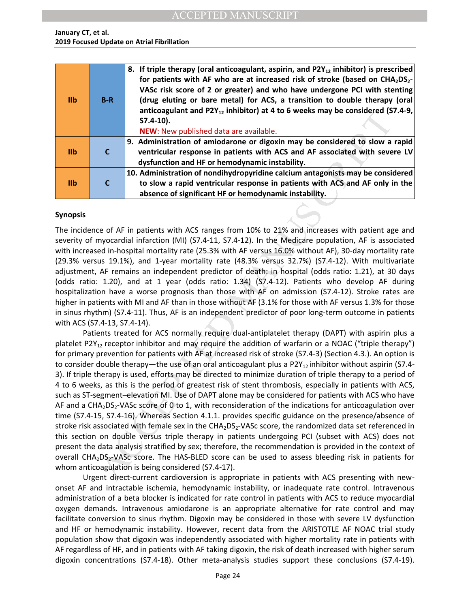| I <sub>1</sub> | $B-R$        | 8. If triple therapy (oral anticoagulant, aspirin, and P2Y <sub>12</sub> inhibitor) is prescribed<br>for patients with AF who are at increased risk of stroke (based on CHA <sub>2</sub> DS <sub>2</sub> -<br>VASc risk score of 2 or greater) and who have undergone PCI with stenting<br>(drug eluting or bare metal) for ACS, a transition to double therapy (oral<br>anticoagulant and P2Y <sub>12</sub> inhibitor) at 4 to 6 weeks may be considered (S7.4-9,<br>$S7.4-10$ ).<br>NEW: New published data are available. |
|----------------|--------------|------------------------------------------------------------------------------------------------------------------------------------------------------------------------------------------------------------------------------------------------------------------------------------------------------------------------------------------------------------------------------------------------------------------------------------------------------------------------------------------------------------------------------|
| I <sub>1</sub> | $\mathsf{C}$ | 9. Administration of amiodarone or digoxin may be considered to slow a rapid<br>ventricular response in patients with ACS and AF associated with severe LV<br>dysfunction and HF or hemodynamic instability.                                                                                                                                                                                                                                                                                                                 |
| I <sub>1</sub> |              | 10. Administration of nondihydropyridine calcium antagonists may be considered<br>to slow a rapid ventricular response in patients with ACS and AF only in the<br>absence of significant HF or hemodynamic instability.                                                                                                                                                                                                                                                                                                      |

#### **Synopsis**

The incidence of AF in patients with ACS ranges from 10% to 21% and increases with patient age and severity of myocardial infarction (MI) (S7.4-11, S7.4-12). In the Medicare population, AF is associated with increased in-hospital mortality rate (25.3% with AF versus 16.0% without AF), 30-day mortality rate (29.3% versus 19.1%), and 1-year mortality rate (48.3% versus 32.7%) (S7.4-12). With multivariate adjustment, AF remains an independent predictor of death: in hospital (odds ratio: 1.21), at 30 days (odds ratio: 1.20), and at 1 year (odds ratio: 1.34) (S7.4-12). Patients who develop AF during hospitalization have a worse prognosis than those with AF on admission (S7.4-12). Stroke rates are higher in patients with MI and AF than in those without AF (3.1% for those with AF versus 1.3% for those in sinus rhythm) (S7.4-11). Thus, AF is an independent predictor of poor long-term outcome in patients with ACS (S7.4-13, S7.4-14).

and the Particular and P2T<sub>12</sub> infinitory) at 4 to 6 weeks may be considered to<br> **S7.4.10).**<br>
NEW: New published data are available.<br> **S7.4.10)**<br>
NEW: New published data are available.<br> **C**<br> **C**<br> **C**<br> **C**<br> **C**<br> **C**<br> **C**<br> Patients treated for ACS normally require dual-antiplatelet therapy (DAPT) with aspirin plus a platelet P2Y<sub>12</sub> receptor inhibitor and may require the addition of warfarin or a NOAC ("triple therapy") for primary prevention for patients with AF at increased risk of stroke (S7.4-3) (Section 4.3.). An option is to consider double therapy—the use of an oral anticoagulant plus a P2Y<sub>12</sub> inhibitor without aspirin (S7.4-3). If triple therapy is used, efforts may be directed to minimize duration of triple therapy to a period of 4 to 6 weeks, as this is the period of greatest risk of stent thrombosis, especially in patients with ACS, such as ST-segment–elevation MI. Use of DAPT alone may be considered for patients with ACS who have AF and a CHA<sub>2</sub>DS<sub>2</sub>-VASc score of 0 to 1, with reconsideration of the indications for anticoagulation over time (S7.4-15, S7.4-16). Whereas Section 4.1.1. provides specific guidance on the presence/absence of stroke risk associated with female sex in the CHA<sub>2</sub>DS<sub>2</sub>-VASc score, the randomized data set referenced in this section on double versus triple therapy in patients undergoing PCI (subset with ACS) does not present the data analysis stratified by sex; therefore, the recommendation is provided in the context of overall CHA<sub>2</sub>DS<sub>2</sub>-VASc score. The HAS-BLED score can be used to assess bleeding risk in patients for whom anticoagulation is being considered (S7.4-17).

Urgent direct-current cardioversion is appropriate in patients with ACS presenting with newonset AF and intractable ischemia, hemodynamic instability, or inadequate rate control. Intravenous administration of a beta blocker is indicated for rate control in patients with ACS to reduce myocardial oxygen demands. Intravenous amiodarone is an appropriate alternative for rate control and may facilitate conversion to sinus rhythm. Digoxin may be considered in those with severe LV dysfunction and HF or hemodynamic instability. However, recent data from the ARISTOTLE AF NOAC trial study population show that digoxin was independently associated with higher mortality rate in patients with AF regardless of HF, and in patients with AF taking digoxin, the risk of death increased with higher serum digoxin concentrations (S7.4-18). Other meta-analysis studies support these conclusions (S7.4-19).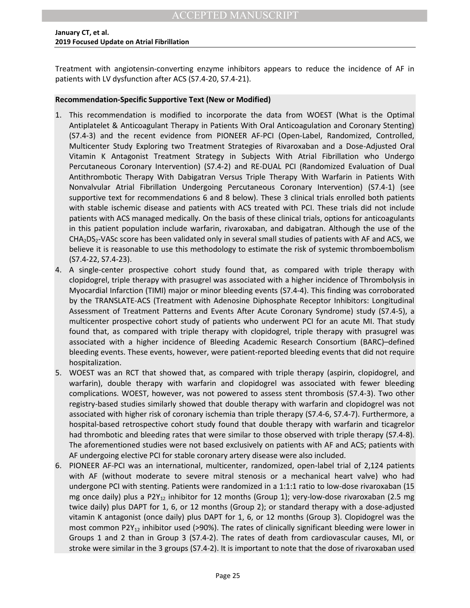Treatment with angiotensin-converting enzyme inhibitors appears to reduce the incidence of AF in patients with LV dysfunction after ACS (S7.4-20, S7.4-21).

#### **Recommendation-Specific Supportive Text (New or Modified)**

- commendation is modified to incorporate the data from WOEST (What is the Quellet RA microsopy stellet R anticoagulant Therapy in Pattents With Oral Anticoagulation and Coronary Steal<br>and the recent evidence from PIONEER AF 1. This recommendation is modified to incorporate the data from WOEST (What is the Optimal Antiplatelet & Anticoagulant Therapy in Patients With Oral Anticoagulation and Coronary Stenting) (S7.4-3) and the recent evidence from PIONEER AF-PCI (Open-Label, Randomized, Controlled, Multicenter Study Exploring two Treatment Strategies of Rivaroxaban and a Dose-Adjusted Oral Vitamin K Antagonist Treatment Strategy in Subjects With Atrial Fibrillation who Undergo Percutaneous Coronary Intervention) (S7.4-2) and RE-DUAL PCI (Randomized Evaluation of Dual Antithrombotic Therapy With Dabigatran Versus Triple Therapy With Warfarin in Patients With Nonvalvular Atrial Fibrillation Undergoing Percutaneous Coronary Intervention) (S7.4-1) (see supportive text for recommendations 6 and 8 below). These 3 clinical trials enrolled both patients with stable ischemic disease and patients with ACS treated with PCI. These trials did not include patients with ACS managed medically. On the basis of these clinical trials, options for anticoagulants in this patient population include warfarin, rivaroxaban, and dabigatran. Although the use of the  $CHA<sub>2</sub>DS<sub>2</sub>-VASC score has been validated only in several small studies of patients with AF and ACS, we$ believe it is reasonable to use this methodology to estimate the risk of systemic thromboembolism (S7.4-22, S7.4-23).
- 4. A single-center prospective cohort study found that, as compared with triple therapy with clopidogrel, triple therapy with prasugrel was associated with a higher incidence of Thrombolysis in Myocardial Infarction (TIMI) major or minor bleeding events (S7.4-4). This finding was corroborated by the TRANSLATE-ACS (Treatment with Adenosine Diphosphate Receptor Inhibitors: Longitudinal Assessment of Treatment Patterns and Events After Acute Coronary Syndrome) study (S7.4-5), a multicenter prospective cohort study of patients who underwent PCI for an acute MI. That study found that, as compared with triple therapy with clopidogrel, triple therapy with prasugrel was associated with a higher incidence of Bleeding Academic Research Consortium (BARC)–defined bleeding events. These events, however, were patient-reported bleeding events that did not require hospitalization.
- 5. WOEST was an RCT that showed that, as compared with triple therapy (aspirin, clopidogrel, and warfarin), double therapy with warfarin and clopidogrel was associated with fewer bleeding complications. WOEST, however, was not powered to assess stent thrombosis (S7.4-3). Two other registry-based studies similarly showed that double therapy with warfarin and clopidogrel was not associated with higher risk of coronary ischemia than triple therapy (S7.4-6, S7.4-7). Furthermore, a hospital-based retrospective cohort study found that double therapy with warfarin and ticagrelor had thrombotic and bleeding rates that were similar to those observed with triple therapy (S7.4-8). The aforementioned studies were not based exclusively on patients with AF and ACS; patients with AF undergoing elective PCI for stable coronary artery disease were also included.
- 6. PIONEER AF-PCI was an international, multicenter, randomized, open-label trial of 2,124 patients with AF (without moderate to severe mitral stenosis or a mechanical heart valve) who had undergone PCI with stenting. Patients were randomized in a 1:1:1 ratio to low-dose rivaroxaban (15 mg once daily) plus a P2Y<sub>12</sub> inhibitor for 12 months (Group 1); very-low-dose rivaroxaban (2.5 mg twice daily) plus DAPT for 1, 6, or 12 months (Group 2); or standard therapy with a dose-adjusted vitamin K antagonist (once daily) plus DAPT for 1, 6, or 12 months (Group 3). Clopidogrel was the most common P2Y<sub>12</sub> inhibitor used (>90%). The rates of clinically significant bleeding were lower in Groups 1 and 2 than in Group 3 (S7.4-2). The rates of death from cardiovascular causes, MI, or stroke were similar in the 3 groups (S7.4-2). It is important to note that the dose of rivaroxaban used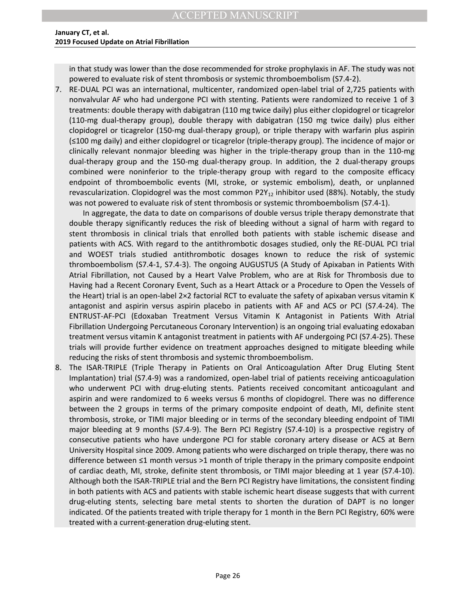in that study was lower than the dose recommended for stroke prophylaxis in AF. The study was not powered to evaluate risk of stent thrombosis or systemic thromboembolism (S7.4-2).

7. RE-DUAL PCI was an international, multicenter, randomized open-label trial of 2,725 patients with nonvalvular AF who had undergone PCI with stenting. Patients were randomized to receive 1 of 3 treatments: double therapy with dabigatran (110 mg twice daily) plus either clopidogrel or ticagrelor (110-mg dual-therapy group), double therapy with dabigatran (150 mg twice daily) plus either clopidogrel or ticagrelor (150-mg dual-therapy group), or triple therapy with warfarin plus aspirin (≤100 mg daily) and either clopidogrel or ticagrelor (triple-therapy group). The incidence of major or clinically relevant nonmajor bleeding was higher in the triple-therapy group than in the 110-mg dual-therapy group and the 150-mg dual-therapy group. In addition, the 2 dual-therapy groups combined were noninferior to the triple-therapy group with regard to the composite efficacy endpoint of thromboembolic events (MI, stroke, or systemic embolism), death, or unplanned revascularization. Clopidogrel was the most common  $P2Y_{12}$  inhibitor used (88%). Notably, the study was not powered to evaluate risk of stent thrombosis or systemic thromboembolism (S7.4-1).

Ins. Dollar uneflay with dargladent (1.00 mig with earling the studing that the copies are the considered in the studies of the consider the properties of the consideration of the terapy group), of this distribution plus ( In aggregate, the data to date on comparisons of double versus triple therapy demonstrate that double therapy significantly reduces the risk of bleeding without a signal of harm with regard to stent thrombosis in clinical trials that enrolled both patients with stable ischemic disease and patients with ACS. With regard to the antithrombotic dosages studied, only the RE-DUAL PCI trial and WOEST trials studied antithrombotic dosages known to reduce the risk of systemic thromboembolism (S7.4-1, S7.4-3). The ongoing AUGUSTUS (A Study of Apixaban in Patients With Atrial Fibrillation, not Caused by a Heart Valve Problem, who are at Risk for Thrombosis due to Having had a Recent Coronary Event, Such as a Heart Attack or a Procedure to Open the Vessels of the Heart) trial is an open-label 2×2 factorial RCT to evaluate the safety of apixaban versus vitamin K antagonist and aspirin versus aspirin placebo in patients with AF and ACS or PCI (S7.4-24). The ENTRUST-AF-PCI (Edoxaban Treatment Versus Vitamin K Antagonist in Patients With Atrial Fibrillation Undergoing Percutaneous Coronary Intervention) is an ongoing trial evaluating edoxaban treatment versus vitamin K antagonist treatment in patients with AF undergoing PCI (S7.4-25). These trials will provide further evidence on treatment approaches designed to mitigate bleeding while reducing the risks of stent thrombosis and systemic thromboembolism.

<span id="page-26-0"></span>8. The ISAR-TRIPLE (Triple Therapy in Patients on Oral Anticoagulation After Drug Eluting Stent Implantation) trial (S7.4-9) was a randomized, open-label trial of patients receiving anticoagulation who underwent PCI with drug-eluting stents. Patients received concomitant anticoagulant and aspirin and were randomized to 6 weeks versus 6 months of clopidogrel. There was no difference between the 2 groups in terms of the primary composite endpoint of death, MI, definite stent thrombosis, stroke, or TIMI major bleeding or in terms of the secondary bleeding endpoint of TIMI major bleeding at 9 months (S7.4-9). The Bern PCI Registry (S7.4-10) is a prospective registry of consecutive patients who have undergone PCI for stable coronary artery disease or ACS at Bern University Hospital since 2009. Among patients who were discharged on triple therapy, there was no difference between ≤1 month versus >1 month of triple therapy in the primary composite endpoint of cardiac death, MI, stroke, definite stent thrombosis, or TIMI major bleeding at 1 year (S7.4-10). Although both the ISAR-TRIPLE trial and the Bern PCI Registry have limitations, the consistent finding in both patients with ACS and patients with stable ischemic heart disease suggests that with current drug-eluting stents, selecting bare metal stents to shorten the duration of DAPT is no longer indicated. Of the patients treated with triple therapy for 1 month in the Bern PCI Registry, 60% were treated with a current-generation drug-eluting stent.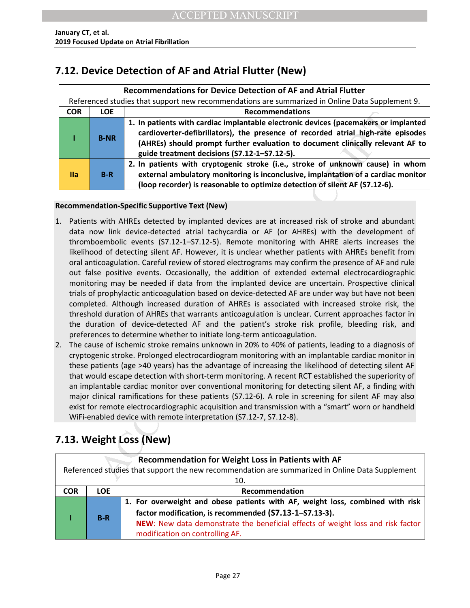## **7.12. Device Detection of AF and Atrial Flutter (New)**

|            | <b>Recommendations for Device Detection of AF and Atrial Flutter</b>                            |                                                                                                                                                                                                                                                                                                           |  |  |  |  |
|------------|-------------------------------------------------------------------------------------------------|-----------------------------------------------------------------------------------------------------------------------------------------------------------------------------------------------------------------------------------------------------------------------------------------------------------|--|--|--|--|
|            | Referenced studies that support new recommendations are summarized in Online Data Supplement 9. |                                                                                                                                                                                                                                                                                                           |  |  |  |  |
| <b>COR</b> | <b>LOE</b>                                                                                      | <b>Recommendations</b>                                                                                                                                                                                                                                                                                    |  |  |  |  |
|            | <b>B-NR</b>                                                                                     | 1. In patients with cardiac implantable electronic devices (pacemakers or implanted<br>cardioverter-defibrillators), the presence of recorded atrial high-rate episodes<br>(AHREs) should prompt further evaluation to document clinically relevant AF to<br>guide treatment decisions (S7.12-1-S7.12-5). |  |  |  |  |
| IIa        | $B-R$                                                                                           | 2. In patients with cryptogenic stroke (i.e., stroke of unknown cause) in whom<br>external ambulatory monitoring is inconclusive, implantation of a cardiac monitor<br>(loop recorder) is reasonable to optimize detection of silent AF (S7.12-6).                                                        |  |  |  |  |

### **Recommendation-Specific Supportive Text (New)**

- 1. In patients with cardiac implaned electronic devices (pacemakers or in the controlled at the presence of recorded attail high-rate (AHREs) should prompt further evaluation to document clinically releves (i.e., a patient 1. Patients with AHREs detected by implanted devices are at increased risk of stroke and abundant data now link device-detected atrial tachycardia or AF (or AHREs) with the development of thromboembolic events (S7.12-1–S7.12-5). Remote monitoring with AHRE alerts increases the likelihood of detecting silent AF. However, it is unclear whether patients with AHREs benefit from oral anticoagulation. Careful review of stored electrograms may confirm the presence of AF and rule out false positive events. Occasionally, the addition of extended external electrocardiographic monitoring may be needed if data from the implanted device are uncertain. Prospective clinical trials of prophylactic anticoagulation based on device-detected AF are under way but have not been completed. Although increased duration of AHREs is associated with increased stroke risk, the threshold duration of AHREs that warrants anticoagulation is unclear. Current approaches factor in the duration of device-detected AF and the patient's stroke risk profile, bleeding risk, and preferences to determine whether to initiate long-term anticoagulation.
- 2. The cause of ischemic stroke remains unknown in 20% to 40% of patients, leading to a diagnosis of cryptogenic stroke. Prolonged electrocardiogram monitoring with an implantable cardiac monitor in these patients (age >40 years) has the advantage of increasing the likelihood of detecting silent AF that would escape detection with short-term monitoring. A recent RCT established the superiority of an implantable cardiac monitor over conventional monitoring for detecting silent AF, a finding with major clinical ramifications for these patients (S7.12-6). A role in screening for silent AF may also exist for remote electrocardiographic acquisition and transmission with a "smart" worn or handheld WiFi-enabled device with remote interpretation (S7.12-7, S7.12-8).

# <span id="page-27-0"></span>**7.13. Weight Loss (New)**

| Recommendation for Weight Loss in Patients with AF |                                                                                                 |                                                                                 |  |  |  |
|----------------------------------------------------|-------------------------------------------------------------------------------------------------|---------------------------------------------------------------------------------|--|--|--|
|                                                    | Referenced studies that support the new recommendation are summarized in Online Data Supplement |                                                                                 |  |  |  |
|                                                    | 10.                                                                                             |                                                                                 |  |  |  |
| <b>COR</b>                                         | <b>LOE</b>                                                                                      | Recommendation                                                                  |  |  |  |
|                                                    |                                                                                                 | 1. For overweight and obese patients with AF, weight loss, combined with risk   |  |  |  |
|                                                    | $B-R$                                                                                           | factor modification, is recommended (S7.13-1-S7.13-3).                          |  |  |  |
|                                                    |                                                                                                 | NEW: New data demonstrate the beneficial effects of weight loss and risk factor |  |  |  |
|                                                    |                                                                                                 | modification on controlling AF.                                                 |  |  |  |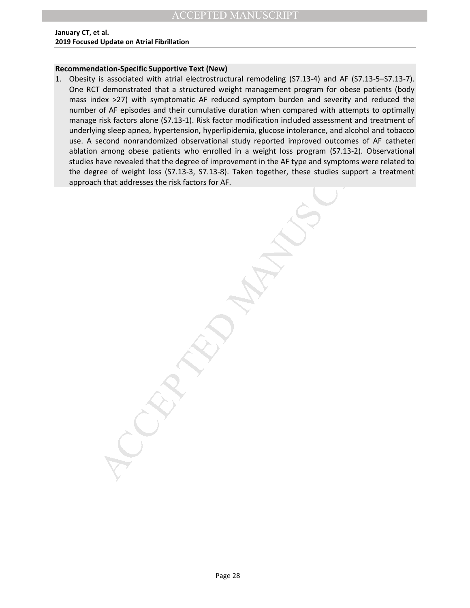#### **Recommendation-Specific Supportive Text (New)**

of are pussed and their continues we calculated with the computer with a control of the rest of the case in the case of ACCEPTED and the case of ACCEPTED and the case of ACCEPTED and the case of ACCEPTED and the case of AC 1. Obesity is associated with atrial electrostructural remodeling (S7.13-4) and AF (S7.13-5–S7.13-7). One RCT demonstrated that a structured weight management program for obese patients (body mass index >27) with symptomatic AF reduced symptom burden and severity and reduced the number of AF episodes and their cumulative duration when compared with attempts to optimally manage risk factors alone (S7.13-1). Risk factor modification included assessment and treatment of underlying sleep apnea, hypertension, hyperlipidemia, glucose intolerance, and alcohol and tobacco use. A second nonrandomized observational study reported improved outcomes of AF catheter ablation among obese patients who enrolled in a weight loss program (S7.13-2). Observational studies have revealed that the degree of improvement in the AF type and symptoms were related to the degree of weight loss (S7.13-3, S7.13-8). Taken together, these studies support a treatment approach that addresses the risk factors for AF.

Page 28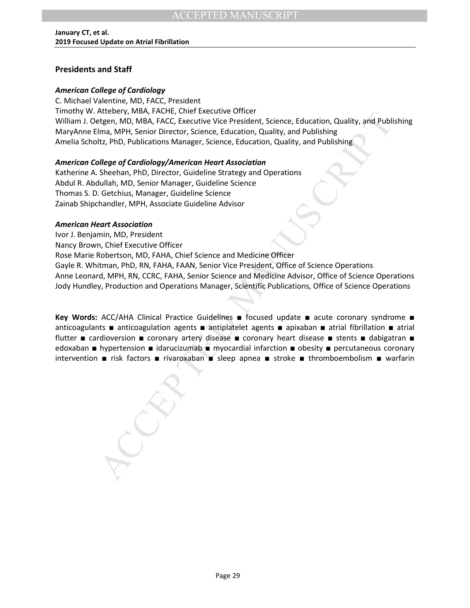### **Presidents and Staff**

### *American College of Cardiology*

C. Michael Valentine, MD, FACC, President Timothy W. Attebery, MBA, FACHE, Chief Executive Officer William J. Oetgen, MD, MBA, FACC, Executive Vice President, Science, Education, Quality, and Publishing MaryAnne Elma, MPH, Senior Director, Science, Education, Quality, and Publishing Amelia Scholtz, PhD, Publications Manager, Science, Education, Quality, and Publishing

### *American College of Cardiology/American Heart Association*

Katherine A. Sheehan, PhD, Director, Guideline Strategy and Operations Abdul R. Abdullah, MD, Senior Manager, Guideline Science Thomas S. D. Getchius, Manager, Guideline Science Zainab Shipchandler, MPH, Associate Guideline Advisor

#### *American Heart Association*

Arteoney, Musi, FALL-It, Christ Exectutive Unrecentr, Science, Education, Quality, and Publis<br>
Ilma, MPH, Senico Director, Science, Education, Quality, and Publishing<br>
Ilma, MPH, Senico Director, Science, Education, Qualit Ivor J. Benjamin, MD, President Nancy Brown, Chief Executive Officer Rose Marie Robertson, MD, FAHA, Chief Science and Medicine Officer Gayle R. Whitman, PhD, RN, FAHA, FAAN, Senior Vice President, Office of Science Operations Anne Leonard, MPH, RN, CCRC, FAHA, Senior Science and Medicine Advisor, Office of Science Operations Jody Hundley, Production and Operations Manager, Scientific Publications, Office of Science Operations

**Key Words:** ACC/AHA Clinical Practice Guidelines ■ focused update ■ acute coronary syndrome ■ anticoagulants ■ anticoagulation agents ■ antiplatelet agents ■ apixaban ■ atrial fibrillation ■ atrial flutter ■ cardioversion ■ coronary artery disease ■ coronary heart disease ■ stents ■ dabigatran ■ edoxaban ■ hypertension ■ idarucizumab ■ myocardial infarction ■ obesity ■ percutaneous coronary intervention ■ risk factors ■ rivaroxaban ■ sleep apnea ■ stroke ■ thromboembolism ■ warfarin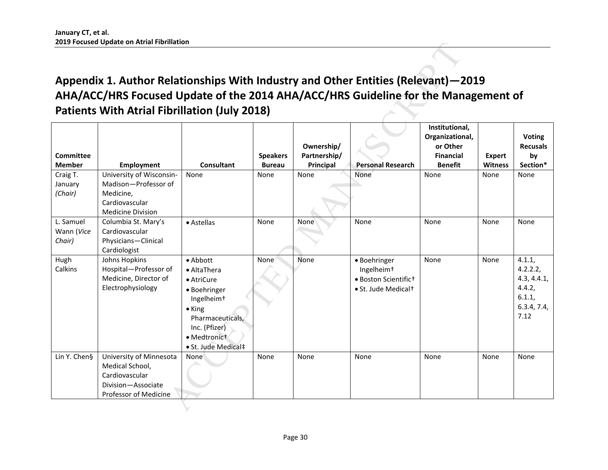# <span id="page-30-0"></span>**Appendix 1. Author Relationships With Industry and Other Entities (Relevant)—2019 AHA/ACC/HRS Focused Update of the 2014 AHA/ACC/HRS Guideline for the Management of Patients With Atrial Fibrillation (July 2018)**

|                                   | Appendix 1. Author Relationships With Industry and Other Entities (Relevant)–2019<br>AHA/ACC/HRS Focused Update of the 2014 AHA/ACC/HRS Guideline for the Management of<br><b>Patients With Atrial Fibrillation (July 2018)</b> |                                                                                                                                                                               |                                  |                                         |                                                                                                   |                                                                                     |                                 |                                                                              |
|-----------------------------------|---------------------------------------------------------------------------------------------------------------------------------------------------------------------------------------------------------------------------------|-------------------------------------------------------------------------------------------------------------------------------------------------------------------------------|----------------------------------|-----------------------------------------|---------------------------------------------------------------------------------------------------|-------------------------------------------------------------------------------------|---------------------------------|------------------------------------------------------------------------------|
| Committee<br><b>Member</b>        | <b>Employment</b>                                                                                                                                                                                                               | <b>Consultant</b>                                                                                                                                                             | <b>Speakers</b><br><b>Bureau</b> | Ownership/<br>Partnership/<br>Principal | <b>Personal Research</b>                                                                          | Institutional,<br>Organizational,<br>or Other<br><b>Financial</b><br><b>Benefit</b> | <b>Expert</b><br><b>Witness</b> | <b>Voting</b><br><b>Recusals</b><br>by<br>Section*                           |
| Craig T.<br>January<br>(Chair)    | University of Wisconsin-<br>Madison-Professor of<br>Medicine,<br>Cardiovascular<br><b>Medicine Division</b>                                                                                                                     | None                                                                                                                                                                          | None                             | None                                    | None                                                                                              | None                                                                                | None                            | None                                                                         |
| L. Samuel<br>Wann (Vice<br>Chair) | Columbia St. Mary's<br>Cardiovascular<br>Physicians-Clinical<br>Cardiologist                                                                                                                                                    | • Astellas                                                                                                                                                                    | None                             | None                                    | None                                                                                              | None                                                                                | None                            | None                                                                         |
| Hugh<br>Calkins                   | Johns Hopkins<br>Hospital-Professor of<br>Medicine, Director of<br>Electrophysiology                                                                                                                                            | $\bullet$ Abbott<br>• AltaThera<br>• AtriCure<br>• Boehringer<br>Ingelheim <sup>+</sup><br>• King<br>Pharmaceuticals,<br>Inc. (Pfizer)<br>• Medtronict<br>· St. Jude Medical‡ | None <sup>®</sup>                | None                                    | • Boehringer<br>Ingelheim <sup>+</sup><br>· Boston Scientifict<br>• St. Jude Medical <sup>+</sup> | None                                                                                | None                            | 4.1.1,<br>4.2.2.2,<br>4.3, 4.4.1,<br>4.4.2,<br>6.1.1,<br>6.3.4, 7.4,<br>7.12 |
| Lin Y. Chen§                      | University of Minnesota<br>Medical School,<br>Cardiovascular<br>Division-Associate<br>Professor of Medicine                                                                                                                     | None                                                                                                                                                                          | None                             | None                                    | None                                                                                              | None                                                                                | None                            | None                                                                         |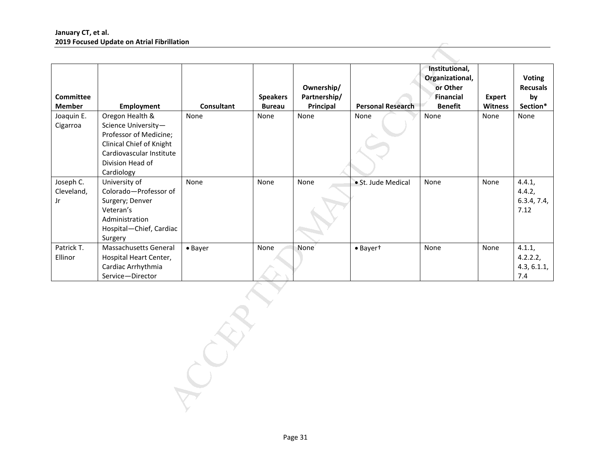| Committee<br><b>Member</b>             | Employment                                                                                                                                                 | Consultant | <b>Speakers</b><br><b>Bureau</b> | Ownership/<br>Partnership/<br>Principal | <b>Personal Research</b> | Institutional,<br>Organizational,<br>or Other<br><b>Financial</b><br><b>Benefit</b> | <b>Expert</b><br>Witness | <b>Voting</b><br><b>Recusals</b><br>by<br>Section* |
|----------------------------------------|------------------------------------------------------------------------------------------------------------------------------------------------------------|------------|----------------------------------|-----------------------------------------|--------------------------|-------------------------------------------------------------------------------------|--------------------------|----------------------------------------------------|
| Joaquin E.<br>Cigarroa                 | Oregon Health &<br>Science University-<br>Professor of Medicine;<br>Clinical Chief of Knight<br>Cardiovascular Institute<br>Division Head of<br>Cardiology | None       | None                             | None                                    | None                     | None                                                                                | None                     | None                                               |
| Joseph C.<br>Cleveland,<br>$_{\rm Jr}$ | University of<br>Colorado-Professor of<br>Surgery; Denver<br>Veteran's<br>Administration<br>Hospital-Chief, Cardiac<br>Surgery                             | None       | None                             | None                                    | · St. Jude Medical       | None                                                                                | None                     | 4.4.1,<br>4.4.2,<br>6.3.4, 7.4,<br>7.12            |
| Patrick T.<br>Ellinor                  | Massachusetts General<br>Hospital Heart Center,<br>Cardiac Arrhythmia<br>Service-Director                                                                  | • Bayer    | None                             | None                                    | · Bayert                 | None                                                                                | None                     | 4.1.1,<br>4.2.2.2,<br>4.3, 6.1.1,<br>7.4           |
|                                        |                                                                                                                                                            |            |                                  |                                         |                          |                                                                                     |                          |                                                    |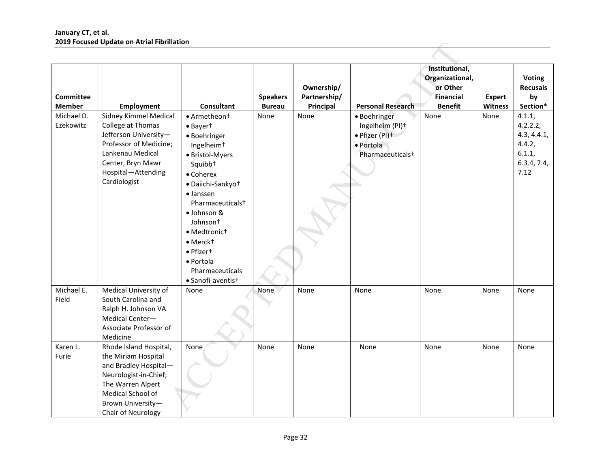|                                   | <b>2019 Focused Opdate on Atrial Fibrillation</b>                                                                                                                                    |                                                                                                                                                                                                                                                                                                                                              |                                  |                                         |                                                                                                |                                                                              |                                 |                                                                              |
|-----------------------------------|--------------------------------------------------------------------------------------------------------------------------------------------------------------------------------------|----------------------------------------------------------------------------------------------------------------------------------------------------------------------------------------------------------------------------------------------------------------------------------------------------------------------------------------------|----------------------------------|-----------------------------------------|------------------------------------------------------------------------------------------------|------------------------------------------------------------------------------|---------------------------------|------------------------------------------------------------------------------|
| <b>Committee</b><br><b>Member</b> | <b>Employment</b>                                                                                                                                                                    | <b>Consultant</b>                                                                                                                                                                                                                                                                                                                            | <b>Speakers</b><br><b>Bureau</b> | Ownership/<br>Partnership/<br>Principal | <b>Personal Research</b>                                                                       | Institutional,<br>Organizational,<br>or Other<br>Financial<br><b>Benefit</b> | <b>Expert</b><br><b>Witness</b> | <b>Voting</b><br><b>Recusals</b><br>by<br>Section*                           |
| Michael D.<br>Ezekowitz           | Sidney Kimmel Medical<br>College at Thomas<br>Jefferson University-<br>Professor of Medicine;<br>Lankenau Medical<br>Center, Bryn Mawr<br>Hospital-Attending<br>Cardiologist         | • Armetheon <sup>+</sup><br>• Bayert<br>· Boehringer<br>Ingelheim <sup>+</sup><br>· Bristol-Myers<br>Squibb <sup>+</sup><br>• Coherex<br>· Daiichi-Sankyot<br>• Janssen<br>Pharmaceuticals <sup>+</sup><br>· Johnson &<br>Johnson <sup>+</sup><br>· Medtronict<br>· Merckt<br>• Pfizert<br>· Portola<br>Pharmaceuticals<br>· Sanofi-aventist | None                             | None                                    | · Boehringer<br>Ingelheim (PI)+<br>· Pfizer (PI)+<br>· Portola<br>Pharmaceuticals <sup>+</sup> | None                                                                         | None                            | 4.1.1,<br>4.2.2.2,<br>4.3, 4.4.1,<br>4.4.2,<br>6.1.1,<br>6.3.4, 7.4,<br>7.12 |
| Michael E.<br>Field               | Medical University of<br>South Carolina and<br>Ralph H. Johnson VA<br>Medical Center-<br>Associate Professor of<br>Medicine                                                          | None                                                                                                                                                                                                                                                                                                                                         | None                             | None                                    | None                                                                                           | None                                                                         | None                            | None                                                                         |
| Karen L.<br>Furie                 | Rhode Island Hospital,<br>the Miriam Hospital<br>and Bradley Hospital-<br>Neurologist-in-Chief;<br>The Warren Alpert<br>Medical School of<br>Brown University-<br>Chair of Neurology | None                                                                                                                                                                                                                                                                                                                                         | None                             | None                                    | None                                                                                           | None                                                                         | None                            | None                                                                         |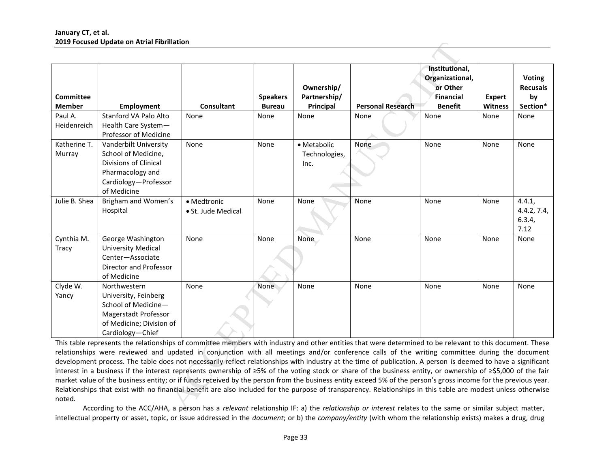|                                                                                                                                                                                                                                                                                                                                | ZUIY FOCUSED UPDATE ON ATTIAI FIDIIIIATION                                                                                                                    |                    |                                  |                                         |                          |                                                                                     |                                 |                                                    |
|--------------------------------------------------------------------------------------------------------------------------------------------------------------------------------------------------------------------------------------------------------------------------------------------------------------------------------|---------------------------------------------------------------------------------------------------------------------------------------------------------------|--------------------|----------------------------------|-----------------------------------------|--------------------------|-------------------------------------------------------------------------------------|---------------------------------|----------------------------------------------------|
| <b>Committee</b><br><b>Member</b>                                                                                                                                                                                                                                                                                              | <b>Employment</b>                                                                                                                                             | Consultant         | <b>Speakers</b><br><b>Bureau</b> | Ownership/<br>Partnership/<br>Principal | <b>Personal Research</b> | Institutional,<br>Organizational,<br>or Other<br><b>Financial</b><br><b>Benefit</b> | <b>Expert</b><br><b>Witness</b> | <b>Voting</b><br><b>Recusals</b><br>by<br>Section* |
| Paul A.                                                                                                                                                                                                                                                                                                                        | Stanford VA Palo Alto                                                                                                                                         | None               | None                             | None                                    | None                     | None                                                                                | None                            | None                                               |
| Heidenreich                                                                                                                                                                                                                                                                                                                    | Health Care System-                                                                                                                                           |                    |                                  |                                         |                          |                                                                                     |                                 |                                                    |
|                                                                                                                                                                                                                                                                                                                                | Professor of Medicine                                                                                                                                         |                    |                                  |                                         |                          |                                                                                     |                                 |                                                    |
| Katherine T.                                                                                                                                                                                                                                                                                                                   | Vanderbilt University                                                                                                                                         | None               | None                             | • Metabolic                             | None                     | None                                                                                | None                            | None                                               |
| Murray                                                                                                                                                                                                                                                                                                                         | School of Medicine,                                                                                                                                           |                    |                                  | Technologies,                           |                          |                                                                                     |                                 |                                                    |
|                                                                                                                                                                                                                                                                                                                                | Divisions of Clinical                                                                                                                                         |                    |                                  | Inc.                                    |                          |                                                                                     |                                 |                                                    |
|                                                                                                                                                                                                                                                                                                                                | Pharmacology and                                                                                                                                              |                    |                                  |                                         |                          |                                                                                     |                                 |                                                    |
|                                                                                                                                                                                                                                                                                                                                | Cardiology-Professor                                                                                                                                          |                    |                                  |                                         |                          |                                                                                     |                                 |                                                    |
|                                                                                                                                                                                                                                                                                                                                | of Medicine                                                                                                                                                   |                    |                                  |                                         |                          |                                                                                     |                                 |                                                    |
| Julie B. Shea                                                                                                                                                                                                                                                                                                                  | Brigham and Women's                                                                                                                                           | • Medtronic        | None                             | None                                    | None                     | None                                                                                | None                            | 4.4.1,                                             |
|                                                                                                                                                                                                                                                                                                                                | Hospital                                                                                                                                                      | • St. Jude Medical |                                  |                                         |                          |                                                                                     |                                 | 4.4.2, 7.4,                                        |
|                                                                                                                                                                                                                                                                                                                                |                                                                                                                                                               |                    |                                  |                                         |                          |                                                                                     |                                 | 6.3.4,                                             |
|                                                                                                                                                                                                                                                                                                                                |                                                                                                                                                               |                    |                                  |                                         |                          |                                                                                     |                                 | 7.12                                               |
| Cynthia M.                                                                                                                                                                                                                                                                                                                     | George Washington                                                                                                                                             | None               | None                             | None                                    | None                     | None                                                                                | None                            | None                                               |
| Tracy                                                                                                                                                                                                                                                                                                                          | <b>University Medical</b>                                                                                                                                     |                    |                                  |                                         |                          |                                                                                     |                                 |                                                    |
|                                                                                                                                                                                                                                                                                                                                | Center-Associate                                                                                                                                              |                    |                                  |                                         |                          |                                                                                     |                                 |                                                    |
|                                                                                                                                                                                                                                                                                                                                | <b>Director and Professor</b>                                                                                                                                 |                    |                                  |                                         |                          |                                                                                     |                                 |                                                    |
|                                                                                                                                                                                                                                                                                                                                | of Medicine                                                                                                                                                   |                    |                                  |                                         |                          |                                                                                     |                                 |                                                    |
| Clyde W.                                                                                                                                                                                                                                                                                                                       | Northwestern                                                                                                                                                  | None               | None                             | None                                    | None                     | None                                                                                | None                            | None                                               |
| Yancy                                                                                                                                                                                                                                                                                                                          | University, Feinberg                                                                                                                                          |                    |                                  |                                         |                          |                                                                                     |                                 |                                                    |
|                                                                                                                                                                                                                                                                                                                                | School of Medicine-                                                                                                                                           |                    |                                  |                                         |                          |                                                                                     |                                 |                                                    |
|                                                                                                                                                                                                                                                                                                                                | Magerstadt Professor                                                                                                                                          |                    |                                  |                                         |                          |                                                                                     |                                 |                                                    |
|                                                                                                                                                                                                                                                                                                                                | of Medicine; Division of                                                                                                                                      |                    |                                  |                                         |                          |                                                                                     |                                 |                                                    |
|                                                                                                                                                                                                                                                                                                                                | Cardiology-Chief                                                                                                                                              |                    |                                  |                                         |                          |                                                                                     |                                 |                                                    |
|                                                                                                                                                                                                                                                                                                                                | This table represents the relationships of committee members with industry and other entities that were determined to be relevant to this document. These     |                    |                                  |                                         |                          |                                                                                     |                                 |                                                    |
|                                                                                                                                                                                                                                                                                                                                | relationships were reviewed and updated in conjunction with all meetings and/or conference calls of the writing committee during the document                 |                    |                                  |                                         |                          |                                                                                     |                                 |                                                    |
| development process. The table does not necessarily reflect relationships with industry at the time of publication. A person is deemed to have a significant                                                                                                                                                                   |                                                                                                                                                               |                    |                                  |                                         |                          |                                                                                     |                                 |                                                    |
| interest in a business if the interest represents ownership of ≥5% of the voting stock or share of the business entity, or ownership of ≥\$5,000 of the fair<br>market value of the business entity; or if funds received by the person from the business entity exceed 5% of the person's gross income for the previous year. |                                                                                                                                                               |                    |                                  |                                         |                          |                                                                                     |                                 |                                                    |
|                                                                                                                                                                                                                                                                                                                                |                                                                                                                                                               |                    |                                  |                                         |                          |                                                                                     |                                 |                                                    |
|                                                                                                                                                                                                                                                                                                                                | Relationships that exist with no financial benefit are also included for the purpose of transparency. Relationships in this table are modest unless otherwise |                    |                                  |                                         |                          |                                                                                     |                                 |                                                    |
| noted.                                                                                                                                                                                                                                                                                                                         |                                                                                                                                                               |                    |                                  |                                         |                          |                                                                                     |                                 |                                                    |
|                                                                                                                                                                                                                                                                                                                                | According to the ACC/AHA, a person has a relevant relationship IF: a) the relationship or interest relates to the same or similar subject matter,             |                    |                                  |                                         |                          |                                                                                     |                                 |                                                    |

 According to the ACC/AHA, a person has a *relevant* relationship IF: a) the *relationship or interest* relates to the same or similar subject matter, intellectual property or asset, topic, or issue addressed in the *document*; or b) the *company/entity* (with whom the relationship exists) makes a drug, drug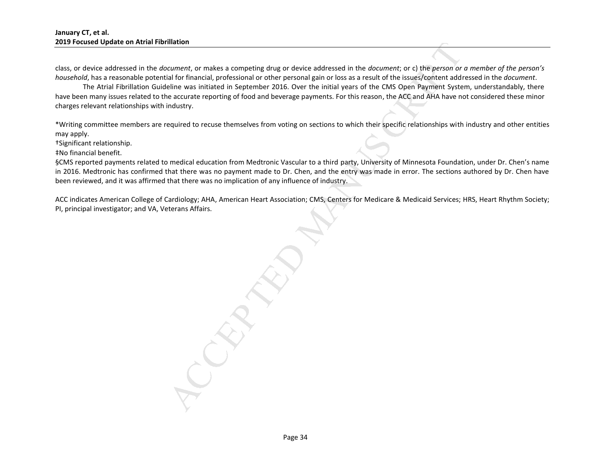class, or device addressed in the *document*, or makes a competing drug or device addressed in the *document*; or c) the *person or a member of the person's household*, has a reasonable potential for financial, professional or other personal gain or loss as a result of the issues/content addressed in the *document*.

The Atrial Fibrillation Guideline was initiated in September 2016. Over the initial years of the CMS Open Payment System, understandably, there have been many issues related to the accurate reporting of food and beverage payments. For this reason, the ACC and AHA have not considered these minor charges relevant relationships with industry.

\*Writing committee members are required to recuse themselves from voting on sections to which their specific relationships with industry and other entities may apply.

†Significant relationship.

‡No financial benefit.

§CMS reported payments related to medical education from Medtronic Vascular to a third party, University of Minnesota Foundation, under Dr. Chen's name in 2016. Medtronic has confirmed that there was no payment made to Dr. Chen, and the entry was made in error. The sections authored by Dr. Chen have been reviewed, and it was affirmed that there was no implication of any influence of industry.

ACC indicates American College of Cardiology; AHA, American Heart Association; CMS, Centers for Medicare & Medicaid Services; HRS, Heart Rhythm Society; PI, principal investigator; and VA, Veterans Affairs.

mation<br>
anation for makes a competing drug or device addressed in the document; or c) the person or<br>
tail of finacial, professional or other personal gain or loss as a result of the issues content add<br>
elline was initiated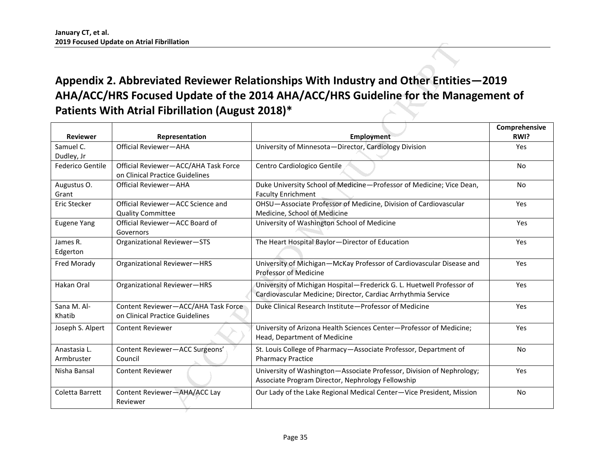# <span id="page-35-0"></span>**Appendix 2. Abbreviated Reviewer Relationships With Industry and Other Entities—2019 AHA/ACC/HRS Focused Update of the 2014 AHA/ACC/HRS Guideline for the Management of Patients With Atrial Fibrillation (August 2018)\***

|                            | ZUIY FOCUSED UPDATE ON ATTIAI FIDIIIIATION<br>Patients With Atrial Fibrillation (August 2018)* | Appendix 2. Abbreviated Reviewer Relationships With Industry and Other Entities-2019<br>AHA/ACC/HRS Focused Update of the 2014 AHA/ACC/HRS Guideline for the Management of |                       |
|----------------------------|------------------------------------------------------------------------------------------------|----------------------------------------------------------------------------------------------------------------------------------------------------------------------------|-----------------------|
| <b>Reviewer</b>            | Representation                                                                                 | <b>Employment</b>                                                                                                                                                          | Comprehensive<br>RWI? |
| Samuel C.<br>Dudley, Jr    | Official Reviewer-AHA                                                                          | University of Minnesota-Director, Cardiology Division                                                                                                                      | <b>Yes</b>            |
| Federico Gentile           | Official Reviewer-ACC/AHA Task Force<br>on Clinical Practice Guidelines                        | Centro Cardiologico Gentile                                                                                                                                                | <b>No</b>             |
| Augustus O.<br>Grant       | Official Reviewer-AHA                                                                          | Duke University School of Medicine-Professor of Medicine; Vice Dean,<br><b>Faculty Enrichment</b>                                                                          | <b>No</b>             |
| Eric Stecker               | Official Reviewer-ACC Science and<br><b>Quality Committee</b>                                  | OHSU-Associate Professor of Medicine, Division of Cardiovascular<br>Medicine, School of Medicine                                                                           | Yes                   |
| <b>Eugene Yang</b>         | Official Reviewer-ACC Board of<br>Governors                                                    | University of Washington School of Medicine                                                                                                                                | Yes                   |
| James R.<br>Edgerton       | Organizational Reviewer-STS                                                                    | The Heart Hospital Baylor-Director of Education                                                                                                                            | Yes                   |
| Fred Morady                | Organizational Reviewer-HRS                                                                    | University of Michigan-McKay Professor of Cardiovascular Disease and<br>Professor of Medicine                                                                              | Yes                   |
| Hakan Oral                 | Organizational Reviewer-HRS                                                                    | University of Michigan Hospital-Frederick G. L. Huetwell Professor of<br>Cardiovascular Medicine; Director, Cardiac Arrhythmia Service                                     | Yes                   |
| Sana M. Al-<br>Khatib      | Content Reviewer-ACC/AHA Task Force<br>on Clinical Practice Guidelines                         | Duke Clinical Research Institute-Professor of Medicine                                                                                                                     | Yes                   |
| Joseph S. Alpert           | <b>Content Reviewer</b>                                                                        | University of Arizona Health Sciences Center-Professor of Medicine;<br>Head, Department of Medicine                                                                        | Yes                   |
| Anastasia L.<br>Armbruster | Content Reviewer-ACC Surgeons'<br>Council                                                      | St. Louis College of Pharmacy-Associate Professor, Department of<br><b>Pharmacy Practice</b>                                                                               | <b>No</b>             |
| Nisha Bansal               | <b>Content Reviewer</b>                                                                        | University of Washington-Associate Professor, Division of Nephrology;<br>Associate Program Director, Nephrology Fellowship                                                 | Yes                   |
| Coletta Barrett            | Content Reviewer-AHA/ACC Lay<br>Reviewer                                                       | Our Lady of the Lake Regional Medical Center-Vice President, Mission                                                                                                       | No                    |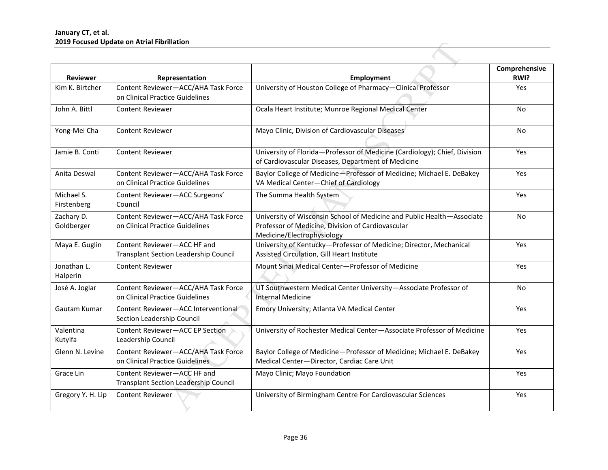|                         | zuly Focused Update on Atrial Fibriliation                                  |                                                                                                                                 |               |
|-------------------------|-----------------------------------------------------------------------------|---------------------------------------------------------------------------------------------------------------------------------|---------------|
|                         |                                                                             |                                                                                                                                 | Comprehensive |
| <b>Reviewer</b>         | Representation                                                              | <b>Employment</b>                                                                                                               | RWI?          |
| Kim K. Birtcher         | Content Reviewer-ACC/AHA Task Force<br>on Clinical Practice Guidelines      | University of Houston College of Pharmacy-Clinical Professor                                                                    | Yes           |
| John A. Bittl           | <b>Content Reviewer</b>                                                     | Ocala Heart Institute; Munroe Regional Medical Center                                                                           | No            |
| Yong-Mei Cha            | <b>Content Reviewer</b>                                                     | Mayo Clinic, Division of Cardiovascular Diseases                                                                                | <b>No</b>     |
| Jamie B. Conti          | <b>Content Reviewer</b>                                                     | University of Florida-Professor of Medicine (Cardiology); Chief, Division<br>of Cardiovascular Diseases, Department of Medicine | Yes           |
| Anita Deswal            | Content Reviewer-ACC/AHA Task Force<br>on Clinical Practice Guidelines      | Baylor College of Medicine-Professor of Medicine; Michael E. DeBakey<br>VA Medical Center-Chief of Cardiology                   | Yes           |
| Michael S.              | Content Reviewer-ACC Surgeons'                                              | The Summa Health System                                                                                                         | Yes           |
| Firstenberg             | Council                                                                     |                                                                                                                                 |               |
| Zachary D.              | Content Reviewer-ACC/AHA Task Force                                         | University of Wisconsin School of Medicine and Public Health-Associate                                                          | No            |
| Goldberger              | on Clinical Practice Guidelines                                             | Professor of Medicine, Division of Cardiovascular                                                                               |               |
|                         |                                                                             | Medicine/Electrophysiology                                                                                                      |               |
| Maya E. Guglin          | Content Reviewer-ACC HF and                                                 | University of Kentucky-Professor of Medicine; Director, Mechanical                                                              | Yes           |
|                         | <b>Transplant Section Leadership Council</b>                                | Assisted Circulation, Gill Heart Institute                                                                                      |               |
| Jonathan L.<br>Halperin | <b>Content Reviewer</b>                                                     | Mount Sinai Medical Center-Professor of Medicine                                                                                | Yes           |
| José A. Joglar          | Content Reviewer-ACC/AHA Task Force<br>on Clinical Practice Guidelines      | UT Southwestern Medical Center University-Associate Professor of<br>Internal Medicine                                           | No            |
| Gautam Kumar            | Content Reviewer-ACC Interventional<br>Section Leadership Council           | Emory University; Atlanta VA Medical Center                                                                                     | <b>Yes</b>    |
| Valentina<br>Kutyifa    | Content Reviewer-ACC EP Section<br>Leadership Council                       | University of Rochester Medical Center-Associate Professor of Medicine                                                          | Yes           |
| Glenn N. Levine         | Content Reviewer-ACC/AHA Task Force<br>on Clinical Practice Guidelines      | Baylor College of Medicine-Professor of Medicine; Michael E. DeBakey<br>Medical Center-Director, Cardiac Care Unit              | Yes           |
| Grace Lin               | Content Reviewer-ACC HF and<br><b>Transplant Section Leadership Council</b> | Mayo Clinic; Mayo Foundation                                                                                                    | Yes           |
| Gregory Y. H. Lip       | <b>Content Reviewer</b>                                                     | University of Birmingham Centre For Cardiovascular Sciences                                                                     | Yes           |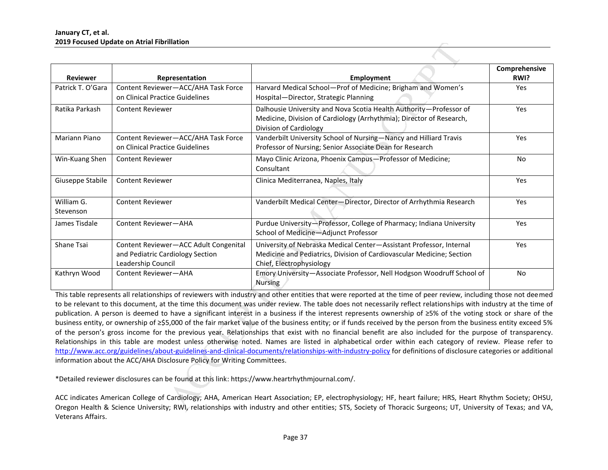| <b>Reviewer</b>         | Representation                                                                                                                                                            | <b>Employment</b>                                                                                                                                                                                                                                                                                                                                                                                                                                                                                                                                                                                                                                                                                                                                                                                                                                                                                                                                                                                                                                                                                                                                              | Comprehensive<br>RWI? |
|-------------------------|---------------------------------------------------------------------------------------------------------------------------------------------------------------------------|----------------------------------------------------------------------------------------------------------------------------------------------------------------------------------------------------------------------------------------------------------------------------------------------------------------------------------------------------------------------------------------------------------------------------------------------------------------------------------------------------------------------------------------------------------------------------------------------------------------------------------------------------------------------------------------------------------------------------------------------------------------------------------------------------------------------------------------------------------------------------------------------------------------------------------------------------------------------------------------------------------------------------------------------------------------------------------------------------------------------------------------------------------------|-----------------------|
| Patrick T. O'Gara       | Content Reviewer-ACC/AHA Task Force<br>on Clinical Practice Guidelines                                                                                                    | Harvard Medical School-Prof of Medicine; Brigham and Women's<br>Hospital-Director, Strategic Planning                                                                                                                                                                                                                                                                                                                                                                                                                                                                                                                                                                                                                                                                                                                                                                                                                                                                                                                                                                                                                                                          | Yes                   |
| Ratika Parkash          | <b>Content Reviewer</b>                                                                                                                                                   | Dalhousie University and Nova Scotia Health Authority-Professor of<br>Medicine, Division of Cardiology (Arrhythmia); Director of Research,<br>Division of Cardiology                                                                                                                                                                                                                                                                                                                                                                                                                                                                                                                                                                                                                                                                                                                                                                                                                                                                                                                                                                                           | Yes                   |
| Mariann Piano           | Content Reviewer-ACC/AHA Task Force<br>on Clinical Practice Guidelines                                                                                                    | Vanderbilt University School of Nursing-Nancy and Hilliard Travis<br>Professor of Nursing; Senior Associate Dean for Research                                                                                                                                                                                                                                                                                                                                                                                                                                                                                                                                                                                                                                                                                                                                                                                                                                                                                                                                                                                                                                  | Yes                   |
| Win-Kuang Shen          | <b>Content Reviewer</b>                                                                                                                                                   | Mayo Clinic Arizona, Phoenix Campus-Professor of Medicine;<br>Consultant                                                                                                                                                                                                                                                                                                                                                                                                                                                                                                                                                                                                                                                                                                                                                                                                                                                                                                                                                                                                                                                                                       | <b>No</b>             |
| Giuseppe Stabile        | <b>Content Reviewer</b>                                                                                                                                                   | Clinica Mediterranea, Naples, Italy                                                                                                                                                                                                                                                                                                                                                                                                                                                                                                                                                                                                                                                                                                                                                                                                                                                                                                                                                                                                                                                                                                                            | Yes                   |
| William G.<br>Stevenson | <b>Content Reviewer</b>                                                                                                                                                   | Vanderbilt Medical Center-Director, Director of Arrhythmia Research                                                                                                                                                                                                                                                                                                                                                                                                                                                                                                                                                                                                                                                                                                                                                                                                                                                                                                                                                                                                                                                                                            | Yes                   |
| James Tisdale           | Content Reviewer-AHA                                                                                                                                                      | Purdue University-Professor, College of Pharmacy; Indiana University<br>School of Medicine-Adjunct Professor                                                                                                                                                                                                                                                                                                                                                                                                                                                                                                                                                                                                                                                                                                                                                                                                                                                                                                                                                                                                                                                   | Yes                   |
| Shane Tsai              | Content Reviewer-ACC Adult Congenital<br>and Pediatric Cardiology Section<br>Leadership Council                                                                           | University of Nebraska Medical Center-Assistant Professor, Internal<br>Medicine and Pediatrics, Division of Cardiovascular Medicine; Section<br>Chief, Electrophysiology                                                                                                                                                                                                                                                                                                                                                                                                                                                                                                                                                                                                                                                                                                                                                                                                                                                                                                                                                                                       | Yes                   |
| Kathryn Wood            | Content Reviewer-AHA                                                                                                                                                      | Emory University-Associate Professor, Nell Hodgson Woodruff School of<br><b>Nursing</b>                                                                                                                                                                                                                                                                                                                                                                                                                                                                                                                                                                                                                                                                                                                                                                                                                                                                                                                                                                                                                                                                        | <b>No</b>             |
|                         | information about the ACC/AHA Disclosure Policy for Writing Committees.<br>*Detailed reviewer disclosures can be found at this link: https://www.heartrhythmjournal.com/. | This table represents all relationships of reviewers with industry and other entities that were reported at the time of peer review, including those not deemed<br>to be relevant to this document, at the time this document was under review. The table does not necessarily reflect relationships with industry at the time of<br>publication. A person is deemed to have a significant interest in a business if the interest represents ownership of ≥5% of the voting stock or share of the<br>business entity, or ownership of ≥\$5,000 of the fair market value of the business entity; or if funds received by the person from the business entity exceed 5%<br>of the person's gross income for the previous year. Relationships that exist with no financial benefit are also included for the purpose of transparency.<br>Relationships in this table are modest unless otherwise noted. Names are listed in alphabetical order within each category of review. Please refer to<br>http://www.acc.org/guidelines/about-guidelines-and-clinical-documents/relationships-with-industry-policy for definitions of disclosure categories or additional |                       |

ACC indicates American College of Cardiology; AHA, American Heart Association; EP, electrophysiology; HF, heart failure; HRS, Heart Rhythm Society; OHSU, Oregon Health & Science University; RWI, relationships with industry and other entities; STS, Society of Thoracic Surgeons; UT, University of Texas; and VA, Veterans Affairs.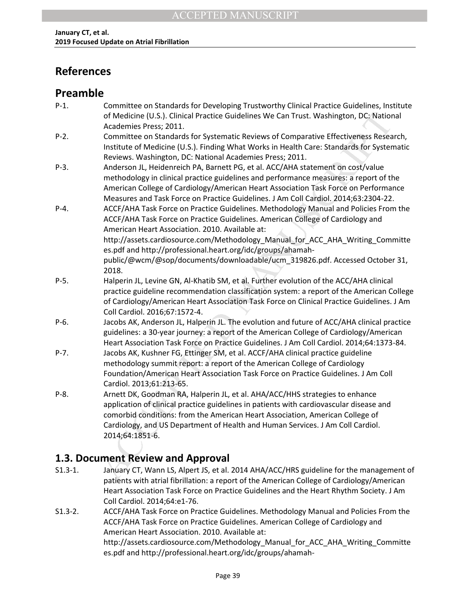# <span id="page-38-0"></span>**References**

## **Preamble**

| $P-1.$    | Committee on Standards for Developing Trustworthy Clinical Practice Guidelines, Institute<br>of Medicine (U.S.). Clinical Practice Guidelines We Can Trust. Washington, DC: National |
|-----------|--------------------------------------------------------------------------------------------------------------------------------------------------------------------------------------|
|           | Academies Press; 2011.                                                                                                                                                               |
| $P-2.$    | Committee on Standards for Systematic Reviews of Comparative Effectiveness Research,                                                                                                 |
|           | Institute of Medicine (U.S.). Finding What Works in Health Care: Standards for Systematic                                                                                            |
|           | Reviews. Washington, DC: National Academies Press; 2011.                                                                                                                             |
| $P-3$ .   | Anderson JL, Heidenreich PA, Barnett PG, et al. ACC/AHA statement on cost/value                                                                                                      |
|           | methodology in clinical practice guidelines and performance measures: a report of the                                                                                                |
|           | American College of Cardiology/American Heart Association Task Force on Performance                                                                                                  |
|           | Measures and Task Force on Practice Guidelines. J Am Coll Cardiol. 2014;63:2304-22.                                                                                                  |
| $P-4.$    | ACCF/AHA Task Force on Practice Guidelines. Methodology Manual and Policies From the                                                                                                 |
|           | ACCF/AHA Task Force on Practice Guidelines. American College of Cardiology and                                                                                                       |
|           | American Heart Association. 2010. Available at:                                                                                                                                      |
|           | http://assets.cardiosource.com/Methodology Manual for ACC AHA Writing Committe                                                                                                       |
|           | es.pdf and http://professional.heart.org/idc/groups/ahamah-                                                                                                                          |
|           | public/@wcm/@sop/documents/downloadable/ucm 319826.pdf. Accessed October 31,                                                                                                         |
|           | 2018.                                                                                                                                                                                |
| $P-5.$    | Halperin JL, Levine GN, Al-Khatib SM, et al. Further evolution of the ACC/AHA clinical                                                                                               |
|           | practice guideline recommendation classification system: a report of the American College                                                                                            |
|           | of Cardiology/American Heart Association Task Force on Clinical Practice Guidelines. J Am                                                                                            |
|           | Coll Cardiol. 2016;67:1572-4.                                                                                                                                                        |
| P-6.      | Jacobs AK, Anderson JL, Halperin JL. The evolution and future of ACC/AHA clinical practice                                                                                           |
|           | guidelines: a 30-year journey: a report of the American College of Cardiology/American                                                                                               |
| $P - 7.$  | Heart Association Task Force on Practice Guidelines. J Am Coll Cardiol. 2014;64:1373-84.                                                                                             |
|           | Jacobs AK, Kushner FG, Ettinger SM, et al. ACCF/AHA clinical practice guideline                                                                                                      |
|           | methodology summit report: a report of the American College of Cardiology<br>Foundation/American Heart Association Task Force on Practice Guidelines. J Am Coll                      |
|           | Cardiol. 2013;61:213-65.                                                                                                                                                             |
| $P-8.$    | Arnett DK, Goodman RA, Halperin JL, et al. AHA/ACC/HHS strategies to enhance                                                                                                         |
|           | application of clinical practice guidelines in patients with cardiovascular disease and                                                                                              |
|           | comorbid conditions: from the American Heart Association, American College of                                                                                                        |
|           | Cardiology, and US Department of Health and Human Services. J Am Coll Cardiol.                                                                                                       |
|           | 2014;64:1851-6.                                                                                                                                                                      |
|           | 1.3. Document Review and Approval                                                                                                                                                    |
| $S1.3-1.$ | January CT, Wann LS, Alpert JS, et al. 2014 AHA/ACC/HRS guideline for the management of                                                                                              |
|           | nationts with atrial fibrillation: a report of the American College of Cardiology/American                                                                                           |

## **1.3. Document Review and Approval**

- S1.3-1. January CT, Wann LS, Alpert JS, et al. 2014 AHA/ACC/HRS guideline for the management of patients with atrial fibrillation: a report of the American College of Cardiology/American Heart Association Task Force on Practice Guidelines and the Heart Rhythm Society. J Am Coll Cardiol. 2014;64:e1-76.
- S1.3-2. ACCF/AHA Task Force on Practice Guidelines. Methodology Manual and Policies From the ACCF/AHA Task Force on Practice Guidelines. American College of Cardiology and American Heart Association. 2010. Available at: http://assets.cardiosource.com/Methodology\_Manual\_for\_ACC\_AHA\_Writing\_Committe es.pdf and http://professional.heart.org/idc/groups/ahamah-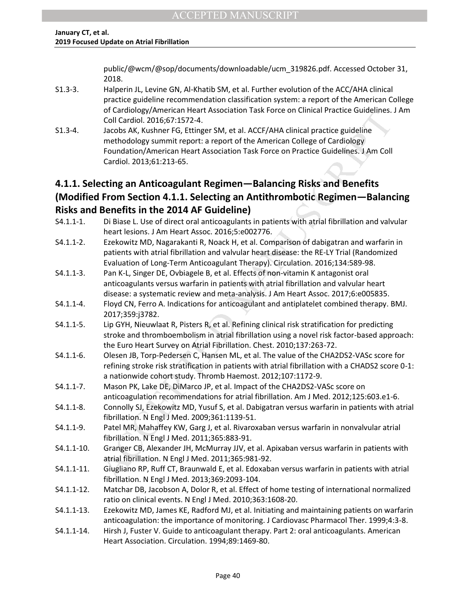public/@wcm/@sop/documents/downloadable/ucm\_319826.pdf. Accessed October 31, 2018.

- S1.3-3. Halperin JL, Levine GN, Al-Khatib SM, et al. Further evolution of the ACC/AHA clinical practice guideline recommendation classification system: a report of the American College of Cardiology/American Heart Association Task Force on Clinical Practice Guidelines. J Am Coll Cardiol. 2016;67:1572-4.
- S1.3-4. Jacobs AK, Kushner FG, Ettinger SM, et al. ACCF/AHA clinical practice guideline methodology summit report: a report of the American College of Cardiology Foundation/American Heart Association Task Force on Practice Guidelines. J Am Coll Cardiol. 2013;61:213-65.

## **4.1.1. Selecting an Anticoagulant Regimen—Balancing Risks and Benefits (Modified From Section 4.1.1. Selecting an Antithrombotic Regimen—Balancing Risks and Benefits in the 2014 AF Guideline)**

|                | or Cardiology/American Heart Association Task Porce on Chilical Practice Guidelines. J Ann<br>Coll Cardiol. 2016;67:1572-4.                                                         |
|----------------|-------------------------------------------------------------------------------------------------------------------------------------------------------------------------------------|
| $S1.3 - 4.$    | Jacobs AK, Kushner FG, Ettinger SM, et al. ACCF/AHA clinical practice guideline                                                                                                     |
|                | methodology summit report: a report of the American College of Cardiology                                                                                                           |
|                | Foundation/American Heart Association Task Force on Practice Guidelines. J Am Coll                                                                                                  |
|                | Cardiol. 2013;61:213-65.                                                                                                                                                            |
|                |                                                                                                                                                                                     |
|                | 4.1.1. Selecting an Anticoagulant Regimen-Balancing Risks and Benefits                                                                                                              |
|                | (Modified From Section 4.1.1. Selecting an Antithrombotic Regimen-Balancing                                                                                                         |
|                | <b>Risks and Benefits in the 2014 AF Guideline)</b>                                                                                                                                 |
| $S4.1.1 - 1.$  | Di Biase L. Use of direct oral anticoagulants in patients with atrial fibrillation and valvular                                                                                     |
|                | heart lesions. J Am Heart Assoc. 2016;5:e002776.                                                                                                                                    |
| $S4.1.1 - 2.$  | Ezekowitz MD, Nagarakanti R, Noack H, et al. Comparison of dabigatran and warfarin in                                                                                               |
|                | patients with atrial fibrillation and valvular heart disease: the RE-LY Trial (Randomized                                                                                           |
|                | Evaluation of Long-Term Anticoagulant Therapy). Circulation. 2016;134:589-98.                                                                                                       |
| $S4.1.1-3.$    | Pan K-L, Singer DE, Ovbiagele B, et al. Effects of non-vitamin K antagonist oral                                                                                                    |
|                | anticoagulants versus warfarin in patients with atrial fibrillation and valvular heart                                                                                              |
|                | disease: a systematic review and meta-analysis. J Am Heart Assoc. 2017;6:e005835.                                                                                                   |
| $S4.1.1 - 4.$  | Floyd CN, Ferro A. Indications for anticoagulant and antiplatelet combined therapy. BMJ.                                                                                            |
|                | 2017;359:j3782.                                                                                                                                                                     |
| $S4.1.1 - 5.$  | Lip GYH, Nieuwlaat R, Pisters R, et al. Refining clinical risk stratification for predicting                                                                                        |
|                | stroke and thromboembolism in atrial fibrillation using a novel risk factor-based approach:                                                                                         |
| $S4.1.1-6.$    | the Euro Heart Survey on Atrial Fibrillation. Chest. 2010;137:263-72.<br>Olesen JB, Torp-Pedersen C, Hansen ML, et al. The value of the CHA2DS2-VASc score for                      |
|                | refining stroke risk stratification in patients with atrial fibrillation with a CHADS2 score 0-1:                                                                                   |
|                | a nationwide cohort study. Thromb Haemost. 2012;107:1172-9.                                                                                                                         |
| $S4.1.1 - 7.$  | Mason PK, Lake DE, DiMarco JP, et al. Impact of the CHA2DS2-VASc score on                                                                                                           |
|                | anticoagulation recommendations for atrial fibrillation. Am J Med. 2012;125:603.e1-6.                                                                                               |
| $S4.1.1 - 8.$  | Connolly SJ, Ezekowitz MD, Yusuf S, et al. Dabigatran versus warfarin in patients with atrial                                                                                       |
|                | fibrillation. N Engl J Med. 2009;361:1139-51.                                                                                                                                       |
| $S4.1.1-9.$    | Patel MR, Mahaffey KW, Garg J, et al. Rivaroxaban versus warfarin in nonvalvular atrial                                                                                             |
|                | fibrillation. N Engl J Med. 2011;365:883-91.                                                                                                                                        |
| $S4.1.1 - 10.$ | Granger CB, Alexander JH, McMurray JJV, et al. Apixaban versus warfarin in patients with                                                                                            |
|                | atrial fibrillation. N Engl J Med. 2011;365:981-92.                                                                                                                                 |
| $S4.1.1 - 11.$ | Giugliano RP, Ruff CT, Braunwald E, et al. Edoxaban versus warfarin in patients with atrial                                                                                         |
|                | fibrillation. N Engl J Med. 2013;369:2093-104.                                                                                                                                      |
| S4.1.1-12.     | Matchar DB, Jacobson A, Dolor R, et al. Effect of home testing of international normalized                                                                                          |
|                | ratio on clinical events. N Engl J Med. 2010;363:1608-20.                                                                                                                           |
| $S4.1.1 - 13.$ | Ezekowitz MD, James KE, Radford MJ, et al. Initiating and maintaining patients on warfarin                                                                                          |
| $S4.1.1 - 14.$ | anticoagulation: the importance of monitoring. J Cardiovasc Pharmacol Ther. 1999;4:3-8.<br>Hirsh J, Fuster V. Guide to anticoagulant therapy. Part 2: oral anticoagulants. American |
|                | Heart Association. Circulation. 1994;89:1469-80.                                                                                                                                    |
|                |                                                                                                                                                                                     |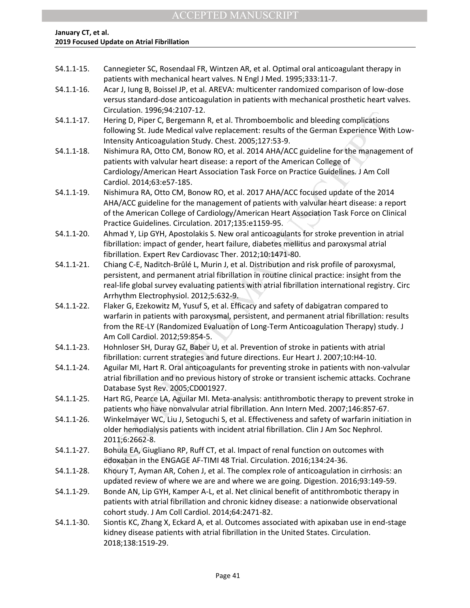| $S4.1.1 - 15.$ | Cannegieter SC, Rosendaal FR, Wintzen AR, et al. Optimal oral anticoagulant therapy in<br>patients with mechanical heart valves. N Engl J Med. 1995;333:11-7.     |
|----------------|-------------------------------------------------------------------------------------------------------------------------------------------------------------------|
| S4.1.1-16.     | Acar J, lung B, Boissel JP, et al. AREVA: multicenter randomized comparison of low-dose                                                                           |
|                | versus standard-dose anticoagulation in patients with mechanical prosthetic heart valves.                                                                         |
|                | Circulation. 1996;94:2107-12.                                                                                                                                     |
| $S4.1.1 - 17.$ | Hering D, Piper C, Bergemann R, et al. Thromboembolic and bleeding complications                                                                                  |
|                | following St. Jude Medical valve replacement: results of the German Experience With Low-<br>Intensity Anticoagulation Study. Chest. 2005;127:53-9.                |
| $S4.1.1 - 18.$ | Nishimura RA, Otto CM, Bonow RO, et al. 2014 AHA/ACC guideline for the management of<br>patients with valvular heart disease: a report of the American College of |
|                | Cardiology/American Heart Association Task Force on Practice Guidelines. J Am Coll<br>Cardiol. 2014;63:e57-185.                                                   |
| S4.1.1-19.     |                                                                                                                                                                   |
|                | Nishimura RA, Otto CM, Bonow RO, et al. 2017 AHA/ACC focused update of the 2014                                                                                   |
|                | AHA/ACC guideline for the management of patients with valvular heart disease: a report                                                                            |
|                | of the American College of Cardiology/American Heart Association Task Force on Clinical<br>Practice Guidelines. Circulation. 2017;135:e1159-95.                   |
| S4.1.1-20.     | Ahmad Y, Lip GYH, Apostolakis S. New oral anticoagulants for stroke prevention in atrial                                                                          |
|                | fibrillation: impact of gender, heart failure, diabetes mellitus and paroxysmal atrial                                                                            |
|                | fibrillation. Expert Rev Cardiovasc Ther. 2012;10:1471-80.                                                                                                        |
| S4.1.1-21.     | Chiang C-E, Naditch-Brûlé L, Murin J, et al. Distribution and risk profile of paroxysmal,                                                                         |
|                | persistent, and permanent atrial fibrillation in routine clinical practice: insight from the                                                                      |
|                | real-life global survey evaluating patients with atrial fibrillation international registry. Circ                                                                 |
|                | Arrhythm Electrophysiol. 2012;5:632-9.                                                                                                                            |
| S4.1.1-22.     | Flaker G, Ezekowitz M, Yusuf S, et al. Efficacy and safety of dabigatran compared to                                                                              |
|                | warfarin in patients with paroxysmal, persistent, and permanent atrial fibrillation: results                                                                      |
|                | from the RE-LY (Randomized Evaluation of Long-Term Anticoagulation Therapy) study. J                                                                              |
|                | Am Coll Cardiol. 2012;59:854-5.                                                                                                                                   |
| S4.1.1-23.     | Hohnloser SH, Duray GZ, Baber U, et al. Prevention of stroke in patients with atrial                                                                              |
|                | fibrillation: current strategies and future directions. Eur Heart J. 2007;10:H4-10.                                                                               |
| S4.1.1-24.     | Aguilar MI, Hart R. Oral anticoagulants for preventing stroke in patients with non-valvular                                                                       |
|                | atrial fibrillation and no previous history of stroke or transient ischemic attacks. Cochrane                                                                     |
|                | Database Syst Rev. 2005;CD001927.                                                                                                                                 |
| $S4.1.1 - 25.$ | Hart RG, Pearce LA, Aguilar MI. Meta-analysis: antithrombotic therapy to prevent stroke in                                                                        |
|                | patients who have nonvalvular atrial fibrillation. Ann Intern Med. 2007;146:857-67.                                                                               |
| S4.1.1-26.     | Winkelmayer WC, Liu J, Setoguchi S, et al. Effectiveness and safety of warfarin initiation in                                                                     |
|                | older hemodialysis patients with incident atrial fibrillation. Clin J Am Soc Nephrol.                                                                             |
|                | 2011;6:2662-8.                                                                                                                                                    |
| $S4.1.1 - 27.$ | Bohula EA, Giugliano RP, Ruff CT, et al. Impact of renal function on outcomes with                                                                                |
|                | edoxaban in the ENGAGE AF-TIMI 48 Trial. Circulation. 2016;134:24-36.                                                                                             |
| S4.1.1-28.     | Khoury T, Ayman AR, Cohen J, et al. The complex role of anticoagulation in cirrhosis: an                                                                          |
|                | updated review of where we are and where we are going. Digestion. 2016;93:149-59.                                                                                 |
| S4.1.1-29.     | Bonde AN, Lip GYH, Kamper A-L, et al. Net clinical benefit of antithrombotic therapy in                                                                           |
|                | patients with atrial fibrillation and chronic kidney disease: a nationwide observational                                                                          |
|                | cohort study. J Am Coll Cardiol. 2014;64:2471-82.                                                                                                                 |
| S4.1.1-30.     | Siontis KC, Zhang X, Eckard A, et al. Outcomes associated with apixaban use in end-stage                                                                          |
|                | kidney disease patients with atrial fibrillation in the United States. Circulation.                                                                               |
|                | 2018;138:1519-29.                                                                                                                                                 |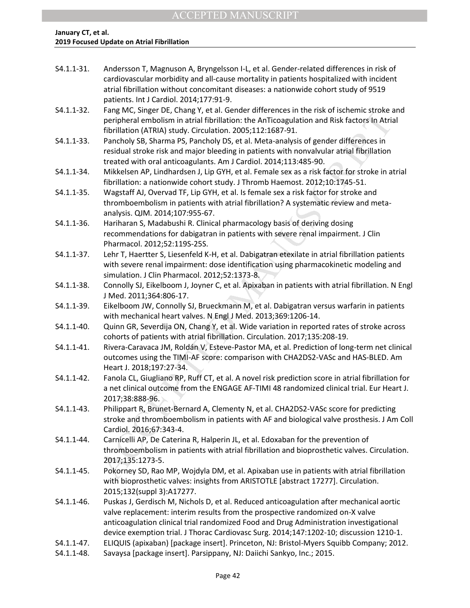| $S4.1.1 - 31.$ | Andersson T, Magnuson A, Bryngelsson I-L, et al. Gender-related differences in risk of<br>cardiovascular morbidity and all-cause mortality in patients hospitalized with incident<br>atrial fibrillation without concomitant diseases: a nationwide cohort study of 9519<br>patients. Int J Cardiol. 2014;177:91-9.                                          |
|----------------|--------------------------------------------------------------------------------------------------------------------------------------------------------------------------------------------------------------------------------------------------------------------------------------------------------------------------------------------------------------|
| $S4.1.1 - 32.$ | Fang MC, Singer DE, Chang Y, et al. Gender differences in the risk of ischemic stroke and<br>peripheral embolism in atrial fibrillation: the AnTicoagulation and Risk factors In Atrial<br>fibrillation (ATRIA) study. Circulation. 2005;112:1687-91.                                                                                                        |
| S4.1.1-33.     | Pancholy SB, Sharma PS, Pancholy DS, et al. Meta-analysis of gender differences in<br>residual stroke risk and major bleeding in patients with nonvalvular atrial fibrillation<br>treated with oral anticoagulants. Am J Cardiol. 2014;113:485-90.                                                                                                           |
| S4.1.1-34.     | Mikkelsen AP, Lindhardsen J, Lip GYH, et al. Female sex as a risk factor for stroke in atrial<br>fibrillation: a nationwide cohort study. J Thromb Haemost. 2012;10:1745-51.                                                                                                                                                                                 |
| S4.1.1-35.     | Wagstaff AJ, Overvad TF, Lip GYH, et al. Is female sex a risk factor for stroke and<br>thromboembolism in patients with atrial fibrillation? A systematic review and meta-<br>analysis. QJM. 2014;107:955-67.                                                                                                                                                |
| S4.1.1-36.     | Hariharan S, Madabushi R. Clinical pharmacology basis of deriving dosing<br>recommendations for dabigatran in patients with severe renal impairment. J Clin<br>Pharmacol. 2012;52:119S-25S.                                                                                                                                                                  |
| S4.1.1-37.     | Lehr T, Haertter S, Liesenfeld K-H, et al. Dabigatran etexilate in atrial fibrillation patients<br>with severe renal impairment: dose identification using pharmacokinetic modeling and<br>simulation. J Clin Pharmacol. 2012;52:1373-8.                                                                                                                     |
| S4.1.1-38.     | Connolly SJ, Eikelboom J, Joyner C, et al. Apixaban in patients with atrial fibrillation. N Engl<br>J Med. 2011;364:806-17.                                                                                                                                                                                                                                  |
| S4.1.1-39.     | Eikelboom JW, Connolly SJ, Brueckmann M, et al. Dabigatran versus warfarin in patients<br>with mechanical heart valves. N Engl J Med. 2013;369:1206-14.                                                                                                                                                                                                      |
| S4.1.1-40.     | Quinn GR, Severdija ON, Chang Y, et al. Wide variation in reported rates of stroke across<br>cohorts of patients with atrial fibrillation. Circulation. 2017;135:208-19.                                                                                                                                                                                     |
| $S4.1.1 - 41.$ | Rivera-Caravaca JM, Roldán V, Esteve-Pastor MA, et al. Prediction of long-term net clinical<br>outcomes using the TIMI-AF score: comparison with CHA2DS2-VASc and HAS-BLED. Am<br>Heart J. 2018;197:27-34.                                                                                                                                                   |
| $S4.1.1 - 42.$ | Fanola CL, Giugliano RP, Ruff CT, et al. A novel risk prediction score in atrial fibrillation for<br>a net clinical outcome from the ENGAGE AF-TIMI 48 randomized clinical trial. Eur Heart J.<br>2017;38:888-96.                                                                                                                                            |
| $S4.1.1 - 43.$ | Philippart R, Brunet-Bernard A, Clementy N, et al. CHA2DS2-VASc score for predicting<br>stroke and thromboembolism in patients with AF and biological valve prosthesis. J Am Coll<br>Cardiol. 2016;67:343-4.                                                                                                                                                 |
| S4.1.1-44.     | Carnicelli AP, De Caterina R, Halperin JL, et al. Edoxaban for the prevention of<br>thromboembolism in patients with atrial fibrillation and bioprosthetic valves. Circulation.<br>2017;135:1273-5.                                                                                                                                                          |
| S4.1.1-45.     | Pokorney SD, Rao MP, Wojdyla DM, et al. Apixaban use in patients with atrial fibrillation<br>with bioprosthetic valves: insights from ARISTOTLE [abstract 17277]. Circulation.<br>2015;132(suppl 3):A17277.                                                                                                                                                  |
| S4.1.1-46.     | Puskas J, Gerdisch M, Nichols D, et al. Reduced anticoagulation after mechanical aortic<br>valve replacement: interim results from the prospective randomized on-X valve<br>anticoagulation clinical trial randomized Food and Drug Administration investigational<br>device exemption trial. J Thorac Cardiovasc Surg. 2014;147:1202-10; discussion 1210-1. |
| $S4.1.1 - 47.$ | ELIQUIS (apixaban) [package insert]. Princeton, NJ: Bristol-Myers Squibb Company; 2012.                                                                                                                                                                                                                                                                      |

S4.1.1-48. Savaysa [package insert]. Parsippany, NJ: Daiichi Sankyo, Inc.; 2015.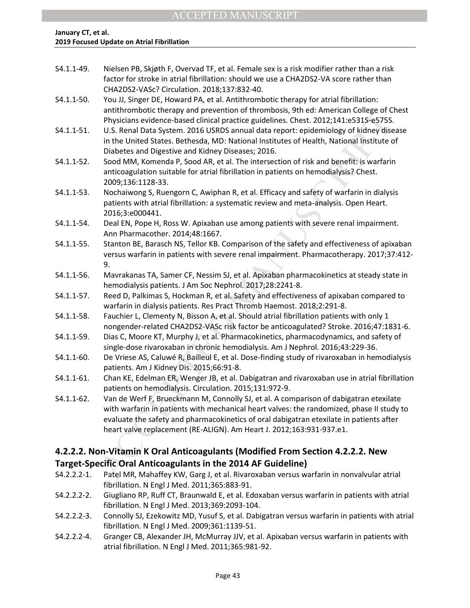| S4.1.1-49.     | Nielsen PB, Skjøth F, Overvad TF, et al. Female sex is a risk modifier rather than a risk<br>factor for stroke in atrial fibrillation: should we use a CHA2DS2-VA score rather than |
|----------------|-------------------------------------------------------------------------------------------------------------------------------------------------------------------------------------|
|                | CHA2DS2-VASc? Circulation. 2018;137:832-40.                                                                                                                                         |
| S4.1.1-50.     | You JJ, Singer DE, Howard PA, et al. Antithrombotic therapy for atrial fibrillation:                                                                                                |
|                | antithrombotic therapy and prevention of thrombosis, 9th ed: American College of Chest                                                                                              |
|                | Physicians evidence-based clinical practice guidelines. Chest. 2012;141:e531S-e575S.                                                                                                |
| S4.1.1-51.     | U.S. Renal Data System. 2016 USRDS annual data report: epidemiology of kidney disease                                                                                               |
|                | in the United States. Bethesda, MD: National Institutes of Health, National Institute of                                                                                            |
|                | Diabetes and Digestive and Kidney Diseases; 2016.                                                                                                                                   |
| S4.1.1-52.     | Sood MM, Komenda P, Sood AR, et al. The intersection of risk and benefit: is warfarin                                                                                               |
|                | anticoagulation suitable for atrial fibrillation in patients on hemodialysis? Chest.                                                                                                |
|                | 2009;136:1128-33.                                                                                                                                                                   |
| S4.1.1-53.     | Nochaiwong S, Ruengorn C, Awiphan R, et al. Efficacy and safety of warfarin in dialysis                                                                                             |
|                | patients with atrial fibrillation: a systematic review and meta-analysis. Open Heart.                                                                                               |
|                | 2016;3:e000441.                                                                                                                                                                     |
| S4.1.1-54.     | Deal EN, Pope H, Ross W. Apixaban use among patients with severe renal impairment.                                                                                                  |
|                | Ann Pharmacother. 2014;48:1667.                                                                                                                                                     |
| S4.1.1-55.     | Stanton BE, Barasch NS, Tellor KB. Comparison of the safety and effectiveness of apixaban                                                                                           |
|                | versus warfarin in patients with severe renal impairment. Pharmacotherapy. 2017;37:412-                                                                                             |
|                | 9.                                                                                                                                                                                  |
| S4.1.1-56.     | Mavrakanas TA, Samer CF, Nessim SJ, et al. Apixaban pharmacokinetics at steady state in                                                                                             |
|                | hemodialysis patients. J Am Soc Nephrol. 2017;28:2241-8.                                                                                                                            |
| S4.1.1-57.     | Reed D, Palkimas S, Hockman R, et al. Safety and effectiveness of apixaban compared to                                                                                              |
|                | warfarin in dialysis patients. Res Pract Thromb Haemost. 2018;2:291-8.                                                                                                              |
| S4.1.1-58.     | Fauchier L, Clementy N, Bisson A, et al. Should atrial fibrillation patients with only 1                                                                                            |
|                | nongender-related CHA2DS2-VASc risk factor be anticoagulated? Stroke. 2016;47:1831-6.                                                                                               |
| S4.1.1-59.     | Dias C, Moore KT, Murphy J, et al. Pharmacokinetics, pharmacodynamics, and safety of                                                                                                |
|                | single-dose rivaroxaban in chronic hemodialysis. Am J Nephrol. 2016;43:229-36.                                                                                                      |
| S4.1.1-60.     | De Vriese AS, Caluwé R, Bailleul E, et al. Dose-finding study of rivaroxaban in hemodialysis                                                                                        |
|                | patients. Am J Kidney Dis. 2015;66:91-8.                                                                                                                                            |
| $S4.1.1 - 61.$ | Chan KE, Edelman ER, Wenger JB, et al. Dabigatran and rivaroxaban use in atrial fibrillation                                                                                        |
|                | patients on hemodialysis. Circulation. 2015;131:972-9.                                                                                                                              |
| $S4.1.1 - 62.$ | Van de Werf F, Brueckmann M, Connolly SJ, et al. A comparison of dabigatran etexilate                                                                                               |
|                | with warfarin in patients with mechanical heart valves: the randomized, phase II study to                                                                                           |
|                | evaluate the safety and pharmacokinetics of oral dabigatran etexilate in patients after                                                                                             |
|                | heart valve replacement (RE-ALIGN). Am Heart J. 2012;163:931-937.e1.                                                                                                                |
|                |                                                                                                                                                                                     |
|                | 4.2.2.2. Non-Vitamin K Oral Anticoagulants (Modified From Section 4.2.2.2. New                                                                                                      |
|                | Target-Specific Oral Anticoagulants in the 2014 AF Guideline)                                                                                                                       |
| S4.2.2.2-1.    | Patel MR, Mahaffey KW, Garg J, et al. Rivaroxaban versus warfarin in nonvalvular atrial                                                                                             |

### **4.2.2.2. Non-Vitamin K Oral Anticoagulants (Modified From Section 4.2.2.2. New Target-Specific Oral Anticoagulants in the 2014 AF Guideline)**

- S4.2.2.2-1. Patel MR, Mahaffey KW, Garg J, et al. Rivaroxaban versus warfarin in nonvalvular atrial fibrillation. N Engl J Med. 2011;365:883-91.
- S4.2.2.2-2. Giugliano RP, Ruff CT, Braunwald E, et al. Edoxaban versus warfarin in patients with atrial fibrillation. N Engl J Med. 2013;369:2093-104.
- S4.2.2.2-3. Connolly SJ, Ezekowitz MD, Yusuf S, et al. Dabigatran versus warfarin in patients with atrial fibrillation. N Engl J Med. 2009;361:1139-51.
- S4.2.2.2-4. Granger CB, Alexander JH, McMurray JJV, et al. Apixaban versus warfarin in patients with atrial fibrillation. N Engl J Med. 2011;365:981-92.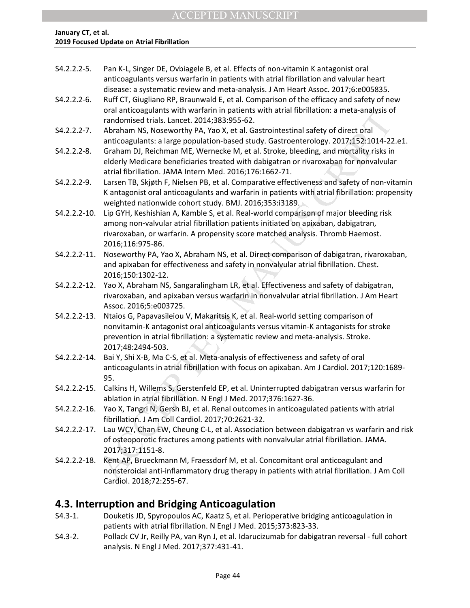| S4.2.2.2-5. | Pan K-L, Singer DE, Ovbiagele B, et al. Effects of non-vitamin K antagonist oral       |
|-------------|----------------------------------------------------------------------------------------|
|             | anticoagulants versus warfarin in patients with atrial fibrillation and valvular heart |
|             | disease: a systematic review and meta-analysis. J Am Heart Assoc. 2017;6:e005835.      |

- S4.2.2.2-6. Ruff CT, Giugliano RP, Braunwald E, et al. Comparison of the efficacy and safety of new oral anticoagulants with warfarin in patients with atrial fibrillation: a meta-analysis of randomised trials. Lancet. 2014;383:955-62.
- S4.2.2.2-7. Abraham NS, Noseworthy PA, Yao X, et al. Gastrointestinal safety of direct oral anticoagulants: a large population-based study. Gastroenterology. 2017;152:1014-22.e1.
- S4.2.2.2-8. Graham DJ, Reichman ME, Wernecke M, et al. Stroke, bleeding, and mortality risks in elderly Medicare beneficiaries treated with dabigatran or rivaroxaban for nonvalvular atrial fibrillation. JAMA Intern Med. 2016;176:1662-71.
- S4.2.2.2-9. Larsen TB, Skjøth F, Nielsen PB, et al. Comparative effectiveness and safety of non-vitamin K antagonist oral anticoagulants and warfarin in patients with atrial fibrillation: propensity weighted nationwide cohort study. BMJ. 2016;353:i3189.
- oral antitoagualism with vanitation. The lines and safety of and antification. Amele-analysis of and<br>consider trials. Lancet. 2014;383:95:62.<br>
anticoagulants: a large population-based study. Gastcointestinal safety of dire S4.2.2.2-10. Lip GYH, Keshishian A, Kamble S, et al. Real-world comparison of major bleeding risk among non-valvular atrial fibrillation patients initiated on apixaban, dabigatran, rivaroxaban, or warfarin. A propensity score matched analysis. Thromb Haemost. 2016;116:975-86.
- S4.2.2.2-11. Noseworthy PA, Yao X, Abraham NS, et al. Direct comparison of dabigatran, rivaroxaban, and apixaban for effectiveness and safety in nonvalvular atrial fibrillation. Chest. 2016;150:1302-12.
- S4.2.2.2-12. Yao X, Abraham NS, Sangaralingham LR, et al. Effectiveness and safety of dabigatran, rivaroxaban, and apixaban versus warfarin in nonvalvular atrial fibrillation. J Am Heart Assoc. 2016;5:e003725.
- S4.2.2.2-13. Ntaios G, Papavasileiou V, Makaritsis K, et al. Real-world setting comparison of nonvitamin-K antagonist oral anticoagulants versus vitamin-K antagonists for stroke prevention in atrial fibrillation: a systematic review and meta-analysis. Stroke. 2017;48:2494-503.
- S4.2.2.2-14. Bai Y, Shi X-B, Ma C-S, et al. Meta-analysis of effectiveness and safety of oral anticoagulants in atrial fibrillation with focus on apixaban. Am J Cardiol. 2017;120:1689- 95.
- S4.2.2.2-15. Calkins H, Willems S, Gerstenfeld EP, et al. Uninterrupted dabigatran versus warfarin for ablation in atrial fibrillation. N Engl J Med. 2017;376:1627-36.
- S4.2.2.2-16. Yao X, Tangri N, Gersh BJ, et al. Renal outcomes in anticoagulated patients with atrial fibrillation. J Am Coll Cardiol. 2017;70:2621-32.
- S4.2.2.2-17. Lau WCY, Chan EW, Cheung C-L, et al. Association between dabigatran vs warfarin and risk of osteoporotic fractures among patients with nonvalvular atrial fibrillation. JAMA. 2017;317:1151-8.
- S4.2.2.2-18. Kent AP, Brueckmann M, Fraessdorf M, et al. Concomitant oral anticoagulant and nonsteroidal anti-inflammatory drug therapy in patients with atrial fibrillation. J Am Coll Cardiol. 2018;72:255-67.

## **4.3. Interruption and Bridging Anticoagulation**

- S4.3-1. Douketis JD, Spyropoulos AC, Kaatz S, et al. Perioperative bridging anticoagulation in patients with atrial fibrillation. N Engl J Med. 2015;373:823-33.
- S4.3-2. Pollack CV Jr, Reilly PA, van Ryn J, et al. Idarucizumab for dabigatran reversal full cohort analysis. N Engl J Med. 2017;377:431-41.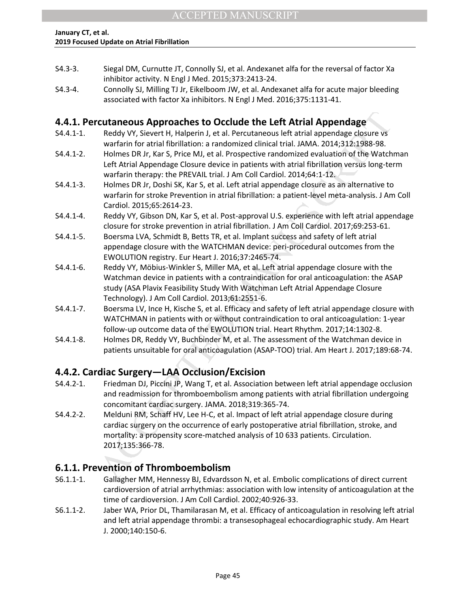- S4.3-3. Siegal DM, Curnutte JT, Connolly SJ, et al. Andexanet alfa for the reversal of factor Xa inhibitor activity. N Engl J Med. 2015;373:2413-24.
- S4.3-4. Connolly SJ, Milling TJ Jr, Eikelboom JW, et al. Andexanet alfa for acute major bleeding associated with factor Xa inhibitors. N Engl J Med. 2016;375:1131-41.

## **4.4.1. Percutaneous Approaches to Occlude the Left Atrial Appendage**

- S4.4.1-1. Reddy VY, Sievert H, Halperin J, et al. Percutaneous left atrial appendage closure vs warfarin for atrial fibrillation: a randomized clinical trial. JAMA. 2014;312:1988-98.
- S4.4.1-2. Holmes DR Jr, Kar S, Price MJ, et al. Prospective randomized evaluation of the Watchman Left Atrial Appendage Closure device in patients with atrial fibrillation versus long-term warfarin therapy: the PREVAIL trial. J Am Coll Cardiol. 2014;64:1-12.
- S4.4.1-3. Holmes DR Jr, Doshi SK, Kar S, et al. Left atrial appendage closure as an alternative to warfarin for stroke Prevention in atrial fibrillation: a patient-level meta-analysis. J Am Coll Cardiol. 2015;65:2614-23.
- S4.4.1-4. Reddy VY, Gibson DN, Kar S, et al. Post-approval U.S. experience with left atrial appendage closure for stroke prevention in atrial fibrillation. J Am Coll Cardiol. 2017;69:253-61.
- S4.4.1-5. Boersma LVA, Schmidt B, Betts TR, et al. Implant success and safety of left atrial appendage closure with the WATCHMAN device: peri-procedural outcomes from the EWOLUTION registry. Eur Heart J. 2016;37:2465-74.
- S4.4.1-6. Reddy VY, Möbius-Winkler S, Miller MA, et al. Left atrial appendage closure with the Watchman device in patients with a contraindication for oral anticoagulation: the ASAP study (ASA Plavix Feasibility Study With Watchman Left Atrial Appendage Closure Technology). J Am Coll Cardiol. 2013;61:2551-6.
- S4.4.1-7. Boersma LV, Ince H, Kische S, et al. Efficacy and safety of left atrial appendage closure with WATCHMAN in patients with or without contraindication to oral anticoagulation: 1-year follow-up outcome data of the EWOLUTION trial. Heart Rhythm. 2017;14:1302-8.
- S4.4.1-8. Holmes DR, Reddy VY, Buchbinder M, et al. The assessment of the Watchman device in patients unsuitable for oral anticoagulation (ASAP-TOO) trial. Am Heart J. 2017;189:68-74.

## **4.4.2. Cardiac Surgery—LAA Occlusion/Excision**

- S4.4.2-1. Friedman DJ, Piccini JP, Wang T, et al. Association between left atrial appendage occlusion and readmission for thromboembolism among patients with atrial fibrillation undergoing concomitant cardiac surgery. JAMA. 2018;319:365-74.
- **cutaneous Approaches to Occlude the Left Atrial Appendage<br>
Reddyty, Sievert H, Halperin J, et al. Percuateous left attial appendage<br>
Reddyt Sievers H, Halperin and and mixted clinical trial. AMA 2014;31298-98.<br>
Whates DR** S4.4.2-2. Melduni RM, Schaff HV, Lee H-C, et al. Impact of left atrial appendage closure during cardiac surgery on the occurrence of early postoperative atrial fibrillation, stroke, and mortality: a propensity score-matched analysis of 10 633 patients. Circulation. 2017;135:366-78.

## **6.1.1. Prevention of Thromboembolism**

- S6.1.1-1. Gallagher MM, Hennessy BJ, Edvardsson N, et al. Embolic complications of direct current cardioversion of atrial arrhythmias: association with low intensity of anticoagulation at the time of cardioversion. J Am Coll Cardiol. 2002;40:926-33.
- S6.1.1-2. Jaber WA, Prior DL, Thamilarasan M, et al. Efficacy of anticoagulation in resolving left atrial and left atrial appendage thrombi: a transesophageal echocardiographic study. Am Heart J. 2000;140:150-6.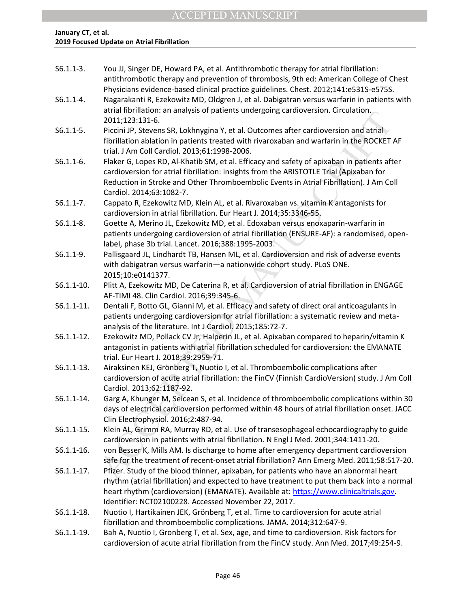| $S6.1.1-3.$    | You JJ, Singer DE, Howard PA, et al. Antithrombotic therapy for atrial fibrillation:<br>antithrombotic therapy and prevention of thrombosis, 9th ed: American College of Chest                                                                                                                                                       |
|----------------|--------------------------------------------------------------------------------------------------------------------------------------------------------------------------------------------------------------------------------------------------------------------------------------------------------------------------------------|
| $S6.1.1 - 4.$  | Physicians evidence-based clinical practice guidelines. Chest. 2012;141:e531S-e575S.<br>Nagarakanti R, Ezekowitz MD, Oldgren J, et al. Dabigatran versus warfarin in patients with                                                                                                                                                   |
|                | atrial fibrillation: an analysis of patients undergoing cardioversion. Circulation.<br>2011;123:131-6.                                                                                                                                                                                                                               |
| $S6.1.1 - 5.$  | Piccini JP, Stevens SR, Lokhnygina Y, et al. Outcomes after cardioversion and atrial<br>fibrillation ablation in patients treated with rivaroxaban and warfarin in the ROCKET AF<br>trial. J Am Coll Cardiol. 2013;61:1998-2006.                                                                                                     |
| $S6.1.1-6.$    | Flaker G, Lopes RD, Al-Khatib SM, et al. Efficacy and safety of apixaban in patients after<br>cardioversion for atrial fibrillation: insights from the ARISTOTLE Trial (Apixaban for<br>Reduction in Stroke and Other Thromboembolic Events in Atrial Fibrillation). J Am Coll<br>Cardiol. 2014;63:1082-7.                           |
| $S6.1.1 - 7.$  | Cappato R, Ezekowitz MD, Klein AL, et al. Rivaroxaban vs. vitamin K antagonists for<br>cardioversion in atrial fibrillation. Eur Heart J. 2014;35:3346-55.                                                                                                                                                                           |
| $S6.1.1 - 8.$  | Goette A, Merino JL, Ezekowitz MD, et al. Edoxaban versus enoxaparin-warfarin in<br>patients undergoing cardioversion of atrial fibrillation (ENSURE-AF): a randomised, open-<br>label, phase 3b trial. Lancet. 2016;388:1995-2003.                                                                                                  |
| $S6.1.1-9.$    | Pallisgaard JL, Lindhardt TB, Hansen ML, et al. Cardioversion and risk of adverse events<br>with dabigatran versus warfarin-a nationwide cohort study. PLoS ONE.<br>2015;10:e0141377.                                                                                                                                                |
| $S6.1.1 - 10.$ | Plitt A, Ezekowitz MD, De Caterina R, et al. Cardioversion of atrial fibrillation in ENGAGE<br>AF-TIMI 48. Clin Cardiol. 2016;39:345-6.                                                                                                                                                                                              |
| $S6.1.1 - 11.$ | Dentali F, Botto GL, Gianni M, et al. Efficacy and safety of direct oral anticoagulants in<br>patients undergoing cardioversion for atrial fibrillation: a systematic review and meta-<br>analysis of the literature. Int J Cardiol. 2015;185:72-7.                                                                                  |
| $S6.1.1 - 12.$ | Ezekowitz MD, Pollack CV Jr, Halperin JL, et al. Apixaban compared to heparin/vitamin K<br>antagonist in patients with atrial fibrillation scheduled for cardioversion: the EMANATE<br>trial. Eur Heart J. 2018;39:2959-71.                                                                                                          |
| $S6.1.1 - 13.$ | Airaksinen KEJ, Grönberg T, Nuotio I, et al. Thromboembolic complications after<br>cardioversion of acute atrial fibrillation: the FinCV (Finnish CardioVersion) study. J Am Coll<br>Cardiol. 2013;62:1187-92.                                                                                                                       |
| $S6.1.1 - 14.$ | Garg A, Khunger M, Seicean S, et al. Incidence of thromboembolic complications within 30<br>days of electrical cardioversion performed within 48 hours of atrial fibrillation onset. JACC<br>Clin Electrophysiol. 2016;2:487-94.                                                                                                     |
| $S6.1.1 - 15.$ | Klein AL, Grimm RA, Murray RD, et al. Use of transesophageal echocardiography to guide<br>cardioversion in patients with atrial fibrillation. N Engl J Med. 2001;344:1411-20.                                                                                                                                                        |
| $S6.1.1 - 16.$ | von Besser K, Mills AM. Is discharge to home after emergency department cardioversion<br>safe for the treatment of recent-onset atrial fibrillation? Ann Emerg Med. 2011;58:517-20.                                                                                                                                                  |
| $S6.1.1 - 17.$ | Pfizer. Study of the blood thinner, apixaban, for patients who have an abnormal heart<br>rhythm (atrial fibrillation) and expected to have treatment to put them back into a normal<br>heart rhythm (cardioversion) (EMANATE). Available at: https://www.clinicaltrials.gov.<br>Identifier: NCT02100228. Accessed November 22, 2017. |
| $S6.1.1 - 18.$ | Nuotio I, Hartikainen JEK, Grönberg T, et al. Time to cardioversion for acute atrial<br>fibrillation and thromboembolic complications. JAMA. 2014;312:647-9.                                                                                                                                                                         |
| S6.1.1-19.     | Bah A, Nuotio I, Gronberg T, et al. Sex, age, and time to cardioversion. Risk factors for<br>cardioversion of acute atrial fibrillation from the FinCV study. Ann Med. 2017;49:254-9.                                                                                                                                                |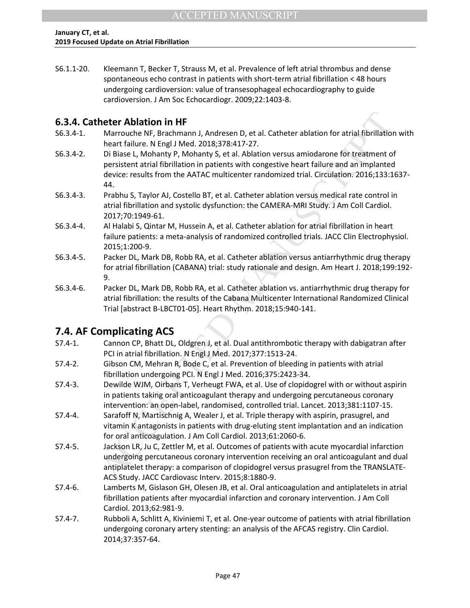S6.1.1-20. Kleemann T, Becker T, Strauss M, et al. Prevalence of left atrial thrombus and dense spontaneous echo contrast in patients with short-term atrial fibrillation < 48 hours undergoing cardioversion: value of transesophageal echocardiography to guide cardioversion. J Am Soc Echocardiogr. 2009;22:1403-8.

## **6.3.4. Catheter Ablation in HF**

- S6.3.4-1. Marrouche NF, Brachmann J, Andresen D, et al. Catheter ablation for atrial fibrillation with heart failure. N Engl J Med. 2018;378:417-27.
- S6.3.4-2. Di Biase L, Mohanty P, Mohanty S, et al. Ablation versus amiodarone for treatment of persistent atrial fibrillation in patients with congestive heart failure and an implanted device: results from the AATAC multicenter randomized trial. Circulation. 2016;133:1637- 44.
- S6.3.4-3. Prabhu S, Taylor AJ, Costello BT, et al. Catheter ablation versus medical rate control in atrial fibrillation and systolic dysfunction: the CAMERA-MRI Study. J Am Coll Cardiol. 2017;70:1949-61.
- S6.3.4-4. Al Halabi S, Qintar M, Hussein A, et al. Catheter ablation for atrial fibrillation in heart failure patients: a meta-analysis of randomized controlled trials. JACC Clin Electrophysiol. 2015;1:200-9.
- S6.3.4-5. Packer DL, Mark DB, Robb RA, et al. Catheter ablation versus antiarrhythmic drug therapy for atrial fibrillation (CABANA) trial: study rationale and design. Am Heart J. 2018;199:192- 9.
- S6.3.4-6. Packer DL, Mark DB, Robb RA, et al. Catheter ablation vs. antiarrhythmic drug therapy for atrial fibrillation: the results of the Cabana Multicenter International Randomized Clinical Trial [abstract B-LBCT01-05]. Heart Rhythm. 2018;15:940-141.

## **7.4. AF Complicating ACS**

- S7.4-1. Cannon CP, Bhatt DL, Oldgren J, et al. Dual antithrombotic therapy with dabigatran after PCI in atrial fibrillation. N Engl J Med. 2017;377:1513-24.
- S7.4-2. Gibson CM, Mehran R, Bode C, et al. Prevention of bleeding in patients with atrial fibrillation undergoing PCI. N Engl J Med. 2016;375:2423-34.
- S7.4-3. Dewilde WJM, Oirbans T, Verheugt FWA, et al. Use of clopidogrel with or without aspirin in patients taking oral anticoagulant therapy and undergoing percutaneous coronary intervention: an open-label, randomised, controlled trial. Lancet. 2013;381:1107-15.
- S7.4-4. Sarafoff N, Martischnig A, Wealer J, et al. Triple therapy with aspirin, prasugrel, and vitamin K antagonists in patients with drug-eluting stent implantation and an indication for oral anticoagulation. J Am Coll Cardiol. 2013;61:2060-6.
- **heter Ablation in HF**<br>
Marrowche R, Brachman J, Andresen D, et al. Catheter ablation for atrial fibrillation<br>
Marrowche R, Brachman J, Andresen D, et al. Ablation versus amiodarone for treatment of<br>
Disise L, Mohanty P, M S7.4-5. Jackson LR, Ju C, Zettler M, et al. Outcomes of patients with acute myocardial infarction undergoing percutaneous coronary intervention receiving an oral anticoagulant and dual antiplatelet therapy: a comparison of clopidogrel versus prasugrel from the TRANSLATE-ACS Study. JACC Cardiovasc Interv. 2015;8:1880-9.
- S7.4-6. Lamberts M, Gislason GH, Olesen JB, et al. Oral anticoagulation and antiplatelets in atrial fibrillation patients after myocardial infarction and coronary intervention. J Am Coll Cardiol. 2013;62:981-9.
- S7.4-7. Rubboli A, Schlitt A, Kiviniemi T, et al. One-year outcome of patients with atrial fibrillation undergoing coronary artery stenting: an analysis of the AFCAS registry. Clin Cardiol. 2014;37:357-64.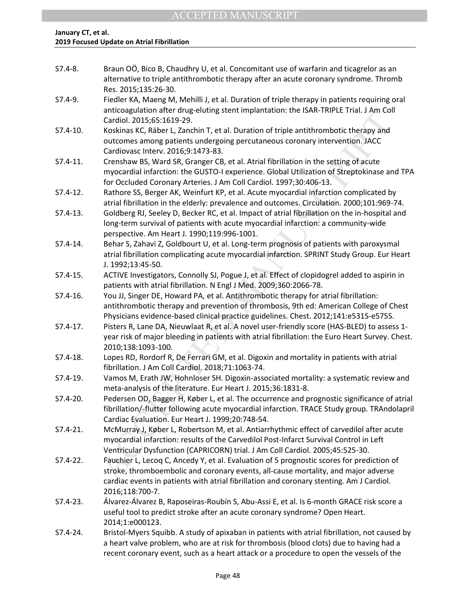| $S7.4-8.$    | Braun OÖ, Bico B, Chaudhry U, et al. Concomitant use of warfarin and ticagrelor as an<br>alternative to triple antithrombotic therapy after an acute coronary syndrome. Thromb<br>Res. 2015;135:26-30.                                                                                         |
|--------------|------------------------------------------------------------------------------------------------------------------------------------------------------------------------------------------------------------------------------------------------------------------------------------------------|
| $S7.4-9.$    | Fiedler KA, Maeng M, Mehilli J, et al. Duration of triple therapy in patients requiring oral<br>anticoagulation after drug-eluting stent implantation: the ISAR-TRIPLE Trial. J Am Coll<br>Cardiol. 2015;65:1619-29.                                                                           |
| $S7.4-10.$   | Koskinas KC, Räber L, Zanchin T, et al. Duration of triple antithrombotic therapy and<br>outcomes among patients undergoing percutaneous coronary intervention. JACC<br>Cardiovasc Interv. 2016;9:1473-83.                                                                                     |
| $S7.4-11.$   | Crenshaw BS, Ward SR, Granger CB, et al. Atrial fibrillation in the setting of acute<br>myocardial infarction: the GUSTO-I experience. Global Utilization of Streptokinase and TPA<br>for Occluded Coronary Arteries. J Am Coll Cardiol. 1997;30:406-13.                                       |
| $S7.4-12.$   | Rathore SS, Berger AK, Weinfurt KP, et al. Acute myocardial infarction complicated by<br>atrial fibrillation in the elderly: prevalence and outcomes. Circulation. 2000;101:969-74.                                                                                                            |
| $S7.4-13.$   | Goldberg RJ, Seeley D, Becker RC, et al. Impact of atrial fibrillation on the in-hospital and<br>long-term survival of patients with acute myocardial infarction: a community-wide<br>perspective. Am Heart J. 1990;119:996-1001.                                                              |
| $S7.4-14.$   | Behar S, Zahavi Z, Goldbourt U, et al. Long-term prognosis of patients with paroxysmal<br>atrial fibrillation complicating acute myocardial infarction. SPRINT Study Group. Eur Heart<br>J. 1992;13:45-50.                                                                                     |
| $S7.4-15.$   | ACTIVE Investigators, Connolly SJ, Pogue J, et al. Effect of clopidogrel added to aspirin in<br>patients with atrial fibrillation. N Engl J Med. 2009;360:2066-78.                                                                                                                             |
| S7.4-16.     | You JJ, Singer DE, Howard PA, et al. Antithrombotic therapy for atrial fibrillation:<br>antithrombotic therapy and prevention of thrombosis, 9th ed: American College of Chest<br>Physicians evidence-based clinical practice guidelines. Chest. 2012;141:e531S-e575S.                         |
| $S7.4-17.$   | Pisters R, Lane DA, Nieuwlaat R, et al. A novel user-friendly score (HAS-BLED) to assess 1-<br>year risk of major bleeding in patients with atrial fibrillation: the Euro Heart Survey. Chest.<br>2010;138:1093-100.                                                                           |
| S7.4-18.     | Lopes RD, Rordorf R, De Ferrari GM, et al. Digoxin and mortality in patients with atrial<br>fibrillation. J Am Coll Cardiol. 2018;71:1063-74.                                                                                                                                                  |
| S7.4-19.     | Vamos M, Erath JW, Hohnloser SH. Digoxin-associated mortality: a systematic review and<br>meta-analysis of the literature. Eur Heart J. 2015;36:1831-8.                                                                                                                                        |
| S7.4-20.     | Pedersen OD, Bagger H, Køber L, et al. The occurrence and prognostic significance of atrial<br>fibrillation/-flutter following acute myocardial infarction. TRACE Study group. TRAndolapril<br>Cardiac Evaluation. Eur Heart J. 1999;20:748-54.                                                |
| $S7.4 - 21.$ | McMurray J, Køber L, Robertson M, et al. Antiarrhythmic effect of carvedilol after acute<br>myocardial infarction: results of the Carvedilol Post-Infarct Survival Control in Left<br>Ventricular Dysfunction (CAPRICORN) trial. J Am Coll Cardiol. 2005;45:525-30.                            |
| S7.4-22.     | Fauchier L, Lecoq C, Ancedy Y, et al. Evaluation of 5 prognostic scores for prediction of<br>stroke, thromboembolic and coronary events, all-cause mortality, and major adverse<br>cardiac events in patients with atrial fibrillation and coronary stenting. Am J Cardiol.<br>2016;118:700-7. |
| S7.4-23.     | Álvarez-Álvarez B, Raposeiras-Roubín S, Abu-Assi E, et al. Is 6-month GRACE risk score a<br>useful tool to predict stroke after an acute coronary syndrome? Open Heart.<br>2014;1:e000123.                                                                                                     |
| S7.4-24.     | Bristol-Myers Squibb. A study of apixaban in patients with atrial fibrillation, not caused by<br>a heart valve problem, who are at risk for thrombosis (blood clots) due to having had a                                                                                                       |

recent coronary event, such as a heart attack or a procedure to open the vessels of the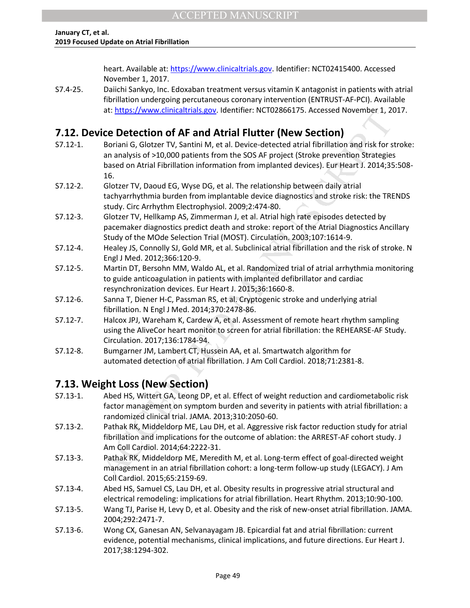heart. Available at: [https://www.clinicaltrials.gov.](https://www.clinicaltrials.gov/) Identifier: NCT02415400. Accessed November 1, 2017.

S7.4-25. Daiichi Sankyo, Inc. Edoxaban treatment versus vitamin K antagonist in patients with atrial fibrillation undergoing percutaneous coronary intervention (ENTRUST-AF-PCI). Available at: [https://www.clinicaltrials.gov.](https://www.clinicaltrials.gov/) Identifier: NCT02866175. Accessed November 1, 2017.

## **7.12. Device Detection of AF and Atrial Flutter (New Section)**

- at. Intuss://www.cnimaatinas.gov. utenturer. NCT02680175. Attessed november 1, 20<br>
icc Detection of AF and Atrial Flutter (New Section)<br>
Borrain G, Gloter TV, Santin M, et al. Device detected attail fibrillation and risk f S7.12-1. Boriani G, Glotzer TV, Santini M, et al. Device-detected atrial fibrillation and risk for stroke: an analysis of >10,000 patients from the SOS AF project (Stroke prevention Strategies based on Atrial Fibrillation information from implanted devices). Eur Heart J. 2014;35:508- 16.
- S7.12-2. Glotzer TV, Daoud EG, Wyse DG, et al. The relationship between daily atrial tachyarrhythmia burden from implantable device diagnostics and stroke risk: the TRENDS study. Circ Arrhythm Electrophysiol. 2009;2:474-80.
- S7.12-3. Glotzer TV, Hellkamp AS, Zimmerman J, et al. Atrial high rate episodes detected by pacemaker diagnostics predict death and stroke: report of the Atrial Diagnostics Ancillary Study of the MOde Selection Trial (MOST). Circulation. 2003;107:1614-9.
- S7.12-4. Healey JS, Connolly SJ, Gold MR, et al. Subclinical atrial fibrillation and the risk of stroke. N Engl J Med. 2012;366:120-9.
- S7.12-5. Martin DT, Bersohn MM, Waldo AL, et al. Randomized trial of atrial arrhythmia monitoring to guide anticoagulation in patients with implanted defibrillator and cardiac resynchronization devices. Eur Heart J. 2015;36:1660-8.
- S7.12-6. Sanna T, Diener H-C, Passman RS, et al. Cryptogenic stroke and underlying atrial fibrillation. N Engl J Med. 2014;370:2478-86.
- S7.12-7. Halcox JPJ, Wareham K, Cardew A, et al. Assessment of remote heart rhythm sampling using the AliveCor heart monitor to screen for atrial fibrillation: the REHEARSE-AF Study. Circulation. 2017;136:1784-94.
- S7.12-8. Bumgarner JM, Lambert CT, Hussein AA, et al. Smartwatch algorithm for automated detection of atrial fibrillation. J Am Coll Cardiol. 2018;71:2381-8.

## **7.13. Weight Loss (New Section)**

- S7.13-1. Abed HS, Wittert GA, Leong DP, et al. Effect of weight reduction and cardiometabolic risk factor management on symptom burden and severity in patients with atrial fibrillation: a randomized clinical trial. JAMA. 2013;310:2050-60.
- S7.13-2. Pathak RK, Middeldorp ME, Lau DH, et al. Aggressive risk factor reduction study for atrial fibrillation and implications for the outcome of ablation: the ARREST-AF cohort study. J Am Coll Cardiol. 2014;64:2222-31.
- S7.13-3. Pathak RK, Middeldorp ME, Meredith M, et al. Long-term effect of goal-directed weight management in an atrial fibrillation cohort: a long-term follow-up study (LEGACY). J Am Coll Cardiol. 2015;65:2159-69.
- S7.13-4. Abed HS, Samuel CS, Lau DH, et al. Obesity results in progressive atrial structural and electrical remodeling: implications for atrial fibrillation. Heart Rhythm. 2013;10:90-100.
- S7.13-5. Wang TJ, Parise H, Levy D, et al. Obesity and the risk of new-onset atrial fibrillation. JAMA. 2004;292:2471-7.
- S7.13-6. Wong CX, Ganesan AN, Selvanayagam JB. Epicardial fat and atrial fibrillation: current evidence, potential mechanisms, clinical implications, and future directions. Eur Heart J. 2017;38:1294-302.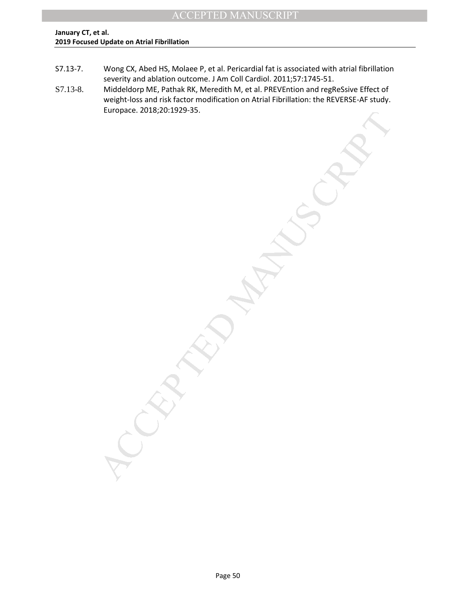- S7.13-7. Wong CX, Abed HS, Molaee P, et al. Pericardial fat is associated with atrial fibrillation severity and ablation outcome. J Am Coll Cardiol. 2011;57:1745-51.
- MANUSCRIPT ACCEPTED S7.13-8. Middeldorp ME, Pathak RK, Meredith M, et al. PREVEntion and regReSsive Effect of weight-loss and risk factor modification on Atrial Fibrillation: the REVERSE-AF study. Europace. 2018;20:1929-35.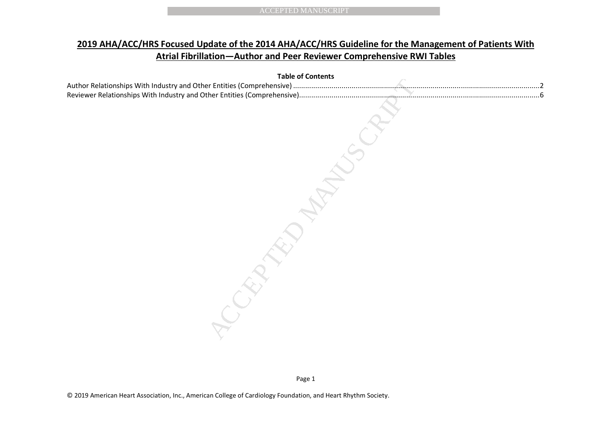## **2019 AHA/ACC/HRS Focused Update of the 2014 AHA/ACC/HRS Guideline for the Management of Patients With Atrial Fibrillation—Author and Peer Reviewer Comprehensive RWI Tables**

|  | <b>Atrial Fibrillation-Author and Peer Reviewer Comprehensive RWI Tables</b> |  |  |
|--|------------------------------------------------------------------------------|--|--|
|  | <b>Table of Contents</b>                                                     |  |  |
|  |                                                                              |  |  |
|  |                                                                              |  |  |
|  |                                                                              |  |  |
|  |                                                                              |  |  |
|  |                                                                              |  |  |
|  |                                                                              |  |  |
|  |                                                                              |  |  |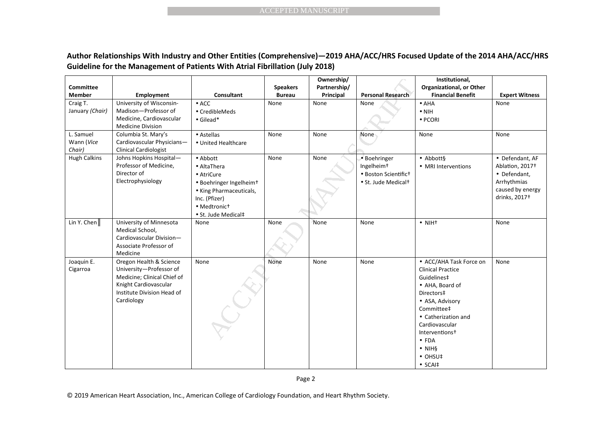|                                   |                                                                                                                                                                                                                |                                                                                                                                                                 | <b>ACCEPTED MANUSCRIPT</b>       |                                         |                                                                                                   |                                                                                                                                                                                                                                                                                      |                                                                                                                    |
|-----------------------------------|----------------------------------------------------------------------------------------------------------------------------------------------------------------------------------------------------------------|-----------------------------------------------------------------------------------------------------------------------------------------------------------------|----------------------------------|-----------------------------------------|---------------------------------------------------------------------------------------------------|--------------------------------------------------------------------------------------------------------------------------------------------------------------------------------------------------------------------------------------------------------------------------------------|--------------------------------------------------------------------------------------------------------------------|
|                                   | Author Relationships With Industry and Other Entities (Comprehensive)-2019 AHA/ACC/HRS Focused Update of the 2014 AHA/ACC/HRS<br>Guideline for the Management of Patients With Atrial Fibrillation (July 2018) |                                                                                                                                                                 |                                  |                                         |                                                                                                   |                                                                                                                                                                                                                                                                                      |                                                                                                                    |
| <b>Committee</b><br><b>Member</b> | <b>Employment</b>                                                                                                                                                                                              | Consultant                                                                                                                                                      | <b>Speakers</b><br><b>Bureau</b> | Ownership/<br>Partnership/<br>Principal | <b>Personal Research</b>                                                                          | Institutional,<br>Organizational, or Other<br><b>Financial Benefit</b>                                                                                                                                                                                                               | <b>Expert Witness</b>                                                                                              |
| Craig T.<br>January (Chair)       | University of Wisconsin-<br>Madison-Professor of<br>Medicine, Cardiovascular<br><b>Medicine Division</b>                                                                                                       | $\bullet$ ACC<br>• CredibleMeds<br>$\bullet$ Gilead*                                                                                                            | None                             | None                                    | None                                                                                              | $\bullet$ AHA<br>$\bullet$ NIH<br>· PCORI                                                                                                                                                                                                                                            | None                                                                                                               |
| L. Samuel<br>Wann (Vice<br>Chair) | Columbia St. Mary's<br>Cardiovascular Physicians-<br><b>Clinical Cardiologist</b>                                                                                                                              | • Astellas<br>• United Healthcare                                                                                                                               | None                             | None                                    | None                                                                                              | None                                                                                                                                                                                                                                                                                 | None                                                                                                               |
| <b>Hugh Calkins</b>               | Johns Hopkins Hospital-<br>Professor of Medicine,<br>Director of<br>Electrophysiology                                                                                                                          | • Abbott<br>• AltaThera<br>• AtriCure<br>· Boehringer Ingelheim <sup>+</sup><br>• King Pharmaceuticals,<br>Inc. (Pfizer)<br>• Medtronict<br>• St. Jude Medical‡ | None                             | None                                    | • Boehringer<br>Ingelheim <sup>+</sup><br>• Boston Scientifict<br>• St. Jude Medical <sup>+</sup> | $\bullet$ Abbott§<br>• MRI Interventions                                                                                                                                                                                                                                             | • Defendant, AF<br>Ablation, 2017+<br>• Defendant,<br>Arrhythmias<br>caused by energy<br>drinks, 2017 <sup>+</sup> |
| Lin Y. Chen $\ $                  | University of Minnesota<br>Medical School,<br>Cardiovascular Division-<br>Associate Professor of<br>Medicine                                                                                                   | None                                                                                                                                                            | None                             | None                                    | None                                                                                              | $\bullet$ NIH <sup>+</sup>                                                                                                                                                                                                                                                           | None                                                                                                               |
| Joaquin E.<br>Cigarroa            | Oregon Health & Science<br>University-Professor of<br>Medicine; Clinical Chief of<br>Knight Cardiovascular<br>Institute Division Head of<br>Cardiology                                                         | None                                                                                                                                                            | None                             | None                                    | None                                                                                              | • ACC/AHA Task Force on<br><b>Clinical Practice</b><br>Guidelines‡<br>• AHA, Board of<br>Directors‡<br>• ASA, Advisory<br>Committee‡<br>• Catherization and<br>Cardiovascular<br>Interventions <sup>+</sup><br>$\bullet$ FDA<br>$\bullet$ NIH§<br>$\bullet$ OHSU‡<br>$\bullet$ SCAI‡ | None                                                                                                               |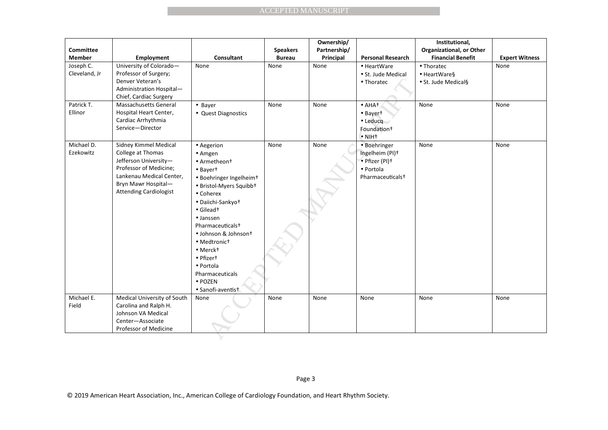|                                               |                                                                                                                                                                                   |                                                                                                                                                                                                                                                                                                                                                                                    | <b>ACCEPTED MANUSCRIPT</b>       |                                         |                                                                                                                                         |                                                                        |                       |
|-----------------------------------------------|-----------------------------------------------------------------------------------------------------------------------------------------------------------------------------------|------------------------------------------------------------------------------------------------------------------------------------------------------------------------------------------------------------------------------------------------------------------------------------------------------------------------------------------------------------------------------------|----------------------------------|-----------------------------------------|-----------------------------------------------------------------------------------------------------------------------------------------|------------------------------------------------------------------------|-----------------------|
|                                               |                                                                                                                                                                                   |                                                                                                                                                                                                                                                                                                                                                                                    |                                  |                                         |                                                                                                                                         |                                                                        |                       |
| <b>Committee</b><br><b>Member</b>             | Employment                                                                                                                                                                        | Consultant                                                                                                                                                                                                                                                                                                                                                                         | <b>Speakers</b><br><b>Bureau</b> | Ownership/<br>Partnership/<br>Principal | <b>Personal Research</b>                                                                                                                | Institutional,<br>Organizational, or Other<br><b>Financial Benefit</b> | <b>Expert Witness</b> |
| Joseph C.<br>Cleveland, Jr                    | University of Colorado-<br>Professor of Surgery;<br>Denver Veteran's<br>Administration Hospital-<br>Chief, Cardiac Surgery                                                        | None                                                                                                                                                                                                                                                                                                                                                                               | None                             | None                                    | • HeartWare<br>• St. Jude Medical<br>• Thoratec                                                                                         | • Thoratec<br>• HeartWare§<br>· St. Jude Medical§                      | None                  |
| Patrick T.<br>Ellinor                         | Massachusetts General<br>Hospital Heart Center,<br>Cardiac Arrhythmia<br>Service-Director                                                                                         | • Bayer<br>• Quest Diagnostics                                                                                                                                                                                                                                                                                                                                                     | None                             | None                                    | $\bullet$ AHA <sup>+</sup><br>$\bullet$ Bayer <sup>+</sup><br>$\bullet$ Leducq<br>Foundation <sup>+</sup><br>$\bullet$ NIH <sub>†</sub> | None                                                                   | None                  |
| $\overline{\mathsf{Michael}}$ D.<br>Ezekowitz | Sidney Kimmel Medical<br>College at Thomas<br>Jefferson University-<br>Professor of Medicine;<br>Lankenau Medical Center,<br>Bryn Mawr Hospital-<br><b>Attending Cardiologist</b> | • Aegerion<br>$•$ Amgen<br>• Armetheon <sup>+</sup><br>• Bayert<br>· Boehringer Ingelheim <sup>+</sup><br>• Bristol-Myers Squibb+<br>• Coherex<br>· Daiichi-Sankyot<br>$\bullet$ Gilead <sup>+</sup><br>· Janssen<br>Pharmaceuticals <sup>+</sup><br>· Johnson & Johnson+<br>• Medtronict<br>• Merckt<br>• Pfizert<br>· Portola<br>Pharmaceuticals<br>• POZEN<br>· Sanofi-aventist | None                             | None                                    | · Boehringer<br>Ingelheim (PI)+<br>· Pfizer (PI)+<br>· Portola<br>Pharmaceuticals <sup>+</sup>                                          | None                                                                   | None                  |
| Michael E.<br>Field                           | Medical University of South<br>Carolina and Ralph H.<br>Johnson VA Medical<br>Center-Associate<br>Professor of Medicine                                                           | None                                                                                                                                                                                                                                                                                                                                                                               | None                             | None                                    | None                                                                                                                                    | None                                                                   | None                  |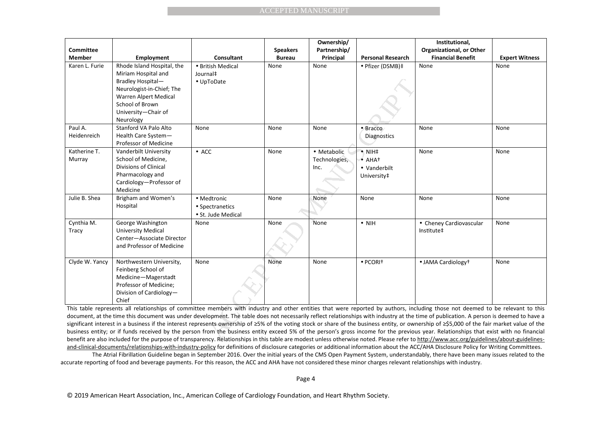|                                   |                                                                                                                                                                                                                                                                                                                                                                                                                                                                                                                                                                                                                                                                                                                                                                                                                                                                                                                                                                |                                                      | <b>ACCEPTED MANUSCRIPT</b>       |                                         |                                                                           |                                                                        |                       |
|-----------------------------------|----------------------------------------------------------------------------------------------------------------------------------------------------------------------------------------------------------------------------------------------------------------------------------------------------------------------------------------------------------------------------------------------------------------------------------------------------------------------------------------------------------------------------------------------------------------------------------------------------------------------------------------------------------------------------------------------------------------------------------------------------------------------------------------------------------------------------------------------------------------------------------------------------------------------------------------------------------------|------------------------------------------------------|----------------------------------|-----------------------------------------|---------------------------------------------------------------------------|------------------------------------------------------------------------|-----------------------|
|                                   |                                                                                                                                                                                                                                                                                                                                                                                                                                                                                                                                                                                                                                                                                                                                                                                                                                                                                                                                                                |                                                      |                                  |                                         |                                                                           |                                                                        |                       |
| <b>Committee</b><br><b>Member</b> | <b>Employment</b>                                                                                                                                                                                                                                                                                                                                                                                                                                                                                                                                                                                                                                                                                                                                                                                                                                                                                                                                              | Consultant                                           | <b>Speakers</b><br><b>Bureau</b> | Ownership/<br>Partnership/<br>Principal | <b>Personal Research</b>                                                  | Institutional,<br>Organizational, or Other<br><b>Financial Benefit</b> | <b>Expert Witness</b> |
| Karen L. Furie                    | Rhode Island Hospital, the<br>Miriam Hospital and<br>Bradley Hospital-<br>Neurologist-in-Chief; The<br>Warren Alpert Medical<br>School of Brown<br>University-Chair of<br>Neurology                                                                                                                                                                                                                                                                                                                                                                                                                                                                                                                                                                                                                                                                                                                                                                            | • British Medical<br>Journal‡<br>• UpToDate          | None                             | None                                    | • Pfizer (DSMB)‡                                                          | None                                                                   | None                  |
| Paul A.<br>Heidenreich            | Stanford VA Palo Alto<br>Health Care System-<br>Professor of Medicine                                                                                                                                                                                                                                                                                                                                                                                                                                                                                                                                                                                                                                                                                                                                                                                                                                                                                          | None                                                 | None                             | None                                    | · Bracco<br><b>Diagnostics</b>                                            | None                                                                   | None                  |
| Katherine T.<br>Murray            | Vanderbilt University<br>School of Medicine,<br>Divisions of Clinical<br>Pharmacology and<br>Cardiology-Professor of<br>Medicine                                                                                                                                                                                                                                                                                                                                                                                                                                                                                                                                                                                                                                                                                                                                                                                                                               | $\bullet$ ACC                                        | None                             | • Metabolic<br>Technologies,<br>Inc.    | $\bullet$ NIH $\ddagger$<br>$\bullet$ AHAT<br>• Vanderbilt<br>University‡ | None                                                                   | None                  |
| Julie B. Shea                     | Brigham and Women's<br>Hospital                                                                                                                                                                                                                                                                                                                                                                                                                                                                                                                                                                                                                                                                                                                                                                                                                                                                                                                                | • Medtronic<br>• Spectranetics<br>· St. Jude Medical | None                             | None                                    | None                                                                      | None                                                                   | None                  |
| Cynthia M.<br>Tracy               | George Washington<br>University Medical<br>Center-Associate Director<br>and Professor of Medicine                                                                                                                                                                                                                                                                                                                                                                                                                                                                                                                                                                                                                                                                                                                                                                                                                                                              | None                                                 | None                             | None                                    | $\bullet$ NIH                                                             | • Cheney Cardiovascular<br>Institute‡                                  | None                  |
| Clyde W. Yancy                    | Northwestern University,<br>Feinberg School of<br>Medicine-Magerstadt<br>Professor of Medicine;<br>Division of Cardiology-<br>Chief                                                                                                                                                                                                                                                                                                                                                                                                                                                                                                                                                                                                                                                                                                                                                                                                                            | None                                                 | None                             | None                                    | $\bullet$ PCORIT                                                          | • JAMA Cardiology <sup>+</sup>                                         | None                  |
|                                   | This table represents all relationships of committee members with industry and other entities that were reported by authors, including those not deemed to be relevant to this<br>document, at the time this document was under development. The table does not necessarily reflect relationships with industry at the time of publication. A person is deemed to have a<br>significant interest in a business if the interest represents ownership of ≥5% of the voting stock or share of the business entity, or ownership of ≥\$5,000 of the fair market value of the<br>business entity; or if funds received by the person from the business entity exceed 5% of the person's gross income for the previous year. Relationships that exist with no financial<br>benefit are also included for the nurnose of transparency. Relationships in this table are modest unless otherwise noted. Please refer to http://www.acc.org/guidelines/about-guidelines- |                                                      |                                  |                                         |                                                                           |                                                                        |                       |

This table represents all relationships of committee members with industry and other entities that were reported by authors, including those not deemed to be relevant to this document, at the time this document was under development. The table does not necessarily reflect relationships with industry at the time of publication. A person is deemed to have a significant interest in a business if the interest represents ownership of ≥5% of the voting stock or share of the business entity, or ownership of ≥\$5,000 of the fair market value of the business entity; or if funds received by the person from the business entity exceed 5% of the person's gross income for the previous year. Relationships that exist with no financial benefit are also included for the purpose of transparency. Relationships in this table are modest unless otherwise noted. Please refer to http://www.acc.org/guidelines/about-guidelinesand-clinical-documents/relationships-with-industry-policy for definitions of disclosure categories or additional information about the ACC/AHA Disclosure Policy for Writing Committees.

 The Atrial Fibrillation Guideline began in September 2016. Over the initial years of the CMS Open Payment System, understandably, there have been many issues related to the accurate reporting of food and beverage payments. For this reason, the ACC and AHA have not considered these minor charges relevant relationships with industry.

Page 4

© 2019 American Heart Association, Inc., American College of Cardiology Foundation, and Heart Rhythm Society.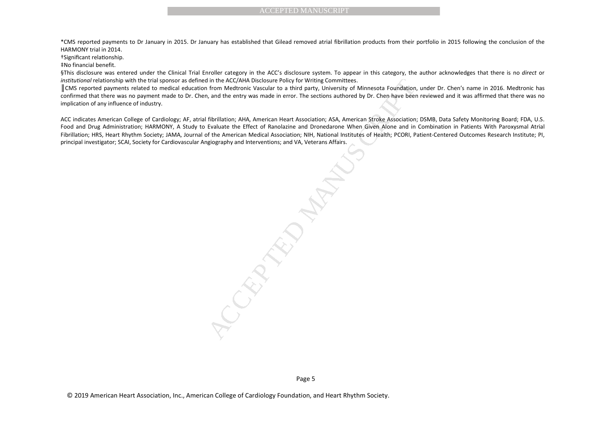\*CMS reported payments to Dr January in 2015. Dr January has established that Gilead removed atrial fibrillation products from their portfolio in 2015 following the conclusion of the HARMONY trial in 2014.

†Significant relationship.

‡No financial benefit.

§This disclosure was entered under the Clinical Trial Enroller category in the ACC's disclosure system. To appear in this category, the author acknowledges that there is no *direct* or *institutional* relationship with the trial sponsor as defined in the ACC/AHA Disclosure Policy for Writing Committees.

║CMS reported payments related to medical education from Medtronic Vascular to a third party, University of Minnesota Foundation, under Dr. Chen's name in 2016. Medtronic has confirmed that there was no payment made to Dr. Chen, and the entry was made in error. The sections authored by Dr. Chen have been reviewed and it was affirmed that there was no implication of any influence of industry.

ACCEPTED MANUSCRIPT<br>uary has established that Gilead removed atrial fibrillation products from their<br>troller category in the ACC's disclosure eystem. To appear in this category, the<br>in the ACC/AMA Disclosure Polity for Wri ACC indicates American College of Cardiology; AF, atrial fibrillation; AHA, American Heart Association; ASA, American Stroke Association; DSMB, Data Safety Monitoring Board; FDA, U.S. Food and Drug Administration; HARMONY, A Study to Evaluate the Effect of Ranolazine and Dronedarone When Given Alone and in Combination in Patients With Paroxysmal Atrial Fibrillation; HRS, Heart Rhythm Society; JAMA, Journal of the American Medical Association; NIH, National Institutes of Health; PCORI, Patient-Centered Outcomes Research Institute; PI, principal investigator; SCAI, Society for Cardiovascular Angiography and Interventions; and VA, Veterans Affairs.

Page 5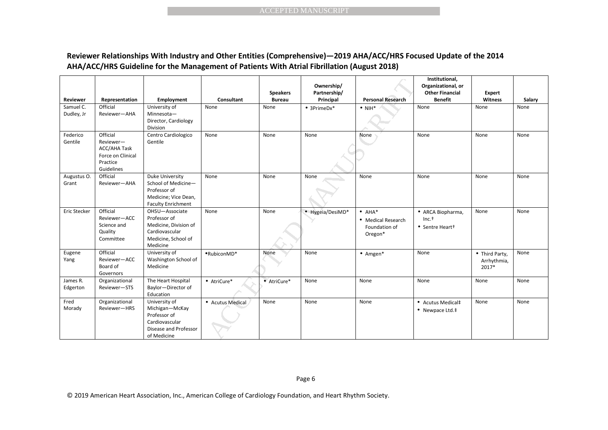### **Reviewer Relationships With Industry and Other Entities (Comprehensive)—2019 AHA/ACC/HRS Focused Update of the 2014 AHA/ACC/HRS Guideline for the Management of Patients With Atrial Fibrillation (August 2018)**

|                         |                                                                                      |                                                                                                              |                                                                                                                                                                                                                    |                                  | <b>ACCEPTED MANUSCRIPT</b>              |                                                                  |                                                                                  |                                        |        |
|-------------------------|--------------------------------------------------------------------------------------|--------------------------------------------------------------------------------------------------------------|--------------------------------------------------------------------------------------------------------------------------------------------------------------------------------------------------------------------|----------------------------------|-----------------------------------------|------------------------------------------------------------------|----------------------------------------------------------------------------------|----------------------------------------|--------|
|                         |                                                                                      |                                                                                                              | Reviewer Relationships With Industry and Other Entities (Comprehensive)-2019 AHA/ACC/HRS Focused Update of the 2014<br>AHA/ACC/HRS Guideline for the Management of Patients With Atrial Fibrillation (August 2018) |                                  |                                         |                                                                  |                                                                                  |                                        |        |
| Reviewer                | Representation                                                                       | Employment                                                                                                   | Consultant                                                                                                                                                                                                         | <b>Speakers</b><br><b>Bureau</b> | Ownership/<br>Partnership/<br>Principal | <b>Personal Research</b>                                         | Institutional,<br>Organizational, or<br><b>Other Financial</b><br><b>Benefit</b> | Expert<br>Witness                      | Salary |
| Samuel C.<br>Dudley, Jr | Official<br>Reviewer-AHA                                                             | University of<br>Minnesota-<br>Director, Cardiology<br>Division                                              | None                                                                                                                                                                                                               | None                             | $• 3$ PrimeDx*                          | $\bullet$ NIH*                                                   | None                                                                             | None                                   | None   |
| Federico<br>Gentile     | Official<br>Reviewer-<br>ACC/AHA Task<br>Force on Clinical<br>Practice<br>Guidelines | Centro Cardiologico<br>Gentile                                                                               | None                                                                                                                                                                                                               | None                             | None                                    | None                                                             | None                                                                             | None                                   | None   |
| Augustus O.<br>Grant    | Official<br>Reviewer-AHA                                                             | Duke University<br>School of Medicine-<br>Professor of<br>Medicine; Vice Dean,<br><b>Faculty Enrichment</b>  | None                                                                                                                                                                                                               | None                             | None                                    | None                                                             | None                                                                             | None                                   | None   |
| Eric Stecker            | Official<br>Reviewer-ACC<br>Science and<br>Quality<br>Committee                      | OHSU-Associate<br>Professor of<br>Medicine, Division of<br>Cardiovascular<br>Medicine, School of<br>Medicine | None                                                                                                                                                                                                               | None                             | • Hygeia/DesiMD*                        | $\bullet$ AHA*<br>• Medical Research<br>Foundation of<br>Oregon* | • ARCA Biopharma,<br>$Inc.+$<br>• Sentre Heart+                                  | None                                   | None   |
| Eugene<br>Yang          | Official<br>Reviewer-ACC<br>Board of<br>Governors                                    | University of<br>Washington School of<br>Medicine                                                            | ·RubiconMD*                                                                                                                                                                                                        | None                             | None                                    | $•$ Amgen*                                                       | None                                                                             | • Third Party,<br>Arrhythmia,<br>2017* | None   |
| James R.<br>Edgerton    | Organizational<br>Reviewer-STS                                                       | The Heart Hospital<br>Baylor-Director of<br>Education                                                        | • AtriCure*                                                                                                                                                                                                        | • AtriCure*                      | None                                    | None                                                             | None                                                                             | None                                   | None   |
| Fred<br>Morady          | Organizational<br>Reviewer-HRS                                                       | University of<br>Michigan-McKay<br>Professor of<br>Cardiovascular<br>Disease and Professor<br>of Medicine    | • Acutus Medical                                                                                                                                                                                                   | None                             | None                                    | None                                                             | • Acutus Medical‡<br>$\bullet$ Newpace Ltd. $\ddagger$                           | None                                   | None   |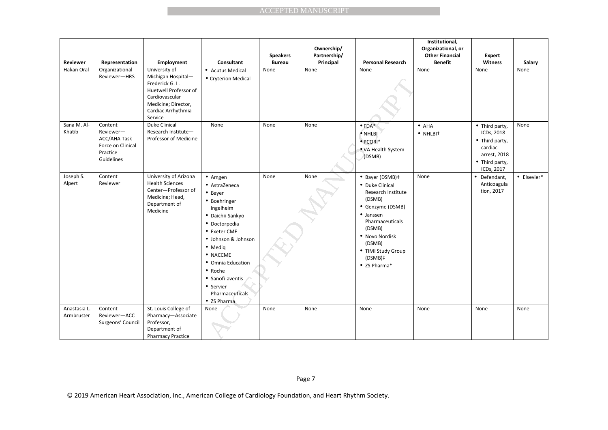|                            |                                                                                            |                                                                                                                                                           |                                                                                                                                                                                                                                                                        |                                  | <b>ACCEPTED MANUSCRIPT</b>              |                                                                                                                                                                                                               |                                                                                  |                                                                                                                   |             |
|----------------------------|--------------------------------------------------------------------------------------------|-----------------------------------------------------------------------------------------------------------------------------------------------------------|------------------------------------------------------------------------------------------------------------------------------------------------------------------------------------------------------------------------------------------------------------------------|----------------------------------|-----------------------------------------|---------------------------------------------------------------------------------------------------------------------------------------------------------------------------------------------------------------|----------------------------------------------------------------------------------|-------------------------------------------------------------------------------------------------------------------|-------------|
|                            |                                                                                            |                                                                                                                                                           |                                                                                                                                                                                                                                                                        |                                  |                                         |                                                                                                                                                                                                               |                                                                                  |                                                                                                                   |             |
| Reviewer                   | Representation                                                                             | Employment                                                                                                                                                | Consultant                                                                                                                                                                                                                                                             | <b>Speakers</b><br><b>Bureau</b> | Ownership/<br>Partnership/<br>Principal | <b>Personal Research</b>                                                                                                                                                                                      | Institutional,<br>Organizational, or<br><b>Other Financial</b><br><b>Benefit</b> | <b>Expert</b><br>Witness                                                                                          | Salary      |
| Hakan Oral                 | Organizational<br>Reviewer-HRS                                                             | University of<br>Michigan Hospital-<br>Frederick G. L.<br>Huetwell Professor of<br>Cardiovascular<br>Medicine; Director,<br>Cardiac Arrhythmia<br>Service | • Acutus Medical<br>• Cryterion Medical                                                                                                                                                                                                                                | None                             | None                                    | None                                                                                                                                                                                                          | None                                                                             | None                                                                                                              | None        |
| Sana M. Al-<br>Khatib      | Content<br>Reviewer-<br><b>ACC/AHA Task</b><br>Force on Clinical<br>Practice<br>Guidelines | Duke Clinical<br>Research Institute-<br>Professor of Medicine                                                                                             | None                                                                                                                                                                                                                                                                   | None                             | None                                    | $\bullet$ FDA*<br>$\bullet$ NHLBI<br>· PCORI*<br>• VA Health System<br>(DSMB)                                                                                                                                 | $\bullet$ AHA<br>· NHLBI <sup>+</sup>                                            | • Third party,<br>ICDs, 2018<br>$\bullet$ Third party,<br>cardiac<br>arrest, 2018<br>• Third party,<br>ICDs, 2017 | None        |
| Joseph S.<br>Alpert        | Content<br>Reviewer                                                                        | University of Arizona<br><b>Health Sciences</b><br>Center-Professor of<br>Medicine; Head,<br>Department of<br>Medicine                                    | • Amgen<br>• AstraZeneca<br>• Bayer<br>· Boehringer<br>Ingelheim<br>· Daichii-Sankyo<br>· Doctorpedia<br>• Exeter CME<br>· Johnson & Johnson<br>• Medig<br>· NACCME<br>• Omnia Education<br>• Roche<br>• Sanofi-aventis<br>• Servier<br>Pharmaceuticals<br>• ZS Pharma | None                             | None                                    | • Bayer (DSMB)‡<br>• Duke Clinical<br>Research Institute<br>(DSMB)<br>• Genzyme (DSMB)<br>• Janssen<br>Pharmaceuticals<br>(DSMB)<br>· Novo Nordisk<br>(DSMB)<br>• TIMI Study Group<br>(DSMB)‡<br>• ZS Pharma* | None                                                                             | • Defendant,<br>Anticoagula<br>tion, 2017                                                                         | • Elsevier* |
| Anastasia L.<br>Armbruster | Content<br>Reviewer-ACC<br>Surgeons' Council                                               | St. Louis College of<br>Pharmacy-Associate<br>Professor,<br>Department of<br><b>Pharmacy Practice</b>                                                     | None                                                                                                                                                                                                                                                                   | None                             | None                                    | None                                                                                                                                                                                                          | None                                                                             | None                                                                                                              | None        |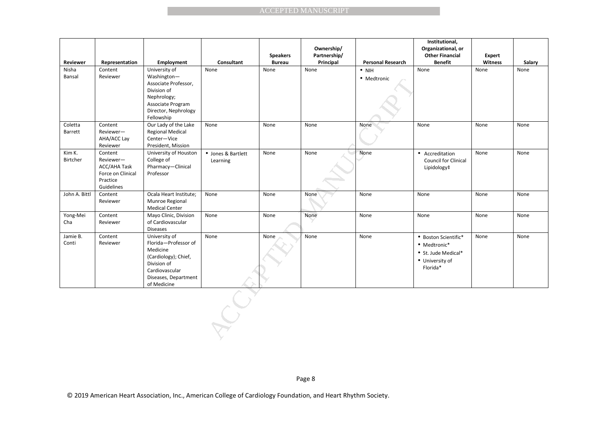| Reviewer           | Representation                                                                      | Employment                                                                                                                                        | Consultant                     | <b>Speakers</b><br><b>Bureau</b> | Ownership/<br>Partnership/<br>Principal | <b>Personal Research</b>     | Institutional,<br>Organizational, or<br><b>Other Financial</b><br><b>Benefit</b>           | Expert<br>Witness | Salary |
|--------------------|-------------------------------------------------------------------------------------|---------------------------------------------------------------------------------------------------------------------------------------------------|--------------------------------|----------------------------------|-----------------------------------------|------------------------------|--------------------------------------------------------------------------------------------|-------------------|--------|
| Nisha<br>Bansal    | Content<br>Reviewer                                                                 | University of<br>Washington-<br>Associate Professor,<br>Division of<br>Nephrology;<br>Associate Program<br>Director, Nephrology<br>Fellowship     | None                           | None                             | None                                    | $\bullet$ NIH<br>• Medtronic | None                                                                                       | None              | None   |
| Coletta<br>Barrett | Content<br>Reviewer-<br>AHA/ACC Lay<br>Reviewer                                     | Our Lady of the Lake<br><b>Regional Medical</b><br>Center-Vice<br>President, Mission                                                              | None                           | None                             | None                                    | None                         | None                                                                                       | None              | None   |
| Kim K.<br>Birtcher | Content<br>Reviewer-<br>ACC/AHA Task<br>Force on Clinical<br>Practice<br>Guidelines | University of Houston<br>College of<br>Pharmacy-Clinical<br>Professor                                                                             | • Jones & Bartlett<br>Learning | None                             | None                                    | None                         | • Accreditation<br>Council for Clinical<br>Lipidology‡                                     | None              | None   |
| John A. Bittl      | Content<br>Reviewer                                                                 | Ocala Heart Institute;<br>Munroe Regional<br><b>Medical Center</b>                                                                                | None                           | None                             | None                                    | None                         | None                                                                                       | None              | None   |
| Yong-Mei<br>Cha    | Content<br>Reviewer                                                                 | Mayo Clinic, Division<br>of Cardiovascular<br>Diseases                                                                                            | None                           | None                             | None                                    | None                         | None                                                                                       | None              | None   |
| Jamie B.<br>Conti  | Content<br>Reviewer                                                                 | University of<br>Florida-Professor of<br>Medicine<br>(Cardiology); Chief,<br>Division of<br>Cardiovascular<br>Diseases, Department<br>of Medicine | None                           | None                             | None                                    | None                         | • Boston Scientific*<br>• Medtronic*<br>• St. Jude Medical*<br>• University of<br>Florida* | None              | None   |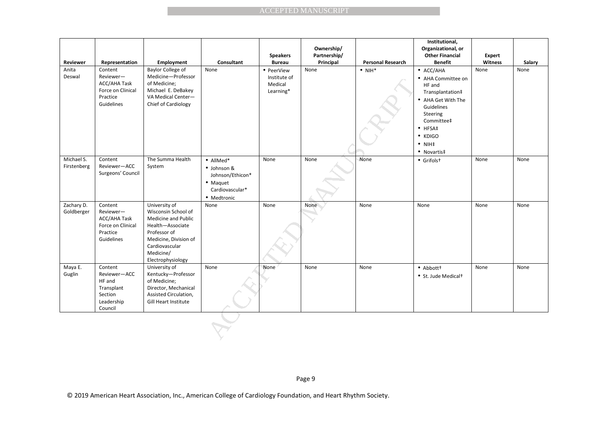| Reviewer                  | Representation                                                                             | Employment                                                                                                                                                                   | <b>Consultant</b>                                                                          | <b>Speakers</b><br><b>Bureau</b>                   | Ownership/<br>Partnership/<br>Principal | <b>Personal Research</b> | Institutional,<br>Organizational, or<br><b>Other Financial</b><br><b>Benefit</b>                                                                                                                           | <b>Expert</b><br>Witness | Salary |
|---------------------------|--------------------------------------------------------------------------------------------|------------------------------------------------------------------------------------------------------------------------------------------------------------------------------|--------------------------------------------------------------------------------------------|----------------------------------------------------|-----------------------------------------|--------------------------|------------------------------------------------------------------------------------------------------------------------------------------------------------------------------------------------------------|--------------------------|--------|
| Anita<br>Deswal           | Content<br>Reviewer-<br><b>ACC/AHA Task</b><br>Force on Clinical<br>Practice<br>Guidelines | Baylor College of<br>Medicine-Professor<br>of Medicine;<br>Michael E. DeBakey<br>VA Medical Center-<br>Chief of Cardiology                                                   | None                                                                                       | • PeerView<br>Institute of<br>Medical<br>Learning* | None                                    | $\bullet$ NIH*           | $\bullet$ ACC/AHA<br>• AHA Committee on<br>HF and<br>Transplantation#<br>• AHA Get With The<br>Guidelines<br>Steering<br>Committee‡<br>$\bullet$ HFSA‡<br>$\bullet$ KDIGO<br>$\bullet$ NIH‡<br>• Novartis‡ | None                     | None   |
| Michael S.<br>Firstenberg | Content<br>Reviewer-ACC<br>Surgeons' Council                                               | The Summa Health<br>System                                                                                                                                                   | · AllMed*<br>· Johnson &<br>Johnson/Ethicon*<br>• Maquet<br>Cardiovascular*<br>• Medtronic | None                                               | None                                    | None                     | • Grifolst                                                                                                                                                                                                 | None                     | None   |
| Zachary D.<br>Goldberger  | Content<br>Reviewer-<br>ACC/AHA Task<br>Force on Clinical<br>Practice<br>Guidelines        | University of<br>Wisconsin School of<br>Medicine and Public<br>Health-Associate<br>Professor of<br>Medicine, Division of<br>Cardiovascular<br>Medicine/<br>Electrophysiology | None                                                                                       | None                                               | <b>None</b>                             | None                     | None                                                                                                                                                                                                       | None                     | None   |
| Maya E.<br>Guglin         | Content<br>Reviewer-ACC<br>HF and<br>Transplant<br>Section<br>Leadership<br>Council        | University of<br>Kentucky-Professor<br>of Medicine;<br>Director, Mechanical<br>Assisted Circulation,<br><b>Gill Heart Institute</b>                                          | None                                                                                       | None                                               | None                                    | None                     | • Abbott <sup>+</sup><br>• St. Jude Medical <sup>+</sup>                                                                                                                                                   | None                     | None   |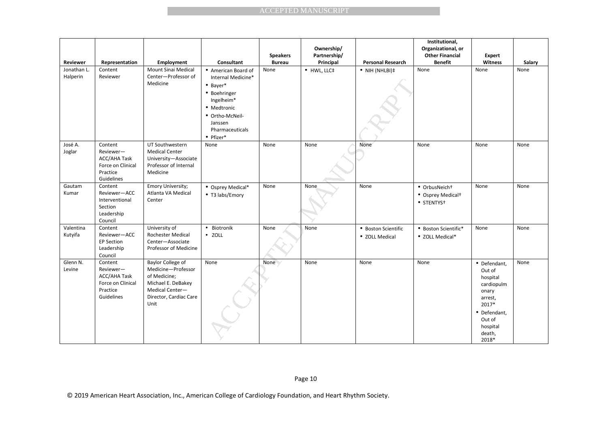|                         |                                                                                     |                                                                                                                                    |                                                                                                                                                                    |                                  | <b>ACCEPTED MANUSCRIPT</b>              |                                       |                                                                                  |                                                                                                                                        |        |
|-------------------------|-------------------------------------------------------------------------------------|------------------------------------------------------------------------------------------------------------------------------------|--------------------------------------------------------------------------------------------------------------------------------------------------------------------|----------------------------------|-----------------------------------------|---------------------------------------|----------------------------------------------------------------------------------|----------------------------------------------------------------------------------------------------------------------------------------|--------|
| Reviewer                | Representation                                                                      | Employment                                                                                                                         | Consultant                                                                                                                                                         | <b>Speakers</b><br><b>Bureau</b> | Ownership/<br>Partnership/<br>Principal | <b>Personal Research</b>              | Institutional,<br>Organizational, or<br><b>Other Financial</b><br><b>Benefit</b> | Expert<br>Witness                                                                                                                      | Salary |
| Jonathan L.<br>Halperin | Content<br>Reviewer                                                                 | Mount Sinai Medical<br>Center-Professor of<br>Medicine                                                                             | • American Board of<br>Internal Medicine*<br>$•$ Bayer*<br>• Boehringer<br>Ingelheim*<br>• Medtronic<br>• Ortho-McNeil-<br>Janssen<br>Pharmaceuticals<br>• Pfizer* | None                             | · HWL, LLC‡                             | $\bullet$ NIH (NHLBI)‡                | None                                                                             | None                                                                                                                                   | None   |
| José A.<br>Joglar       | Content<br>Reviewer-<br>ACC/AHA Task<br>Force on Clinical<br>Practice<br>Guidelines | UT Southwestern<br><b>Medical Center</b><br>University-Associate<br>Professor of Internal<br>Medicine                              | None                                                                                                                                                               | None                             | None                                    | None                                  | None                                                                             | None                                                                                                                                   | None   |
| Gautam<br>Kumar         | Content<br>Reviewer-ACC<br>Interventional<br>Section<br>Leadership<br>Council       | Emory University;<br>Atlanta VA Medical<br>Center                                                                                  | • Osprey Medical*<br>• T3 labs/Emory                                                                                                                               | None                             | None                                    | None                                  | · OrbusNeicht<br>• Osprey Medicalt<br>• STENTYS <sup>+</sup>                     | None                                                                                                                                   | None   |
| Valentina<br>Kutyifa    | Content<br>Reviewer-ACC<br><b>EP Section</b><br>Leadership<br>Council               | University of<br>Rochester Medical<br>Center-Associate<br>Professor of Medicine                                                    | • Biotronik<br>· ZOLL                                                                                                                                              | None                             | None                                    | • Boston Scientific<br>• ZOLL Medical | • Boston Scientific*<br>• ZOLL Medical*                                          | None                                                                                                                                   | None   |
| Glenn N.<br>Levine      | Content<br>Reviewer-<br>ACC/AHA Task<br>Force on Clinical<br>Practice<br>Guidelines | Baylor College of<br>Medicine-Professor<br>of Medicine;<br>Michael E. DeBakey<br>Medical Center-<br>Director, Cardiac Care<br>Unit | None                                                                                                                                                               | None                             | None                                    | None                                  | None                                                                             | • Defendant,<br>Out of<br>hospital<br>cardiopulm<br>onary<br>arrest,<br>2017*<br>• Defendant,<br>Out of<br>hospital<br>death,<br>2018* | None   |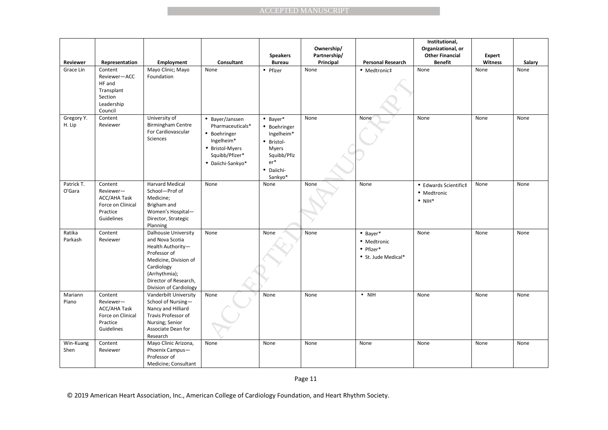|                      |                                                                                     |                                                                                                                                                                                         |                                                                                                                             |                                                                                                                               | <b>ACCEPTED MANUSCRIPT</b>              |                                                                       |                                                                                  |                   |        |
|----------------------|-------------------------------------------------------------------------------------|-----------------------------------------------------------------------------------------------------------------------------------------------------------------------------------------|-----------------------------------------------------------------------------------------------------------------------------|-------------------------------------------------------------------------------------------------------------------------------|-----------------------------------------|-----------------------------------------------------------------------|----------------------------------------------------------------------------------|-------------------|--------|
|                      |                                                                                     |                                                                                                                                                                                         |                                                                                                                             |                                                                                                                               |                                         |                                                                       |                                                                                  |                   |        |
| <b>Reviewer</b>      | Representation                                                                      | Employment                                                                                                                                                                              | Consultant                                                                                                                  | <b>Speakers</b><br><b>Bureau</b>                                                                                              | Ownership/<br>Partnership/<br>Principal | <b>Personal Research</b>                                              | Institutional,<br>Organizational, or<br><b>Other Financial</b><br><b>Benefit</b> | Expert<br>Witness | Salary |
| Grace Lin            | Content<br>Reviewer-ACC<br>HF and<br>Transplant<br>Section<br>Leadership<br>Council | Mayo Clinic; Mayo<br>Foundation                                                                                                                                                         | None                                                                                                                        | • Pfizer                                                                                                                      | None                                    | • Medtronic‡                                                          | None                                                                             | None              | None   |
| Gregory Y.<br>H. Lip | Content<br>Reviewer                                                                 | University of<br><b>Birmingham Centre</b><br>For Cardiovascular<br>Sciences                                                                                                             | • Bayer/Janssen<br>Pharmaceuticals*<br>• Boehringer<br>Ingelheim*<br>• Bristol-Myers<br>Squibb/Pfizer*<br>· Daiichi-Sankyo* | $\bullet$ Bayer*<br>• Boehringer<br>Ingelheim*<br>· Bristol-<br><b>Myers</b><br>Squibb/Pfiz<br>$er*$<br>· Daiichi-<br>Sankyo* | None                                    | None                                                                  | None                                                                             | None              | None   |
| Patrick T.<br>O'Gara | Content<br>Reviewer-<br>ACC/AHA Task<br>Force on Clinical<br>Practice<br>Guidelines | <b>Harvard Medical</b><br>School-Prof of<br>Medicine;<br>Brigham and<br>Women's Hospital-<br>Director, Strategic<br>Planning                                                            | None                                                                                                                        | None                                                                                                                          | None                                    | None                                                                  | • Edwards Scientific‡<br>• Medtronic<br>$\bullet$ NIH*                           | None              | None   |
| Ratika<br>Parkash    | Content<br>Reviewer                                                                 | Dalhousie University<br>and Nova Scotia<br>Health Authority-<br>Professor of<br>Medicine, Division of<br>Cardiology<br>(Arrhythmia);<br>Director of Research,<br>Division of Cardiology | None                                                                                                                        | None                                                                                                                          | None                                    | $•$ Bayer*<br>• Medtronic<br>$\bullet$ Pfizer*<br>• St. Jude Medical* | None                                                                             | None              | None   |
| Mariann<br>Piano     | Content<br>Reviewer-<br>ACC/AHA Task<br>Force on Clinical<br>Practice<br>Guidelines | Vanderbilt University<br>School of Nursing-<br>Nancy and Hilliard<br>Travis Professor of<br>Nursing; Senior<br>Associate Dean for<br>Research                                           | None                                                                                                                        | None                                                                                                                          | None                                    | $\bullet$ NIH                                                         | None                                                                             | None              | None   |
| Win-Kuang<br>Shen    | Content<br>Reviewer                                                                 | Mayo Clinic Arizona,<br>Phoenix Campus-<br>Professor of<br>Medicine; Consultant                                                                                                         | None                                                                                                                        | None                                                                                                                          | None                                    | None                                                                  | None                                                                             | None              | None   |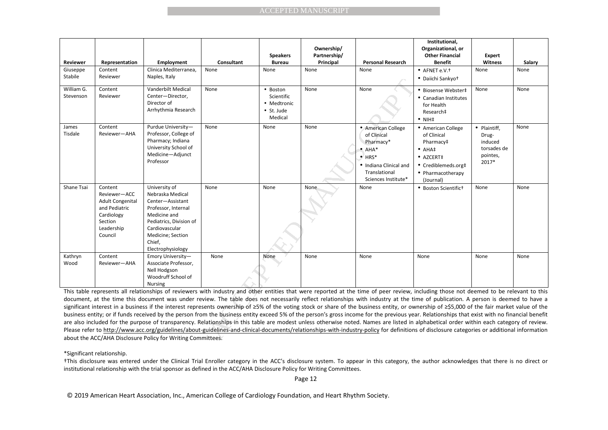| Reviewer                | Representation                                                                                                        | Employment                                                                                                                                                                                    | Consultant                                                                                                                                                                                                                                                                                                                                                                                                                                                                                                                                                                                                                                                                                                                                                                                                                                                                                                                                                                                                                                                                                                                                                              | <b>Speakers</b><br><b>Bureau</b>                                       | Ownership/<br>Partnership/<br>Principal | <b>Personal Research</b>                                                                                                                             | Institutional,<br>Organizational, or<br><b>Other Financial</b><br><b>Benefit</b>                                                                 | Expert<br>Witness                                                    | Salary |
|-------------------------|-----------------------------------------------------------------------------------------------------------------------|-----------------------------------------------------------------------------------------------------------------------------------------------------------------------------------------------|-------------------------------------------------------------------------------------------------------------------------------------------------------------------------------------------------------------------------------------------------------------------------------------------------------------------------------------------------------------------------------------------------------------------------------------------------------------------------------------------------------------------------------------------------------------------------------------------------------------------------------------------------------------------------------------------------------------------------------------------------------------------------------------------------------------------------------------------------------------------------------------------------------------------------------------------------------------------------------------------------------------------------------------------------------------------------------------------------------------------------------------------------------------------------|------------------------------------------------------------------------|-----------------------------------------|------------------------------------------------------------------------------------------------------------------------------------------------------|--------------------------------------------------------------------------------------------------------------------------------------------------|----------------------------------------------------------------------|--------|
| Giuseppe<br>Stabile     | Content<br>Reviewer                                                                                                   | Clinica Mediterranea,<br>Naples, Italy                                                                                                                                                        | None                                                                                                                                                                                                                                                                                                                                                                                                                                                                                                                                                                                                                                                                                                                                                                                                                                                                                                                                                                                                                                                                                                                                                                    | None                                                                   | None                                    | None                                                                                                                                                 | • AFNET e.V.t<br>• Daiichi Sankyot                                                                                                               | None                                                                 | None   |
| William G.<br>Stevenson | Content<br>Reviewer                                                                                                   | Vanderbilt Medical<br>Center-Director,<br>Director of<br>Arrhythmia Research                                                                                                                  | None                                                                                                                                                                                                                                                                                                                                                                                                                                                                                                                                                                                                                                                                                                                                                                                                                                                                                                                                                                                                                                                                                                                                                                    | • Boston<br>Scientific<br>• Medtronic<br>$\bullet$ St. Jude<br>Medical | None                                    | None                                                                                                                                                 | · Biosense Webster‡<br>• Canadian Institutes<br>for Health<br>Research‡<br>$\bullet$ NIH‡                                                        | None                                                                 | None   |
| James<br>Tisdale        | Content<br>Reviewer-AHA                                                                                               | Purdue University-<br>Professor, College of<br>Pharmacy; Indiana<br>University School of<br>Medicine-Adjunct<br>Professor                                                                     | None                                                                                                                                                                                                                                                                                                                                                                                                                                                                                                                                                                                                                                                                                                                                                                                                                                                                                                                                                                                                                                                                                                                                                                    | None                                                                   | None                                    | • American College<br>of Clinical<br>Pharmacy*<br>$\bullet$ AHA*<br>$\bullet$ HRS*<br>• Indiana Clinical and<br>Translational<br>Sciences Institute* | • American College<br>of Clinical<br>Pharmacy‡<br>$\bullet$ AHA $\ddagger$<br>• AZCERT‡<br>• Crediblemeds.org‡<br>• Pharmacotherapy<br>(Journal) | · Plaintiff,<br>Drug-<br>induced<br>torsades de<br>pointes,<br>2017* | None   |
| Shane Tsai              | Content<br>Reviewer-ACC<br><b>Adult Congenital</b><br>and Pediatric<br>Cardiology<br>Section<br>Leadership<br>Council | University of<br>Nebraska Medical<br>Center-Assistant<br>Professor, Internal<br>Medicine and<br>Pediatrics, Division of<br>Cardiovascular<br>Medicine; Section<br>Chief,<br>Electrophysiology | None                                                                                                                                                                                                                                                                                                                                                                                                                                                                                                                                                                                                                                                                                                                                                                                                                                                                                                                                                                                                                                                                                                                                                                    | None                                                                   | <b>None</b>                             | None                                                                                                                                                 | • Boston Scientifict                                                                                                                             | None                                                                 | None   |
| Kathryn<br>Wood         | Content<br>Reviewer-AHA                                                                                               | Emory University-<br>Associate Professor,<br>Nell Hodgson<br>Woodruff School of<br><b>Nursing</b>                                                                                             | None                                                                                                                                                                                                                                                                                                                                                                                                                                                                                                                                                                                                                                                                                                                                                                                                                                                                                                                                                                                                                                                                                                                                                                    | None                                                                   | None                                    | None                                                                                                                                                 | None                                                                                                                                             | None                                                                 | None   |
|                         |                                                                                                                       | about the ACC/AHA Disclosure Policy for Writing Committees.                                                                                                                                   | This table represents all relationships of reviewers with industry and other entities that were reported at the time of peer review, including those not deemed to be relevant to this<br>document, at the time this document was under review. The table does not necessarily reflect relationships with industry at the time of publication. A person is deemed to have a<br>significant interest in a business if the interest represents ownership of ≥5% of the voting stock or share of the business entity, or ownership of ≥\$5,000 of the fair market value of the<br>business entity; or if funds received by the person from the business entity exceed 5% of the person's gross income for the previous year. Relationships that exist with no financial benefit<br>are also included for the purpose of transparency. Relationships in this table are modest unless otherwise noted. Names are listed in alphabetical order within each category of review.<br>Please refer to http://www.acc.org/guidelines/about-guidelines-and-clinical-documents/relationships-with-industry-policy for definitions of disclosure categories or additional information |                                                                        |                                         |                                                                                                                                                      |                                                                                                                                                  |                                                                      |        |

\*Significant relationship.

 †This disclosure was entered under the Clinical Trial Enroller category in the ACC's disclosure system. To appear in this category, the author acknowledges that there is no direct or institutional relationship with the trial sponsor as defined in the ACC/AHA Disclosure Policy for Writing Committees.

Page 12

© 2019 American Heart Association, Inc., American College of Cardiology Foundation, and Heart Rhythm Society.